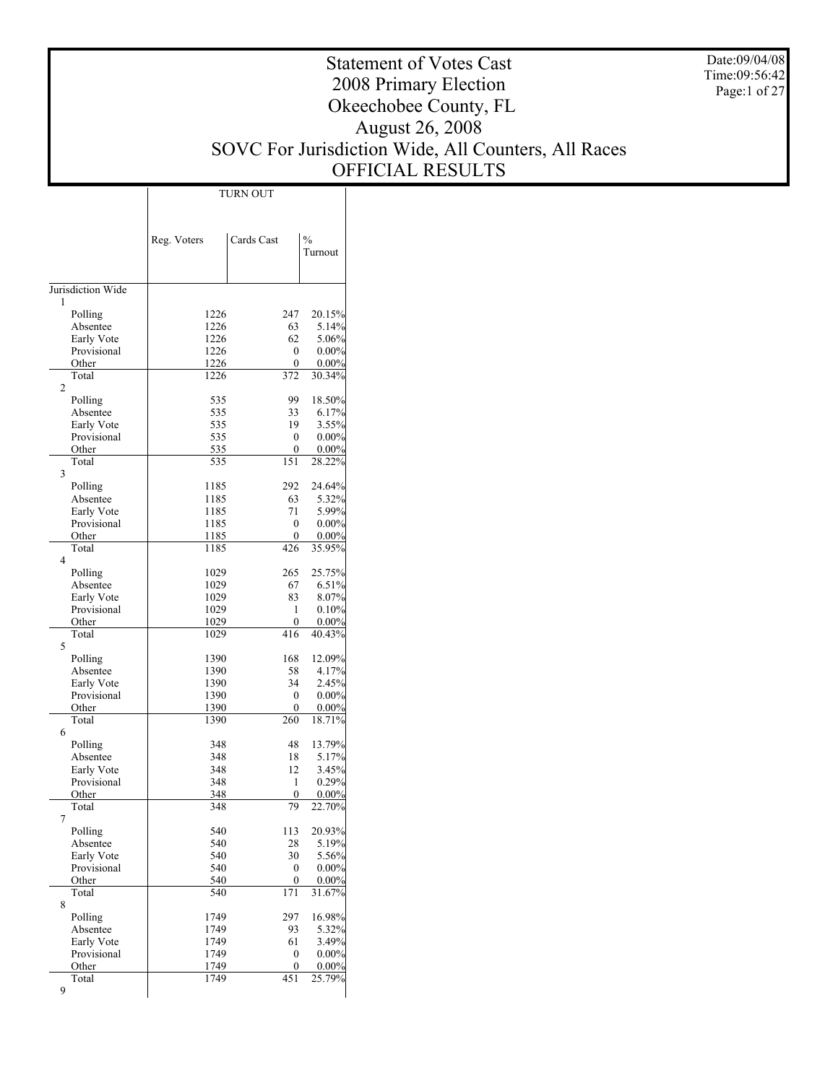Date:09/04/08 Time:09:56:42 Page:1 of 27

# Statement of Votes Cast 2008 Primary Election Okeechobee County, FL August 26, 2008 SOVC For Jurisdiction Wide, All Counters, All Races OFFICIAL RESULTS

|                      |                   | TURN OUT         |                    |
|----------------------|-------------------|------------------|--------------------|
|                      |                   |                  |                    |
|                      |                   |                  |                    |
|                      | Reg. Voters       | Cards Cast       | $\frac{0}{0}$      |
|                      |                   |                  | Turnout            |
|                      |                   |                  |                    |
|                      |                   |                  |                    |
| Jurisdiction Wide    |                   |                  |                    |
| 1                    | 1226              | 247              | 20.15%             |
| Polling<br>Absentee  | 1226              | 63               | 5.14%              |
| Early Vote           | 1226              | 62               | 5.06%              |
| Provisional          | 1226              | $\mathbf{0}$     | $0.00\%$           |
| Other                | 1226              | $\boldsymbol{0}$ | 0.00%              |
| Total                | 1226              | 372              | 30.34%             |
| 2                    |                   |                  |                    |
| Polling              | 535               | 99               | 18.50%             |
| Absentee             | 535               | 33               | 6.17%              |
| Early Vote           | 535               | 19               | 3.55%              |
| Provisional          | 535               | $\boldsymbol{0}$ | $0.00\%$           |
| Other<br>Total       | <u>535</u><br>535 | 0<br>151         | $0.00\%$<br>28.22% |
| 3                    |                   |                  |                    |
| Polling              | 1185              | 292              | 24.64%             |
| Absentee             | 1185              | 63               | 5.32%              |
| Early Vote           | 1185              | 71               | 5.99%              |
| Provisional          | 1185              | $\boldsymbol{0}$ | $0.00\%$           |
| Other                | 1185              | $\boldsymbol{0}$ | 0.00%              |
| Total                | 1185              | 426              | 35.95%             |
| 4                    |                   |                  |                    |
| Polling              | 1029              | 265              | 25.75%             |
| Absentee             | 1029              | 67               | 6.51%              |
| Early Vote           | 1029              | 83               | 8.07%              |
| Provisional          | 1029              | 1                | 0.10%              |
| Other                | 1029              | 0                | $0.00\%$           |
| Total                | 1029              | 416              | 40.43%             |
| 5                    |                   |                  |                    |
| Polling              | 1390              | 168              | 12.09%             |
| Absentee             | 1390              | 58               | 4.17%              |
| Early Vote           | 1390              | 34               | 2.45%<br>0.00%     |
| Provisional<br>Other | 1390<br>1390      | 0<br>0           | $0.00\%$           |
| Total                | 1390              | 260              | 18.71%             |
| 6                    |                   |                  |                    |
| Polling              | 348               | 48               | 13.79%             |
| Absentee             | 348               | 18               | 5.17%              |
| Early Vote           | 348               | 12               | 3.45%              |
| Provisional          | 348               | 1                | 0.29%              |
| Other                | 348               | $\bf{0}$         | 0.00%              |
| Total                | 348               | 79               | 22.70%             |
| 7                    |                   |                  |                    |
| Polling              | 540               | 113              | 20.93%             |
| Absentee             | 540               | 28               | 5.19%              |
| Early Vote           | 540               | 30               | 5.56%              |
| Provisional          | 540               | $\mathbf{0}$     | $0.00\%$           |
| Other<br>Total       | 540<br>540        | 0<br>171         | $0.00\%$<br>31.67% |
| 8                    |                   |                  |                    |
| Polling              | 1749              | 297              | 16.98%             |
| Absentee             | 1749              | 93               | 5.32%              |
| Early Vote           | 1749              | 61               | 3.49%              |
| Provisional          | 1749              | $\boldsymbol{0}$ | 0.00%              |
| Other                | 1749              | $\mathbf{0}$     | 0.00%              |
| Total                | 1749              | 451              | 25.79%             |
| 9                    |                   |                  |                    |
|                      |                   |                  |                    |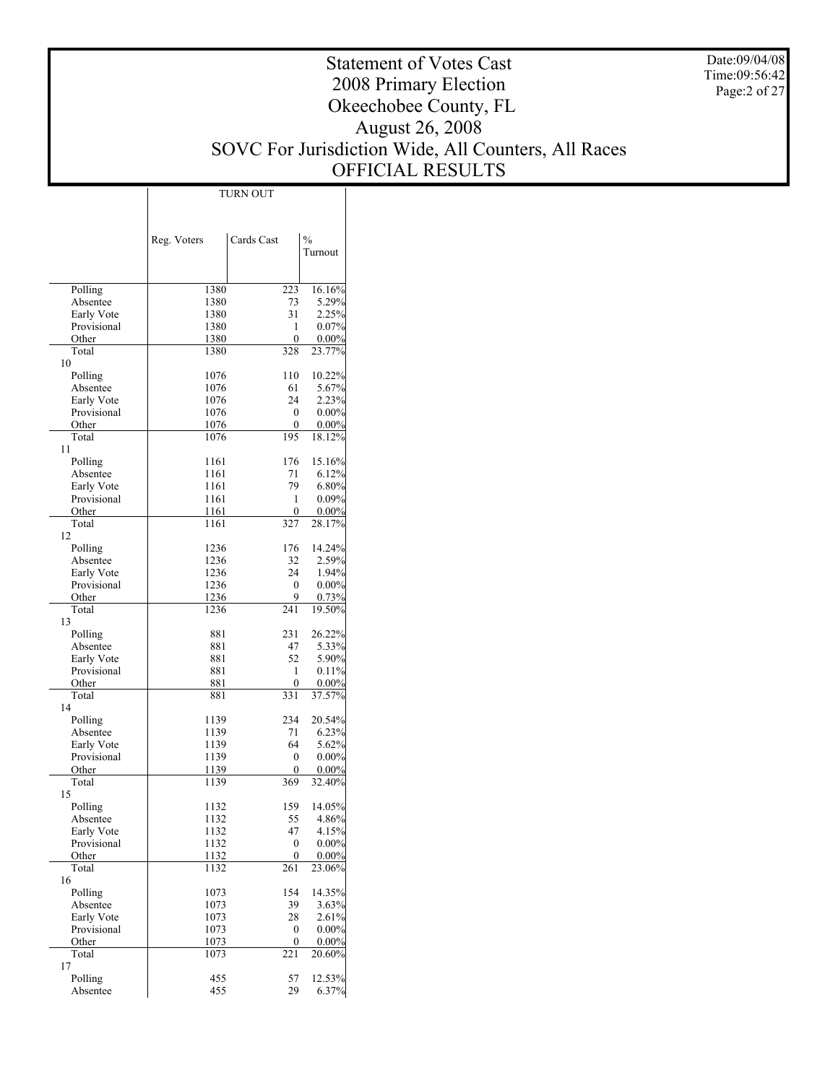Date:09/04/08 Time:09:56:42 Page:2 of 27

# Statement of Votes Cast 2008 Primary Election Okeechobee County, FL August 26, 2008 SOVC For Jurisdiction Wide, All Counters, All Races OFFICIAL RESULTS

|                           |              | <b>TURN OUT</b>                  |                      |
|---------------------------|--------------|----------------------------------|----------------------|
|                           |              |                                  |                      |
|                           |              |                                  |                      |
|                           | Reg. Voters  | Cards Cast                       | $\frac{0}{0}$        |
|                           |              |                                  | Turnout              |
|                           |              |                                  |                      |
| Polling                   | 1380         | 223                              | 16.16%               |
| Absentee                  | 1380         | 73                               | 5.29%                |
| Early Vote                | 1380         | 31                               | 2.25%                |
| Provisional               | 1380         | 1                                | 0.07%                |
| Other<br>Total            | 1380<br>1380 | $\boldsymbol{0}$<br>328          | $0.00\%$<br>23.77%   |
| 10                        |              |                                  |                      |
| Polling                   | 1076         | 110                              | 10.22%               |
| Absentee                  | 1076         | 61                               | 5.67%                |
| Early Vote                | 1076         | 24                               | 2.23%                |
| Provisional               | 1076         | 0                                | $0.00\%$             |
| Other<br>Total            | 1076<br>1076 | 0<br>195                         | $0.00\%$<br>18.12%   |
| 11                        |              |                                  |                      |
| Polling                   | 1161         | 176                              | 15.16%               |
| Absentee                  | 1161         | 71                               | 6.12%                |
| Early Vote                | 1161         | 79                               | 6.80%                |
| Provisional               | 1161         | 1                                | 0.09%                |
| Other                     | 1161         | $\mathbf{0}$                     | $0.00\%$             |
| Total                     | 1161         | 327                              | 28.17%               |
| 12<br>Polling             | 1236         | 176                              | 14.24%               |
| Absentee                  | 1236         | 32                               | 2.59%                |
| Early Vote                | 1236         | 24                               | 1.94%                |
| Provisional               | 1236         | 0                                | $0.00\%$             |
| Other                     | 1236         | 9                                | 0.73%                |
| Total                     | 1236         | 241                              | 19.50%               |
| 13                        |              |                                  |                      |
| Polling                   | 881          | 231<br>47                        | 26.22%               |
| Absentee<br>Early Vote    | 881<br>881   | 52                               | 5.33%<br>5.90%       |
| Provisional               | 881          | 1                                | 0.11%                |
| Other                     | 881          | $\boldsymbol{0}$                 | $0.00\%$             |
| Total                     | 881          | 331                              | 37.57%               |
| 14                        |              |                                  |                      |
| Polling                   | 1139         | 234                              | 20.54%               |
| Absentee                  | 1139         | 71<br>64                         | 6.23%                |
| Early Vote<br>Provisional | 1139<br>1139 | 0                                | 5.62%<br>$0.00\%$    |
| Other                     | 1139         | 0                                | $0.00\%$             |
| Total                     | 1139         | 369                              | 32.40%               |
| 15                        |              |                                  |                      |
| Polling                   | 1132         | 159                              | 14.05%               |
| Absentee                  | 1132         | 55                               | 4.86%                |
| Early Vote                | 1132         | 47                               | 4.15%                |
| Provisional<br>Other      | 1132<br>1132 | $\boldsymbol{0}$<br>$\mathbf{0}$ | $0.00\%$<br>$0.00\%$ |
| Total                     | 1132         | 261                              | 23.06%               |
| 16                        |              |                                  |                      |
| Polling                   | 1073         | 154                              | 14.35%               |
| Absentee                  | 1073         | 39                               | 3.63%                |
| Early Vote                | 1073         | 28                               | 2.61%                |
| Provisional               | 1073         | 0                                | $0.00\%$             |
| Other<br>Total            | 1073         | $\boldsymbol{0}$<br>221          | $0.00\%$             |
| 17                        | 1073         |                                  | 20.60%               |
| Polling                   | 455          | 57                               | 12.53%               |
| Absentee                  | 455          | 29                               | 6.37%                |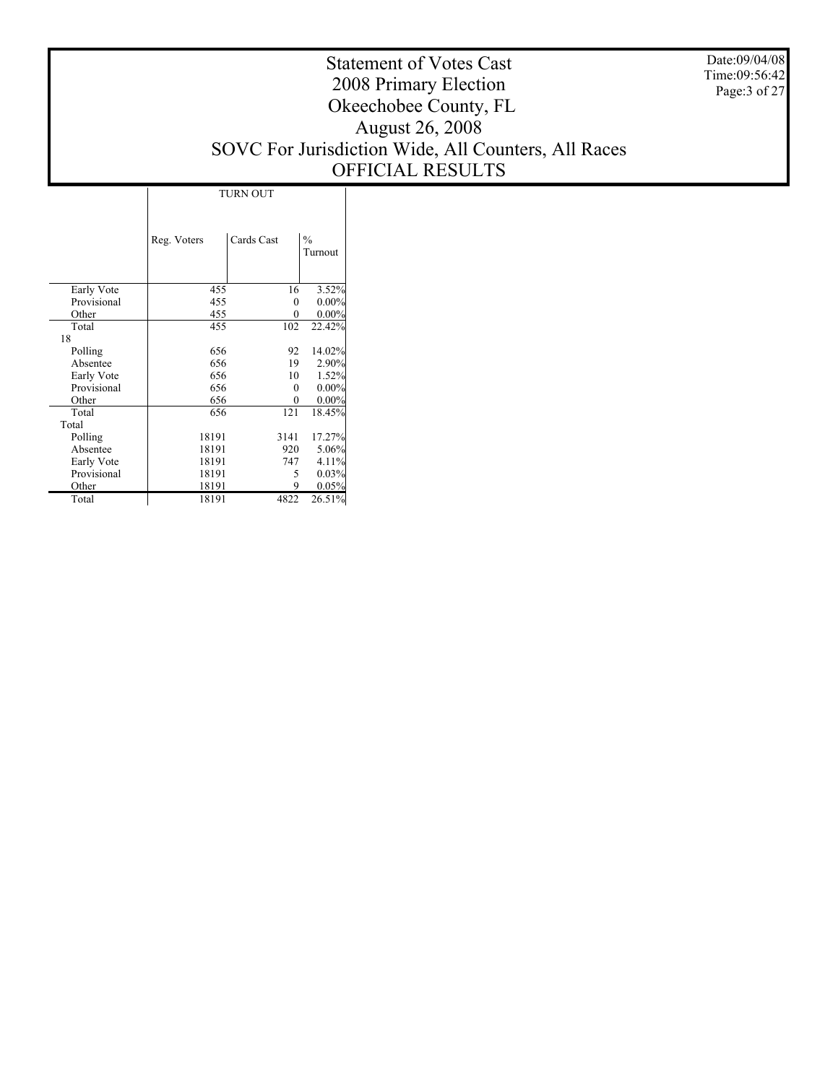Date:09/04/08 Time:09:56:42 Page:3 of 27

# Statement of Votes Cast 2008 Primary Election Okeechobee County, FL August 26, 2008 SOVC For Jurisdiction Wide, All Counters, All Races OFFICIAL RESULTS

|             |             | <b>TURN OUT</b> |               |
|-------------|-------------|-----------------|---------------|
|             |             |                 |               |
|             | Reg. Voters | Cards Cast      | $\frac{0}{0}$ |
|             |             |                 | Turnout       |
|             |             |                 |               |
| Early Vote  | 455         | 16              | 3.52%         |
| Provisional | 455         | $\theta$        | $0.00\%$      |
| Other       | 455         | $\theta$        | $0.00\%$      |
| Total       | 455         | 102             | 22.42%        |
| 18          |             |                 |               |
| Polling     | 656         | 92              | 14.02%        |
| Absentee    | 656         | 19              | 2.90%         |
| Early Vote  | 656         | 10              | 1.52%         |
| Provisional | 656         | $\theta$        | $0.00\%$      |
| Other       | 656         | $\theta$        | $0.00\%$      |
| Total       | 656         | 121             | 18.45%        |
| Total       |             |                 |               |
| Polling     | 18191       | 3141            | 17.27%        |
| Absentee    | 18191       | 920             | 5.06%         |
| Early Vote  | 18191       | 747             | 4.11%         |
| Provisional | 18191       | 5               | 0.03%         |
| Other       | 18191       | 9               | 0.05%         |
| Total       | 18191       | 4822            | 26.51%        |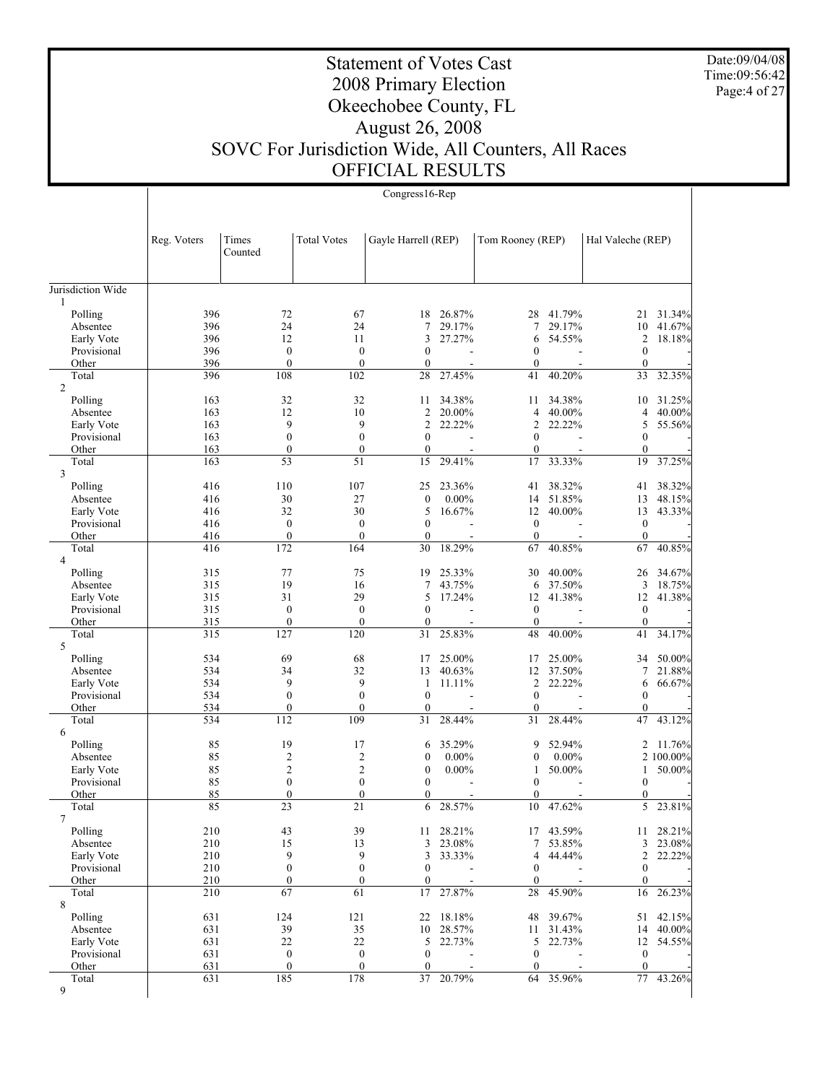Date:09/04/08 Time:09:56:42 Page:4 of 27

# Statement of Votes Cast 2008 Primary Election Okeechobee County, FL August 26, 2008 SOVC For Jurisdiction Wide, All Counters, All Races OFFICIAL RESULTS

| <b>Total Votes</b><br>Reg. Voters<br>Times<br>Gayle Harrell (REP)<br>Tom Rooney (REP)<br>Hal Valeche (REP)<br>Counted<br>Jurisdiction Wide<br>1<br>Polling<br>396<br>72<br>41.79%<br>67<br>18<br>26.87%<br>28<br>21<br>31.34%<br>396<br>24<br>24<br>29.17%<br>29.17%<br>41.67%<br>Absentee<br>7<br>7<br>10<br>396<br>12<br>18.18%<br>Early Vote<br>11<br>3<br>27.27%<br>54.55%<br>2<br>6<br>396<br>$\mathbf{0}$<br>$\boldsymbol{0}$<br>$\mathbf{0}$<br>$\mathbf{0}$<br>Provisional<br>$\theta$<br>396<br>$\boldsymbol{0}$<br>$\mathbf{0}$<br>$\mathbf{0}$<br>Other<br>$\mathbf{0}$<br>$\mathbf{0}$<br>108<br>102<br>32.35%<br>Total<br>396<br>28<br>27.45%<br>41<br>40.20%<br>33<br>$\overline{2}$<br>163<br>32<br>32<br>34.38%<br>34.38%<br>31.25%<br>Polling<br>11<br>11<br>10<br>163<br>12<br>10<br>$\overline{2}$<br>4<br>40.00%<br>40.00%<br>Absentee<br>20.00%<br>4<br>9<br>9<br>$\overline{c}$<br>22.22%<br>$\overline{2}$<br>22.22%<br>55.56%<br>Early Vote<br>163<br>5<br>$\boldsymbol{0}$<br>$\boldsymbol{0}$<br>$\mathbf{0}$<br>$\mathbf{0}$<br>$\mathbf{0}$<br>Provisional<br>163<br>$\mathbf{0}$<br>$\mathbf{0}$<br>Other<br>163<br>$\mathbf{0}$<br>$\mathbf{0}$<br>$\mathbf{0}$<br>53<br>51<br>163<br>15<br>29.41%<br>17<br>33.33%<br>19<br>37.25%<br>Total<br>3<br>Polling<br>416<br>110<br>107<br>25<br>23.36%<br>38.32%<br>38.32%<br>41<br>41<br>30<br>27<br>$\boldsymbol{0}$<br>$0.00\%$<br>51.85%<br>48.15%<br>Absentee<br>416<br>14<br>13<br>32<br>30<br>5<br>16.67%<br>12<br>13<br>43.33%<br>Early Vote<br>416<br>40.00%<br>$\mathbf{0}$<br>$\boldsymbol{0}$<br>$\mathbf{0}$<br>$\boldsymbol{0}$<br>$\boldsymbol{0}$<br>Provisional<br>416<br>$\boldsymbol{0}$<br>$\mathbf{0}$<br>$\boldsymbol{0}$<br>Other<br>416<br>$\mathbf{0}$<br>$\boldsymbol{0}$<br>172<br>164<br>40.85%<br>Total<br>416<br>30<br>18.29%<br>67<br>40.85%<br>67<br>4<br>77<br>75<br>25.33%<br>40.00%<br>34.67%<br>Polling<br>315<br>19<br>30<br>26<br>19<br>16<br>43.75%<br>37.50%<br>3<br>Absentee<br>315<br>7<br>18.75%<br>6<br>31<br>29<br>5<br>17.24%<br>41.38%<br>41.38%<br>Early Vote<br>315<br>12<br>12<br>315<br>$\mathbf{0}$<br>$\mathbf{0}$<br>$\theta$<br>$\mathbf{0}$<br>$\mathbf{0}$<br>Provisional<br>315<br>$\boldsymbol{0}$<br>$\mathbf{0}$<br>$\mathbf{0}$<br>$\boldsymbol{0}$<br>Other<br>$\mathbf{0}$<br>127<br>34.17%<br>315<br>120<br>31<br>25.83%<br>48<br>40.00%<br>41<br>Total<br>5<br>Polling<br>534<br>69<br>68<br>25.00%<br>25.00%<br>50.00%<br>17<br>17<br>34<br>534<br>34<br>32<br>37.50%<br>21.88%<br>Absentee<br>13<br>40.63%<br>12<br>7<br>9<br>534<br>9<br>$\overline{2}$<br>22.22%<br>Early Vote<br>1<br>11.11%<br>6<br>66.67%<br>534<br>$\mathbf{0}$<br>$\mathbf{0}$<br>$\mathbf{0}$<br>$\mathbf{0}$<br>Provisional<br>$\mathbf{0}$<br>534<br>$\mathbf{0}$<br>Other<br>0<br>$\mathbf{0}$<br>$\mathbf{0}$<br>$\mathbf{0}$<br>112<br>109<br>43.12%<br>Total<br>534<br>31<br>28.44%<br>31<br>28.44%<br>47<br>6<br>85<br>19<br>17<br>35.29%<br>11.76%<br>Polling<br>6<br>9<br>52.94%<br>2<br>85<br>$\overline{\mathbf{c}}$<br>$\overline{\mathbf{c}}$<br>$0.00\%$<br>2 100.00%<br>$\boldsymbol{0}$<br>$0.00\%$<br>$\mathbf{0}$<br>Absentee<br>$\overline{c}$<br>$\boldsymbol{2}$<br>85<br>$\mathbf{0}$<br>50.00%<br>Early Vote<br>$0.00\%$<br>1<br>50.00%<br>1<br>85<br>$\boldsymbol{0}$<br>$\boldsymbol{0}$<br>$\boldsymbol{0}$<br>$\boldsymbol{0}$<br>Provisional<br>$\mathbf{0}$<br>$\theta$<br>85<br>$\theta$<br>$\theta$<br>$\overline{0}$<br>$\mathbf{0}$<br>Other<br>Total<br>85<br>23<br>21<br>5 23.81%<br>6 28.57%<br>10 47.62%<br>7<br>Polling<br>210<br>43<br>39<br>28.21%<br>43.59%<br>28.21%<br>11<br>11<br>17<br>210<br>15<br>23.08%<br>$\mathfrak{Z}$<br>23.08%<br>Absentee<br>13<br>3<br>7<br>53.85%<br>9<br>Early Vote<br>210<br>9<br>3<br>33.33%<br>44.44%<br>2<br>22.22%<br>4<br>$\boldsymbol{0}$<br>210<br>$\boldsymbol{0}$<br>$\mathbf{0}$<br>$\boldsymbol{0}$<br>$\mathbf{0}$<br>Provisional<br>210<br>$\boldsymbol{0}$<br>$\boldsymbol{0}$<br>$\boldsymbol{0}$<br>$\boldsymbol{0}$<br>Other<br>$\boldsymbol{0}$<br>67<br>Total<br>210<br>61<br>17<br>27.87%<br>28<br>45.90%<br>16<br>26.23%<br>8<br>Polling<br>631<br>124<br>121<br>18.18%<br>39.67%<br>51<br>42.15%<br>22<br>48<br>39<br>631<br>35<br>28.57%<br>31.43%<br>40.00%<br>Absentee<br>10<br>11<br>14<br>22<br>631<br>22<br>5<br>22.73%<br>5<br>22.73%<br>12<br>Early Vote<br>54.55%<br>$\boldsymbol{0}$<br>631<br>$\boldsymbol{0}$<br>$\boldsymbol{0}$<br>$\mathbf{0}$<br>$\mathbf{0}$<br>Provisional |  |  | Congress16-Rep |  |  |  |
|------------------------------------------------------------------------------------------------------------------------------------------------------------------------------------------------------------------------------------------------------------------------------------------------------------------------------------------------------------------------------------------------------------------------------------------------------------------------------------------------------------------------------------------------------------------------------------------------------------------------------------------------------------------------------------------------------------------------------------------------------------------------------------------------------------------------------------------------------------------------------------------------------------------------------------------------------------------------------------------------------------------------------------------------------------------------------------------------------------------------------------------------------------------------------------------------------------------------------------------------------------------------------------------------------------------------------------------------------------------------------------------------------------------------------------------------------------------------------------------------------------------------------------------------------------------------------------------------------------------------------------------------------------------------------------------------------------------------------------------------------------------------------------------------------------------------------------------------------------------------------------------------------------------------------------------------------------------------------------------------------------------------------------------------------------------------------------------------------------------------------------------------------------------------------------------------------------------------------------------------------------------------------------------------------------------------------------------------------------------------------------------------------------------------------------------------------------------------------------------------------------------------------------------------------------------------------------------------------------------------------------------------------------------------------------------------------------------------------------------------------------------------------------------------------------------------------------------------------------------------------------------------------------------------------------------------------------------------------------------------------------------------------------------------------------------------------------------------------------------------------------------------------------------------------------------------------------------------------------------------------------------------------------------------------------------------------------------------------------------------------------------------------------------------------------------------------------------------------------------------------------------------------------------------------------------------------------------------------------------------------------------------------------------------------------------------------------------------------------------------------------------------------------------------------------------------------------------------------------------------------------------------------------------------------------------------------------------------------------------------------------------------------------------------------------------------------------------------------------------------------------------------------------------------------------------------------------------------------------------------------------------------------------------------------------------------------------------------------------------------------------------------------------------------------------------------------------------------------------------------------------------|--|--|----------------|--|--|--|
|                                                                                                                                                                                                                                                                                                                                                                                                                                                                                                                                                                                                                                                                                                                                                                                                                                                                                                                                                                                                                                                                                                                                                                                                                                                                                                                                                                                                                                                                                                                                                                                                                                                                                                                                                                                                                                                                                                                                                                                                                                                                                                                                                                                                                                                                                                                                                                                                                                                                                                                                                                                                                                                                                                                                                                                                                                                                                                                                                                                                                                                                                                                                                                                                                                                                                                                                                                                                                                                                                                                                                                                                                                                                                                                                                                                                                                                                                                                                                                                                                                                                                                                                                                                                                                                                                                                                                                                                                                                                                                                  |  |  |                |  |  |  |
|                                                                                                                                                                                                                                                                                                                                                                                                                                                                                                                                                                                                                                                                                                                                                                                                                                                                                                                                                                                                                                                                                                                                                                                                                                                                                                                                                                                                                                                                                                                                                                                                                                                                                                                                                                                                                                                                                                                                                                                                                                                                                                                                                                                                                                                                                                                                                                                                                                                                                                                                                                                                                                                                                                                                                                                                                                                                                                                                                                                                                                                                                                                                                                                                                                                                                                                                                                                                                                                                                                                                                                                                                                                                                                                                                                                                                                                                                                                                                                                                                                                                                                                                                                                                                                                                                                                                                                                                                                                                                                                  |  |  |                |  |  |  |
|                                                                                                                                                                                                                                                                                                                                                                                                                                                                                                                                                                                                                                                                                                                                                                                                                                                                                                                                                                                                                                                                                                                                                                                                                                                                                                                                                                                                                                                                                                                                                                                                                                                                                                                                                                                                                                                                                                                                                                                                                                                                                                                                                                                                                                                                                                                                                                                                                                                                                                                                                                                                                                                                                                                                                                                                                                                                                                                                                                                                                                                                                                                                                                                                                                                                                                                                                                                                                                                                                                                                                                                                                                                                                                                                                                                                                                                                                                                                                                                                                                                                                                                                                                                                                                                                                                                                                                                                                                                                                                                  |  |  |                |  |  |  |
|                                                                                                                                                                                                                                                                                                                                                                                                                                                                                                                                                                                                                                                                                                                                                                                                                                                                                                                                                                                                                                                                                                                                                                                                                                                                                                                                                                                                                                                                                                                                                                                                                                                                                                                                                                                                                                                                                                                                                                                                                                                                                                                                                                                                                                                                                                                                                                                                                                                                                                                                                                                                                                                                                                                                                                                                                                                                                                                                                                                                                                                                                                                                                                                                                                                                                                                                                                                                                                                                                                                                                                                                                                                                                                                                                                                                                                                                                                                                                                                                                                                                                                                                                                                                                                                                                                                                                                                                                                                                                                                  |  |  |                |  |  |  |
|                                                                                                                                                                                                                                                                                                                                                                                                                                                                                                                                                                                                                                                                                                                                                                                                                                                                                                                                                                                                                                                                                                                                                                                                                                                                                                                                                                                                                                                                                                                                                                                                                                                                                                                                                                                                                                                                                                                                                                                                                                                                                                                                                                                                                                                                                                                                                                                                                                                                                                                                                                                                                                                                                                                                                                                                                                                                                                                                                                                                                                                                                                                                                                                                                                                                                                                                                                                                                                                                                                                                                                                                                                                                                                                                                                                                                                                                                                                                                                                                                                                                                                                                                                                                                                                                                                                                                                                                                                                                                                                  |  |  |                |  |  |  |
|                                                                                                                                                                                                                                                                                                                                                                                                                                                                                                                                                                                                                                                                                                                                                                                                                                                                                                                                                                                                                                                                                                                                                                                                                                                                                                                                                                                                                                                                                                                                                                                                                                                                                                                                                                                                                                                                                                                                                                                                                                                                                                                                                                                                                                                                                                                                                                                                                                                                                                                                                                                                                                                                                                                                                                                                                                                                                                                                                                                                                                                                                                                                                                                                                                                                                                                                                                                                                                                                                                                                                                                                                                                                                                                                                                                                                                                                                                                                                                                                                                                                                                                                                                                                                                                                                                                                                                                                                                                                                                                  |  |  |                |  |  |  |
|                                                                                                                                                                                                                                                                                                                                                                                                                                                                                                                                                                                                                                                                                                                                                                                                                                                                                                                                                                                                                                                                                                                                                                                                                                                                                                                                                                                                                                                                                                                                                                                                                                                                                                                                                                                                                                                                                                                                                                                                                                                                                                                                                                                                                                                                                                                                                                                                                                                                                                                                                                                                                                                                                                                                                                                                                                                                                                                                                                                                                                                                                                                                                                                                                                                                                                                                                                                                                                                                                                                                                                                                                                                                                                                                                                                                                                                                                                                                                                                                                                                                                                                                                                                                                                                                                                                                                                                                                                                                                                                  |  |  |                |  |  |  |
|                                                                                                                                                                                                                                                                                                                                                                                                                                                                                                                                                                                                                                                                                                                                                                                                                                                                                                                                                                                                                                                                                                                                                                                                                                                                                                                                                                                                                                                                                                                                                                                                                                                                                                                                                                                                                                                                                                                                                                                                                                                                                                                                                                                                                                                                                                                                                                                                                                                                                                                                                                                                                                                                                                                                                                                                                                                                                                                                                                                                                                                                                                                                                                                                                                                                                                                                                                                                                                                                                                                                                                                                                                                                                                                                                                                                                                                                                                                                                                                                                                                                                                                                                                                                                                                                                                                                                                                                                                                                                                                  |  |  |                |  |  |  |
|                                                                                                                                                                                                                                                                                                                                                                                                                                                                                                                                                                                                                                                                                                                                                                                                                                                                                                                                                                                                                                                                                                                                                                                                                                                                                                                                                                                                                                                                                                                                                                                                                                                                                                                                                                                                                                                                                                                                                                                                                                                                                                                                                                                                                                                                                                                                                                                                                                                                                                                                                                                                                                                                                                                                                                                                                                                                                                                                                                                                                                                                                                                                                                                                                                                                                                                                                                                                                                                                                                                                                                                                                                                                                                                                                                                                                                                                                                                                                                                                                                                                                                                                                                                                                                                                                                                                                                                                                                                                                                                  |  |  |                |  |  |  |
|                                                                                                                                                                                                                                                                                                                                                                                                                                                                                                                                                                                                                                                                                                                                                                                                                                                                                                                                                                                                                                                                                                                                                                                                                                                                                                                                                                                                                                                                                                                                                                                                                                                                                                                                                                                                                                                                                                                                                                                                                                                                                                                                                                                                                                                                                                                                                                                                                                                                                                                                                                                                                                                                                                                                                                                                                                                                                                                                                                                                                                                                                                                                                                                                                                                                                                                                                                                                                                                                                                                                                                                                                                                                                                                                                                                                                                                                                                                                                                                                                                                                                                                                                                                                                                                                                                                                                                                                                                                                                                                  |  |  |                |  |  |  |
|                                                                                                                                                                                                                                                                                                                                                                                                                                                                                                                                                                                                                                                                                                                                                                                                                                                                                                                                                                                                                                                                                                                                                                                                                                                                                                                                                                                                                                                                                                                                                                                                                                                                                                                                                                                                                                                                                                                                                                                                                                                                                                                                                                                                                                                                                                                                                                                                                                                                                                                                                                                                                                                                                                                                                                                                                                                                                                                                                                                                                                                                                                                                                                                                                                                                                                                                                                                                                                                                                                                                                                                                                                                                                                                                                                                                                                                                                                                                                                                                                                                                                                                                                                                                                                                                                                                                                                                                                                                                                                                  |  |  |                |  |  |  |
|                                                                                                                                                                                                                                                                                                                                                                                                                                                                                                                                                                                                                                                                                                                                                                                                                                                                                                                                                                                                                                                                                                                                                                                                                                                                                                                                                                                                                                                                                                                                                                                                                                                                                                                                                                                                                                                                                                                                                                                                                                                                                                                                                                                                                                                                                                                                                                                                                                                                                                                                                                                                                                                                                                                                                                                                                                                                                                                                                                                                                                                                                                                                                                                                                                                                                                                                                                                                                                                                                                                                                                                                                                                                                                                                                                                                                                                                                                                                                                                                                                                                                                                                                                                                                                                                                                                                                                                                                                                                                                                  |  |  |                |  |  |  |
|                                                                                                                                                                                                                                                                                                                                                                                                                                                                                                                                                                                                                                                                                                                                                                                                                                                                                                                                                                                                                                                                                                                                                                                                                                                                                                                                                                                                                                                                                                                                                                                                                                                                                                                                                                                                                                                                                                                                                                                                                                                                                                                                                                                                                                                                                                                                                                                                                                                                                                                                                                                                                                                                                                                                                                                                                                                                                                                                                                                                                                                                                                                                                                                                                                                                                                                                                                                                                                                                                                                                                                                                                                                                                                                                                                                                                                                                                                                                                                                                                                                                                                                                                                                                                                                                                                                                                                                                                                                                                                                  |  |  |                |  |  |  |
|                                                                                                                                                                                                                                                                                                                                                                                                                                                                                                                                                                                                                                                                                                                                                                                                                                                                                                                                                                                                                                                                                                                                                                                                                                                                                                                                                                                                                                                                                                                                                                                                                                                                                                                                                                                                                                                                                                                                                                                                                                                                                                                                                                                                                                                                                                                                                                                                                                                                                                                                                                                                                                                                                                                                                                                                                                                                                                                                                                                                                                                                                                                                                                                                                                                                                                                                                                                                                                                                                                                                                                                                                                                                                                                                                                                                                                                                                                                                                                                                                                                                                                                                                                                                                                                                                                                                                                                                                                                                                                                  |  |  |                |  |  |  |
|                                                                                                                                                                                                                                                                                                                                                                                                                                                                                                                                                                                                                                                                                                                                                                                                                                                                                                                                                                                                                                                                                                                                                                                                                                                                                                                                                                                                                                                                                                                                                                                                                                                                                                                                                                                                                                                                                                                                                                                                                                                                                                                                                                                                                                                                                                                                                                                                                                                                                                                                                                                                                                                                                                                                                                                                                                                                                                                                                                                                                                                                                                                                                                                                                                                                                                                                                                                                                                                                                                                                                                                                                                                                                                                                                                                                                                                                                                                                                                                                                                                                                                                                                                                                                                                                                                                                                                                                                                                                                                                  |  |  |                |  |  |  |
|                                                                                                                                                                                                                                                                                                                                                                                                                                                                                                                                                                                                                                                                                                                                                                                                                                                                                                                                                                                                                                                                                                                                                                                                                                                                                                                                                                                                                                                                                                                                                                                                                                                                                                                                                                                                                                                                                                                                                                                                                                                                                                                                                                                                                                                                                                                                                                                                                                                                                                                                                                                                                                                                                                                                                                                                                                                                                                                                                                                                                                                                                                                                                                                                                                                                                                                                                                                                                                                                                                                                                                                                                                                                                                                                                                                                                                                                                                                                                                                                                                                                                                                                                                                                                                                                                                                                                                                                                                                                                                                  |  |  |                |  |  |  |
|                                                                                                                                                                                                                                                                                                                                                                                                                                                                                                                                                                                                                                                                                                                                                                                                                                                                                                                                                                                                                                                                                                                                                                                                                                                                                                                                                                                                                                                                                                                                                                                                                                                                                                                                                                                                                                                                                                                                                                                                                                                                                                                                                                                                                                                                                                                                                                                                                                                                                                                                                                                                                                                                                                                                                                                                                                                                                                                                                                                                                                                                                                                                                                                                                                                                                                                                                                                                                                                                                                                                                                                                                                                                                                                                                                                                                                                                                                                                                                                                                                                                                                                                                                                                                                                                                                                                                                                                                                                                                                                  |  |  |                |  |  |  |
|                                                                                                                                                                                                                                                                                                                                                                                                                                                                                                                                                                                                                                                                                                                                                                                                                                                                                                                                                                                                                                                                                                                                                                                                                                                                                                                                                                                                                                                                                                                                                                                                                                                                                                                                                                                                                                                                                                                                                                                                                                                                                                                                                                                                                                                                                                                                                                                                                                                                                                                                                                                                                                                                                                                                                                                                                                                                                                                                                                                                                                                                                                                                                                                                                                                                                                                                                                                                                                                                                                                                                                                                                                                                                                                                                                                                                                                                                                                                                                                                                                                                                                                                                                                                                                                                                                                                                                                                                                                                                                                  |  |  |                |  |  |  |
|                                                                                                                                                                                                                                                                                                                                                                                                                                                                                                                                                                                                                                                                                                                                                                                                                                                                                                                                                                                                                                                                                                                                                                                                                                                                                                                                                                                                                                                                                                                                                                                                                                                                                                                                                                                                                                                                                                                                                                                                                                                                                                                                                                                                                                                                                                                                                                                                                                                                                                                                                                                                                                                                                                                                                                                                                                                                                                                                                                                                                                                                                                                                                                                                                                                                                                                                                                                                                                                                                                                                                                                                                                                                                                                                                                                                                                                                                                                                                                                                                                                                                                                                                                                                                                                                                                                                                                                                                                                                                                                  |  |  |                |  |  |  |
|                                                                                                                                                                                                                                                                                                                                                                                                                                                                                                                                                                                                                                                                                                                                                                                                                                                                                                                                                                                                                                                                                                                                                                                                                                                                                                                                                                                                                                                                                                                                                                                                                                                                                                                                                                                                                                                                                                                                                                                                                                                                                                                                                                                                                                                                                                                                                                                                                                                                                                                                                                                                                                                                                                                                                                                                                                                                                                                                                                                                                                                                                                                                                                                                                                                                                                                                                                                                                                                                                                                                                                                                                                                                                                                                                                                                                                                                                                                                                                                                                                                                                                                                                                                                                                                                                                                                                                                                                                                                                                                  |  |  |                |  |  |  |
|                                                                                                                                                                                                                                                                                                                                                                                                                                                                                                                                                                                                                                                                                                                                                                                                                                                                                                                                                                                                                                                                                                                                                                                                                                                                                                                                                                                                                                                                                                                                                                                                                                                                                                                                                                                                                                                                                                                                                                                                                                                                                                                                                                                                                                                                                                                                                                                                                                                                                                                                                                                                                                                                                                                                                                                                                                                                                                                                                                                                                                                                                                                                                                                                                                                                                                                                                                                                                                                                                                                                                                                                                                                                                                                                                                                                                                                                                                                                                                                                                                                                                                                                                                                                                                                                                                                                                                                                                                                                                                                  |  |  |                |  |  |  |
|                                                                                                                                                                                                                                                                                                                                                                                                                                                                                                                                                                                                                                                                                                                                                                                                                                                                                                                                                                                                                                                                                                                                                                                                                                                                                                                                                                                                                                                                                                                                                                                                                                                                                                                                                                                                                                                                                                                                                                                                                                                                                                                                                                                                                                                                                                                                                                                                                                                                                                                                                                                                                                                                                                                                                                                                                                                                                                                                                                                                                                                                                                                                                                                                                                                                                                                                                                                                                                                                                                                                                                                                                                                                                                                                                                                                                                                                                                                                                                                                                                                                                                                                                                                                                                                                                                                                                                                                                                                                                                                  |  |  |                |  |  |  |
|                                                                                                                                                                                                                                                                                                                                                                                                                                                                                                                                                                                                                                                                                                                                                                                                                                                                                                                                                                                                                                                                                                                                                                                                                                                                                                                                                                                                                                                                                                                                                                                                                                                                                                                                                                                                                                                                                                                                                                                                                                                                                                                                                                                                                                                                                                                                                                                                                                                                                                                                                                                                                                                                                                                                                                                                                                                                                                                                                                                                                                                                                                                                                                                                                                                                                                                                                                                                                                                                                                                                                                                                                                                                                                                                                                                                                                                                                                                                                                                                                                                                                                                                                                                                                                                                                                                                                                                                                                                                                                                  |  |  |                |  |  |  |
|                                                                                                                                                                                                                                                                                                                                                                                                                                                                                                                                                                                                                                                                                                                                                                                                                                                                                                                                                                                                                                                                                                                                                                                                                                                                                                                                                                                                                                                                                                                                                                                                                                                                                                                                                                                                                                                                                                                                                                                                                                                                                                                                                                                                                                                                                                                                                                                                                                                                                                                                                                                                                                                                                                                                                                                                                                                                                                                                                                                                                                                                                                                                                                                                                                                                                                                                                                                                                                                                                                                                                                                                                                                                                                                                                                                                                                                                                                                                                                                                                                                                                                                                                                                                                                                                                                                                                                                                                                                                                                                  |  |  |                |  |  |  |
|                                                                                                                                                                                                                                                                                                                                                                                                                                                                                                                                                                                                                                                                                                                                                                                                                                                                                                                                                                                                                                                                                                                                                                                                                                                                                                                                                                                                                                                                                                                                                                                                                                                                                                                                                                                                                                                                                                                                                                                                                                                                                                                                                                                                                                                                                                                                                                                                                                                                                                                                                                                                                                                                                                                                                                                                                                                                                                                                                                                                                                                                                                                                                                                                                                                                                                                                                                                                                                                                                                                                                                                                                                                                                                                                                                                                                                                                                                                                                                                                                                                                                                                                                                                                                                                                                                                                                                                                                                                                                                                  |  |  |                |  |  |  |
|                                                                                                                                                                                                                                                                                                                                                                                                                                                                                                                                                                                                                                                                                                                                                                                                                                                                                                                                                                                                                                                                                                                                                                                                                                                                                                                                                                                                                                                                                                                                                                                                                                                                                                                                                                                                                                                                                                                                                                                                                                                                                                                                                                                                                                                                                                                                                                                                                                                                                                                                                                                                                                                                                                                                                                                                                                                                                                                                                                                                                                                                                                                                                                                                                                                                                                                                                                                                                                                                                                                                                                                                                                                                                                                                                                                                                                                                                                                                                                                                                                                                                                                                                                                                                                                                                                                                                                                                                                                                                                                  |  |  |                |  |  |  |
|                                                                                                                                                                                                                                                                                                                                                                                                                                                                                                                                                                                                                                                                                                                                                                                                                                                                                                                                                                                                                                                                                                                                                                                                                                                                                                                                                                                                                                                                                                                                                                                                                                                                                                                                                                                                                                                                                                                                                                                                                                                                                                                                                                                                                                                                                                                                                                                                                                                                                                                                                                                                                                                                                                                                                                                                                                                                                                                                                                                                                                                                                                                                                                                                                                                                                                                                                                                                                                                                                                                                                                                                                                                                                                                                                                                                                                                                                                                                                                                                                                                                                                                                                                                                                                                                                                                                                                                                                                                                                                                  |  |  |                |  |  |  |
|                                                                                                                                                                                                                                                                                                                                                                                                                                                                                                                                                                                                                                                                                                                                                                                                                                                                                                                                                                                                                                                                                                                                                                                                                                                                                                                                                                                                                                                                                                                                                                                                                                                                                                                                                                                                                                                                                                                                                                                                                                                                                                                                                                                                                                                                                                                                                                                                                                                                                                                                                                                                                                                                                                                                                                                                                                                                                                                                                                                                                                                                                                                                                                                                                                                                                                                                                                                                                                                                                                                                                                                                                                                                                                                                                                                                                                                                                                                                                                                                                                                                                                                                                                                                                                                                                                                                                                                                                                                                                                                  |  |  |                |  |  |  |
|                                                                                                                                                                                                                                                                                                                                                                                                                                                                                                                                                                                                                                                                                                                                                                                                                                                                                                                                                                                                                                                                                                                                                                                                                                                                                                                                                                                                                                                                                                                                                                                                                                                                                                                                                                                                                                                                                                                                                                                                                                                                                                                                                                                                                                                                                                                                                                                                                                                                                                                                                                                                                                                                                                                                                                                                                                                                                                                                                                                                                                                                                                                                                                                                                                                                                                                                                                                                                                                                                                                                                                                                                                                                                                                                                                                                                                                                                                                                                                                                                                                                                                                                                                                                                                                                                                                                                                                                                                                                                                                  |  |  |                |  |  |  |
|                                                                                                                                                                                                                                                                                                                                                                                                                                                                                                                                                                                                                                                                                                                                                                                                                                                                                                                                                                                                                                                                                                                                                                                                                                                                                                                                                                                                                                                                                                                                                                                                                                                                                                                                                                                                                                                                                                                                                                                                                                                                                                                                                                                                                                                                                                                                                                                                                                                                                                                                                                                                                                                                                                                                                                                                                                                                                                                                                                                                                                                                                                                                                                                                                                                                                                                                                                                                                                                                                                                                                                                                                                                                                                                                                                                                                                                                                                                                                                                                                                                                                                                                                                                                                                                                                                                                                                                                                                                                                                                  |  |  |                |  |  |  |
|                                                                                                                                                                                                                                                                                                                                                                                                                                                                                                                                                                                                                                                                                                                                                                                                                                                                                                                                                                                                                                                                                                                                                                                                                                                                                                                                                                                                                                                                                                                                                                                                                                                                                                                                                                                                                                                                                                                                                                                                                                                                                                                                                                                                                                                                                                                                                                                                                                                                                                                                                                                                                                                                                                                                                                                                                                                                                                                                                                                                                                                                                                                                                                                                                                                                                                                                                                                                                                                                                                                                                                                                                                                                                                                                                                                                                                                                                                                                                                                                                                                                                                                                                                                                                                                                                                                                                                                                                                                                                                                  |  |  |                |  |  |  |
|                                                                                                                                                                                                                                                                                                                                                                                                                                                                                                                                                                                                                                                                                                                                                                                                                                                                                                                                                                                                                                                                                                                                                                                                                                                                                                                                                                                                                                                                                                                                                                                                                                                                                                                                                                                                                                                                                                                                                                                                                                                                                                                                                                                                                                                                                                                                                                                                                                                                                                                                                                                                                                                                                                                                                                                                                                                                                                                                                                                                                                                                                                                                                                                                                                                                                                                                                                                                                                                                                                                                                                                                                                                                                                                                                                                                                                                                                                                                                                                                                                                                                                                                                                                                                                                                                                                                                                                                                                                                                                                  |  |  |                |  |  |  |
|                                                                                                                                                                                                                                                                                                                                                                                                                                                                                                                                                                                                                                                                                                                                                                                                                                                                                                                                                                                                                                                                                                                                                                                                                                                                                                                                                                                                                                                                                                                                                                                                                                                                                                                                                                                                                                                                                                                                                                                                                                                                                                                                                                                                                                                                                                                                                                                                                                                                                                                                                                                                                                                                                                                                                                                                                                                                                                                                                                                                                                                                                                                                                                                                                                                                                                                                                                                                                                                                                                                                                                                                                                                                                                                                                                                                                                                                                                                                                                                                                                                                                                                                                                                                                                                                                                                                                                                                                                                                                                                  |  |  |                |  |  |  |
|                                                                                                                                                                                                                                                                                                                                                                                                                                                                                                                                                                                                                                                                                                                                                                                                                                                                                                                                                                                                                                                                                                                                                                                                                                                                                                                                                                                                                                                                                                                                                                                                                                                                                                                                                                                                                                                                                                                                                                                                                                                                                                                                                                                                                                                                                                                                                                                                                                                                                                                                                                                                                                                                                                                                                                                                                                                                                                                                                                                                                                                                                                                                                                                                                                                                                                                                                                                                                                                                                                                                                                                                                                                                                                                                                                                                                                                                                                                                                                                                                                                                                                                                                                                                                                                                                                                                                                                                                                                                                                                  |  |  |                |  |  |  |
|                                                                                                                                                                                                                                                                                                                                                                                                                                                                                                                                                                                                                                                                                                                                                                                                                                                                                                                                                                                                                                                                                                                                                                                                                                                                                                                                                                                                                                                                                                                                                                                                                                                                                                                                                                                                                                                                                                                                                                                                                                                                                                                                                                                                                                                                                                                                                                                                                                                                                                                                                                                                                                                                                                                                                                                                                                                                                                                                                                                                                                                                                                                                                                                                                                                                                                                                                                                                                                                                                                                                                                                                                                                                                                                                                                                                                                                                                                                                                                                                                                                                                                                                                                                                                                                                                                                                                                                                                                                                                                                  |  |  |                |  |  |  |
|                                                                                                                                                                                                                                                                                                                                                                                                                                                                                                                                                                                                                                                                                                                                                                                                                                                                                                                                                                                                                                                                                                                                                                                                                                                                                                                                                                                                                                                                                                                                                                                                                                                                                                                                                                                                                                                                                                                                                                                                                                                                                                                                                                                                                                                                                                                                                                                                                                                                                                                                                                                                                                                                                                                                                                                                                                                                                                                                                                                                                                                                                                                                                                                                                                                                                                                                                                                                                                                                                                                                                                                                                                                                                                                                                                                                                                                                                                                                                                                                                                                                                                                                                                                                                                                                                                                                                                                                                                                                                                                  |  |  |                |  |  |  |
|                                                                                                                                                                                                                                                                                                                                                                                                                                                                                                                                                                                                                                                                                                                                                                                                                                                                                                                                                                                                                                                                                                                                                                                                                                                                                                                                                                                                                                                                                                                                                                                                                                                                                                                                                                                                                                                                                                                                                                                                                                                                                                                                                                                                                                                                                                                                                                                                                                                                                                                                                                                                                                                                                                                                                                                                                                                                                                                                                                                                                                                                                                                                                                                                                                                                                                                                                                                                                                                                                                                                                                                                                                                                                                                                                                                                                                                                                                                                                                                                                                                                                                                                                                                                                                                                                                                                                                                                                                                                                                                  |  |  |                |  |  |  |
|                                                                                                                                                                                                                                                                                                                                                                                                                                                                                                                                                                                                                                                                                                                                                                                                                                                                                                                                                                                                                                                                                                                                                                                                                                                                                                                                                                                                                                                                                                                                                                                                                                                                                                                                                                                                                                                                                                                                                                                                                                                                                                                                                                                                                                                                                                                                                                                                                                                                                                                                                                                                                                                                                                                                                                                                                                                                                                                                                                                                                                                                                                                                                                                                                                                                                                                                                                                                                                                                                                                                                                                                                                                                                                                                                                                                                                                                                                                                                                                                                                                                                                                                                                                                                                                                                                                                                                                                                                                                                                                  |  |  |                |  |  |  |
|                                                                                                                                                                                                                                                                                                                                                                                                                                                                                                                                                                                                                                                                                                                                                                                                                                                                                                                                                                                                                                                                                                                                                                                                                                                                                                                                                                                                                                                                                                                                                                                                                                                                                                                                                                                                                                                                                                                                                                                                                                                                                                                                                                                                                                                                                                                                                                                                                                                                                                                                                                                                                                                                                                                                                                                                                                                                                                                                                                                                                                                                                                                                                                                                                                                                                                                                                                                                                                                                                                                                                                                                                                                                                                                                                                                                                                                                                                                                                                                                                                                                                                                                                                                                                                                                                                                                                                                                                                                                                                                  |  |  |                |  |  |  |
|                                                                                                                                                                                                                                                                                                                                                                                                                                                                                                                                                                                                                                                                                                                                                                                                                                                                                                                                                                                                                                                                                                                                                                                                                                                                                                                                                                                                                                                                                                                                                                                                                                                                                                                                                                                                                                                                                                                                                                                                                                                                                                                                                                                                                                                                                                                                                                                                                                                                                                                                                                                                                                                                                                                                                                                                                                                                                                                                                                                                                                                                                                                                                                                                                                                                                                                                                                                                                                                                                                                                                                                                                                                                                                                                                                                                                                                                                                                                                                                                                                                                                                                                                                                                                                                                                                                                                                                                                                                                                                                  |  |  |                |  |  |  |
|                                                                                                                                                                                                                                                                                                                                                                                                                                                                                                                                                                                                                                                                                                                                                                                                                                                                                                                                                                                                                                                                                                                                                                                                                                                                                                                                                                                                                                                                                                                                                                                                                                                                                                                                                                                                                                                                                                                                                                                                                                                                                                                                                                                                                                                                                                                                                                                                                                                                                                                                                                                                                                                                                                                                                                                                                                                                                                                                                                                                                                                                                                                                                                                                                                                                                                                                                                                                                                                                                                                                                                                                                                                                                                                                                                                                                                                                                                                                                                                                                                                                                                                                                                                                                                                                                                                                                                                                                                                                                                                  |  |  |                |  |  |  |
|                                                                                                                                                                                                                                                                                                                                                                                                                                                                                                                                                                                                                                                                                                                                                                                                                                                                                                                                                                                                                                                                                                                                                                                                                                                                                                                                                                                                                                                                                                                                                                                                                                                                                                                                                                                                                                                                                                                                                                                                                                                                                                                                                                                                                                                                                                                                                                                                                                                                                                                                                                                                                                                                                                                                                                                                                                                                                                                                                                                                                                                                                                                                                                                                                                                                                                                                                                                                                                                                                                                                                                                                                                                                                                                                                                                                                                                                                                                                                                                                                                                                                                                                                                                                                                                                                                                                                                                                                                                                                                                  |  |  |                |  |  |  |
|                                                                                                                                                                                                                                                                                                                                                                                                                                                                                                                                                                                                                                                                                                                                                                                                                                                                                                                                                                                                                                                                                                                                                                                                                                                                                                                                                                                                                                                                                                                                                                                                                                                                                                                                                                                                                                                                                                                                                                                                                                                                                                                                                                                                                                                                                                                                                                                                                                                                                                                                                                                                                                                                                                                                                                                                                                                                                                                                                                                                                                                                                                                                                                                                                                                                                                                                                                                                                                                                                                                                                                                                                                                                                                                                                                                                                                                                                                                                                                                                                                                                                                                                                                                                                                                                                                                                                                                                                                                                                                                  |  |  |                |  |  |  |
|                                                                                                                                                                                                                                                                                                                                                                                                                                                                                                                                                                                                                                                                                                                                                                                                                                                                                                                                                                                                                                                                                                                                                                                                                                                                                                                                                                                                                                                                                                                                                                                                                                                                                                                                                                                                                                                                                                                                                                                                                                                                                                                                                                                                                                                                                                                                                                                                                                                                                                                                                                                                                                                                                                                                                                                                                                                                                                                                                                                                                                                                                                                                                                                                                                                                                                                                                                                                                                                                                                                                                                                                                                                                                                                                                                                                                                                                                                                                                                                                                                                                                                                                                                                                                                                                                                                                                                                                                                                                                                                  |  |  |                |  |  |  |
|                                                                                                                                                                                                                                                                                                                                                                                                                                                                                                                                                                                                                                                                                                                                                                                                                                                                                                                                                                                                                                                                                                                                                                                                                                                                                                                                                                                                                                                                                                                                                                                                                                                                                                                                                                                                                                                                                                                                                                                                                                                                                                                                                                                                                                                                                                                                                                                                                                                                                                                                                                                                                                                                                                                                                                                                                                                                                                                                                                                                                                                                                                                                                                                                                                                                                                                                                                                                                                                                                                                                                                                                                                                                                                                                                                                                                                                                                                                                                                                                                                                                                                                                                                                                                                                                                                                                                                                                                                                                                                                  |  |  |                |  |  |  |
|                                                                                                                                                                                                                                                                                                                                                                                                                                                                                                                                                                                                                                                                                                                                                                                                                                                                                                                                                                                                                                                                                                                                                                                                                                                                                                                                                                                                                                                                                                                                                                                                                                                                                                                                                                                                                                                                                                                                                                                                                                                                                                                                                                                                                                                                                                                                                                                                                                                                                                                                                                                                                                                                                                                                                                                                                                                                                                                                                                                                                                                                                                                                                                                                                                                                                                                                                                                                                                                                                                                                                                                                                                                                                                                                                                                                                                                                                                                                                                                                                                                                                                                                                                                                                                                                                                                                                                                                                                                                                                                  |  |  |                |  |  |  |
|                                                                                                                                                                                                                                                                                                                                                                                                                                                                                                                                                                                                                                                                                                                                                                                                                                                                                                                                                                                                                                                                                                                                                                                                                                                                                                                                                                                                                                                                                                                                                                                                                                                                                                                                                                                                                                                                                                                                                                                                                                                                                                                                                                                                                                                                                                                                                                                                                                                                                                                                                                                                                                                                                                                                                                                                                                                                                                                                                                                                                                                                                                                                                                                                                                                                                                                                                                                                                                                                                                                                                                                                                                                                                                                                                                                                                                                                                                                                                                                                                                                                                                                                                                                                                                                                                                                                                                                                                                                                                                                  |  |  |                |  |  |  |
|                                                                                                                                                                                                                                                                                                                                                                                                                                                                                                                                                                                                                                                                                                                                                                                                                                                                                                                                                                                                                                                                                                                                                                                                                                                                                                                                                                                                                                                                                                                                                                                                                                                                                                                                                                                                                                                                                                                                                                                                                                                                                                                                                                                                                                                                                                                                                                                                                                                                                                                                                                                                                                                                                                                                                                                                                                                                                                                                                                                                                                                                                                                                                                                                                                                                                                                                                                                                                                                                                                                                                                                                                                                                                                                                                                                                                                                                                                                                                                                                                                                                                                                                                                                                                                                                                                                                                                                                                                                                                                                  |  |  |                |  |  |  |
| Other<br>631<br>$\mathbf{0}$<br>$\boldsymbol{0}$<br>$\mathbf{0}$<br>$\boldsymbol{0}$<br>$\theta$<br>185<br>178<br>Total<br>37<br>20.79%<br>64<br>35.96%<br>77<br>43.26%<br>631                                                                                                                                                                                                                                                                                                                                                                                                                                                                                                                                                                                                                                                                                                                                                                                                                                                                                                                                                                                                                                                                                                                                                                                                                                                                                                                                                                                                                                                                                                                                                                                                                                                                                                                                                                                                                                                                                                                                                                                                                                                                                                                                                                                                                                                                                                                                                                                                                                                                                                                                                                                                                                                                                                                                                                                                                                                                                                                                                                                                                                                                                                                                                                                                                                                                                                                                                                                                                                                                                                                                                                                                                                                                                                                                                                                                                                                                                                                                                                                                                                                                                                                                                                                                                                                                                                                                   |  |  |                |  |  |  |
| 9                                                                                                                                                                                                                                                                                                                                                                                                                                                                                                                                                                                                                                                                                                                                                                                                                                                                                                                                                                                                                                                                                                                                                                                                                                                                                                                                                                                                                                                                                                                                                                                                                                                                                                                                                                                                                                                                                                                                                                                                                                                                                                                                                                                                                                                                                                                                                                                                                                                                                                                                                                                                                                                                                                                                                                                                                                                                                                                                                                                                                                                                                                                                                                                                                                                                                                                                                                                                                                                                                                                                                                                                                                                                                                                                                                                                                                                                                                                                                                                                                                                                                                                                                                                                                                                                                                                                                                                                                                                                                                                |  |  |                |  |  |  |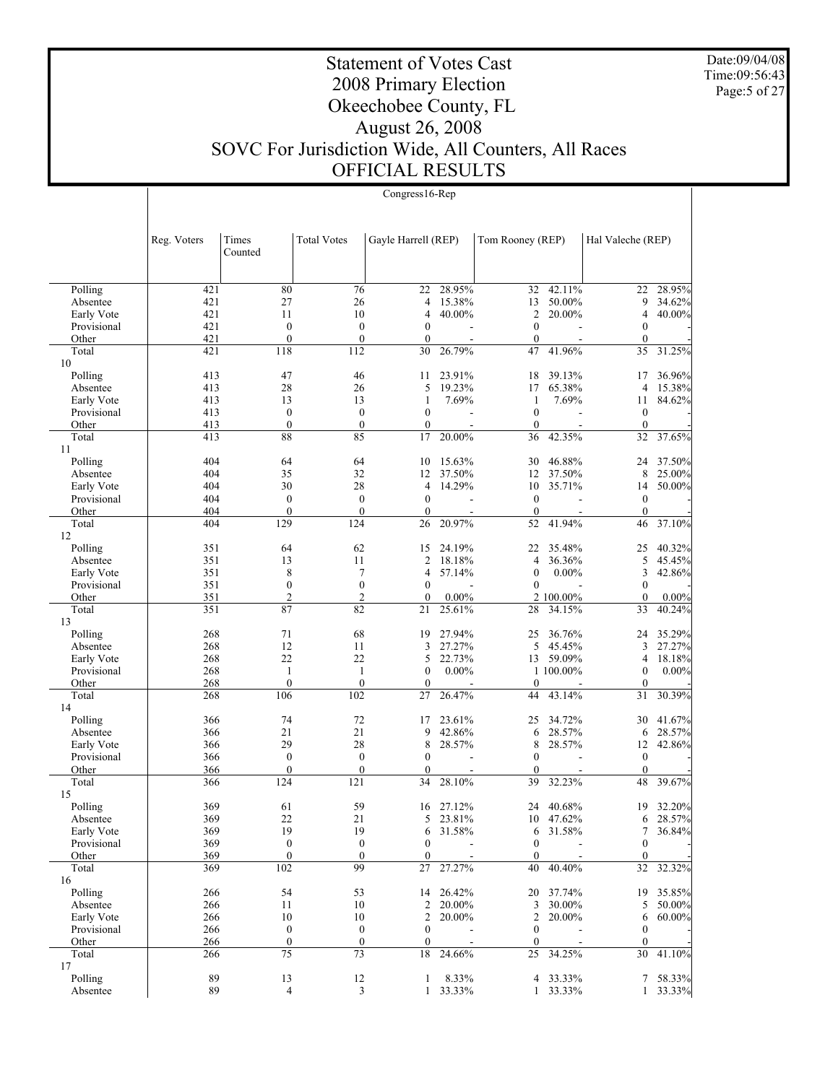Date:09/04/08 Time:09:56:43 Page:5 of 27

Τ

# Statement of Votes Cast 2008 Primary Election Okeechobee County, FL August 26, 2008 SOVC For Jurisdiction Wide, All Counters, All Races OFFICIAL RESULTS

|                        |             | Congress16-Rep                   |                                      |                              |                  |                                      |                  |                                  |                  |
|------------------------|-------------|----------------------------------|--------------------------------------|------------------------------|------------------|--------------------------------------|------------------|----------------------------------|------------------|
|                        |             |                                  |                                      |                              |                  |                                      |                  |                                  |                  |
|                        |             |                                  |                                      |                              |                  |                                      |                  |                                  |                  |
|                        | Reg. Voters | Times                            | <b>Total Votes</b>                   | Gayle Harrell (REP)          |                  | Tom Rooney (REP)                     |                  | Hal Valeche (REP)                |                  |
|                        |             | Counted                          |                                      |                              |                  |                                      |                  |                                  |                  |
|                        |             |                                  |                                      |                              |                  |                                      |                  |                                  |                  |
| Polling                | 421         | 80                               | 76                                   | 22                           | 28.95%           | 32                                   | 42.11%           | 22                               | 28.95%           |
| Absentee               | 421         | 27                               | 26                                   | 4                            | 15.38%           | 13                                   | 50.00%           | 9                                | 34.62%           |
| Early Vote             | 421         | 11                               | 10                                   | 4                            | 40.00%           | $\overline{2}$                       | 20.00%           | 4                                | 40.00%           |
| Provisional            | 421         | $\boldsymbol{0}$                 | $\boldsymbol{0}$                     | $\mathbf{0}$                 |                  | $\boldsymbol{0}$                     |                  | $\boldsymbol{0}$                 |                  |
| Other                  | 421         | $\mathbf{0}$                     | $\mathbf{0}$                         | $\Omega$                     |                  | $\mathbf{0}$                         |                  | $\boldsymbol{0}$                 |                  |
| Total                  | 421         | 118                              | 112                                  | 30                           | 26.79%           | 47                                   | 41.96%           | 35                               | 31.25%           |
| 10                     |             |                                  |                                      |                              |                  |                                      |                  |                                  |                  |
| Polling                | 413<br>413  | 47<br>28                         | 46<br>26                             | 11<br>5                      | 23.91%<br>19.23% | 18<br>17                             | 39.13%<br>65.38% | 17<br>4                          | 36.96%<br>15.38% |
| Absentee<br>Early Vote | 413         | 13                               | 13                                   | 1                            | 7.69%            | 1                                    | 7.69%            | 11                               | 84.62%           |
| Provisional            | 413         | $\boldsymbol{0}$                 | $\boldsymbol{0}$                     | $\mathbf{0}$                 |                  | $\boldsymbol{0}$                     |                  | $\boldsymbol{0}$                 |                  |
| Other                  | 413         | $\mathbf{0}$                     | $\boldsymbol{0}$                     | $\mathbf{0}$                 |                  | $\boldsymbol{0}$                     |                  | $\mathbf{0}$                     |                  |
| Total                  | 413         | 88                               | 85                                   | 17                           | 20.00%           | 36                                   | 42.35%           | 32                               | 37.65%           |
| 11                     |             |                                  |                                      |                              |                  |                                      |                  |                                  |                  |
| Polling                | 404         | 64                               | 64                                   | 10                           | 15.63%           | 30                                   | 46.88%           | 24                               | 37.50%           |
| Absentee               | 404         | 35                               | 32                                   | 12                           | 37.50%           | 12                                   | 37.50%           | 8                                | 25.00%           |
| Early Vote             | 404         | 30                               | 28                                   | 4                            | 14.29%           | 10                                   | 35.71%           | 14                               | 50.00%           |
| Provisional<br>Other   | 404<br>404  | $\boldsymbol{0}$<br>$\mathbf{0}$ | $\boldsymbol{0}$<br>$\mathbf{0}$     | $\boldsymbol{0}$<br>$\theta$ |                  | $\boldsymbol{0}$<br>$\boldsymbol{0}$ |                  | $\boldsymbol{0}$<br>$\mathbf{0}$ |                  |
| Total                  | 404         | 129                              | 124                                  | 26                           | 20.97%           | 52                                   | 41.94%           | 46                               | 37.10%           |
| 12                     |             |                                  |                                      |                              |                  |                                      |                  |                                  |                  |
| Polling                | 351         | 64                               | 62                                   | 15                           | 24.19%           | 22                                   | 35.48%           | 25                               | 40.32%           |
| Absentee               | 351         | 13                               | 11                                   | $\overline{c}$               | 18.18%           | 4                                    | 36.36%           | 5                                | 45.45%           |
| Early Vote             | 351         | 8                                | 7                                    | 4                            | 57.14%           | $\boldsymbol{0}$                     | $0.00\%$         | 3                                | 42.86%           |
| Provisional            | 351         | $\boldsymbol{0}$                 | $\boldsymbol{0}$                     | $\mathbf{0}$                 |                  | $\boldsymbol{0}$                     |                  | $\boldsymbol{0}$                 |                  |
| Other                  | 351         | $\overline{2}$                   | $\overline{2}$                       | 0                            | $0.00\%$         |                                      | 2 100.00%        | $\mathbf{0}$                     | $0.00\%$         |
| Total<br>13            | 351         | 87                               | 82                                   | 21                           | 25.61%           | 28                                   | 34.15%           | 33                               | 40.24%           |
| Polling                | 268         | 71                               | 68                                   | 19                           | 27.94%           | 25                                   | 36.76%           | 24                               | 35.29%           |
| Absentee               | 268         | 12                               | 11                                   | 3                            | 27.27%           | 5                                    | 45.45%           | 3                                | 27.27%           |
| Early Vote             | 268         | 22                               | 22                                   | 5                            | 22.73%           | 13                                   | 59.09%           | 4                                | 18.18%           |
| Provisional            | 268         | $\mathbf{1}$                     | 1                                    | $\mathbf{0}$                 | $0.00\%$         |                                      | 1 100.00%        | $\boldsymbol{0}$                 | $0.00\%$         |
| Other                  | 268         | $\mathbf{0}$                     | $\boldsymbol{0}$                     | $\theta$                     |                  | $\boldsymbol{0}$                     |                  | $\mathbf{0}$                     |                  |
| Total                  | 268         | 106                              | 102                                  | 27                           | 26.47%           | 44                                   | 43.14%           | 31                               | 30.39%           |
| 14                     |             |                                  |                                      |                              |                  |                                      |                  |                                  |                  |
| Polling                | 366         | 74<br>21                         | 72<br>21                             | 17<br>9                      | 23.61%<br>42.86% | 25                                   | 34.72%<br>28.57% | 30                               | 41.67%<br>28.57% |
| Absentee<br>Early Vote | 366<br>366  | 29                               | 28                                   | 8                            | 28.57%           | 6<br>8                               | 28.57%           | 6<br>12                          | 42.86%           |
| Provisional            | 366         | $\boldsymbol{0}$                 | $\boldsymbol{0}$                     | $\boldsymbol{0}$             |                  | $\boldsymbol{0}$                     |                  | $\boldsymbol{0}$                 |                  |
| Other                  | 366         | $\mathbf{0}$                     | $\boldsymbol{0}$                     | $\theta$                     |                  | $\theta$                             |                  | $\mathbf{0}$                     |                  |
| Total                  | 366         | 124                              | 121                                  | 34                           | 28.10%           | 39                                   | 32.23%           | 48                               | 39.67%           |
| 15                     |             |                                  |                                      |                              |                  |                                      |                  |                                  |                  |
| Polling                | 369         | 61                               | 59                                   |                              | 16 27.12%        |                                      | 24 40.68%        | 19                               | 32.20%           |
| Absentee               | 369         | 22                               | 21                                   | 5                            | 23.81%           | 10                                   | 47.62%           | 6                                | 28.57%           |
| Early Vote             | 369         | 19                               | 19                                   | 6                            | 31.58%           | 6                                    | 31.58%           | $\tau$                           | 36.84%           |
| Provisional<br>Other   | 369<br>369  | $\boldsymbol{0}$<br>$\mathbf{0}$ | $\boldsymbol{0}$<br>$\boldsymbol{0}$ | $\bf{0}$<br>$\mathbf{0}$     |                  | $\boldsymbol{0}$<br>$\boldsymbol{0}$ |                  | $\boldsymbol{0}$<br>$\mathbf{0}$ |                  |
| Total                  | 369         | 102                              | 99                                   | 27                           | 27.27%           | 40                                   | 40.40%           | 32                               | 32.32%           |
| 16                     |             |                                  |                                      |                              |                  |                                      |                  |                                  |                  |
| Polling                | 266         | 54                               | 53                                   | 14                           | 26.42%           | 20                                   | 37.74%           | 19                               | 35.85%           |
| Absentee               | 266         | 11                               | 10                                   | 2                            | 20.00%           | 3                                    | 30.00%           | 5                                | 50.00%           |
| Early Vote             | 266         | 10                               | 10                                   | 2                            | 20.00%           | $\mathfrak{2}$                       | 20.00%           | 6                                | 60.00%           |
| Provisional            | 266         | $\boldsymbol{0}$                 | $\boldsymbol{0}$                     | $\boldsymbol{0}$             |                  | $\boldsymbol{0}$                     |                  | 0                                |                  |
| Other                  | 266         | $\boldsymbol{0}$                 | $\boldsymbol{0}$                     | $\boldsymbol{0}$             |                  | $\boldsymbol{0}$                     |                  | $\boldsymbol{0}$                 |                  |
| Total                  | 266         | 75                               | 73                                   | 18                           | 24.66%           | 25                                   | 34.25%           | 30                               | 41.10%           |
| 17<br>Polling          | 89          | 13                               | 12                                   | 1                            | 8.33%            | 4                                    | 33.33%           | 7                                | 58.33%           |
| Absentee               | 89          | $\overline{4}$                   | 3                                    | $\mathbf{1}$                 | 33.33%           |                                      | 1 33.33%         |                                  | 1 33.33%         |
|                        |             |                                  |                                      |                              |                  |                                      |                  |                                  |                  |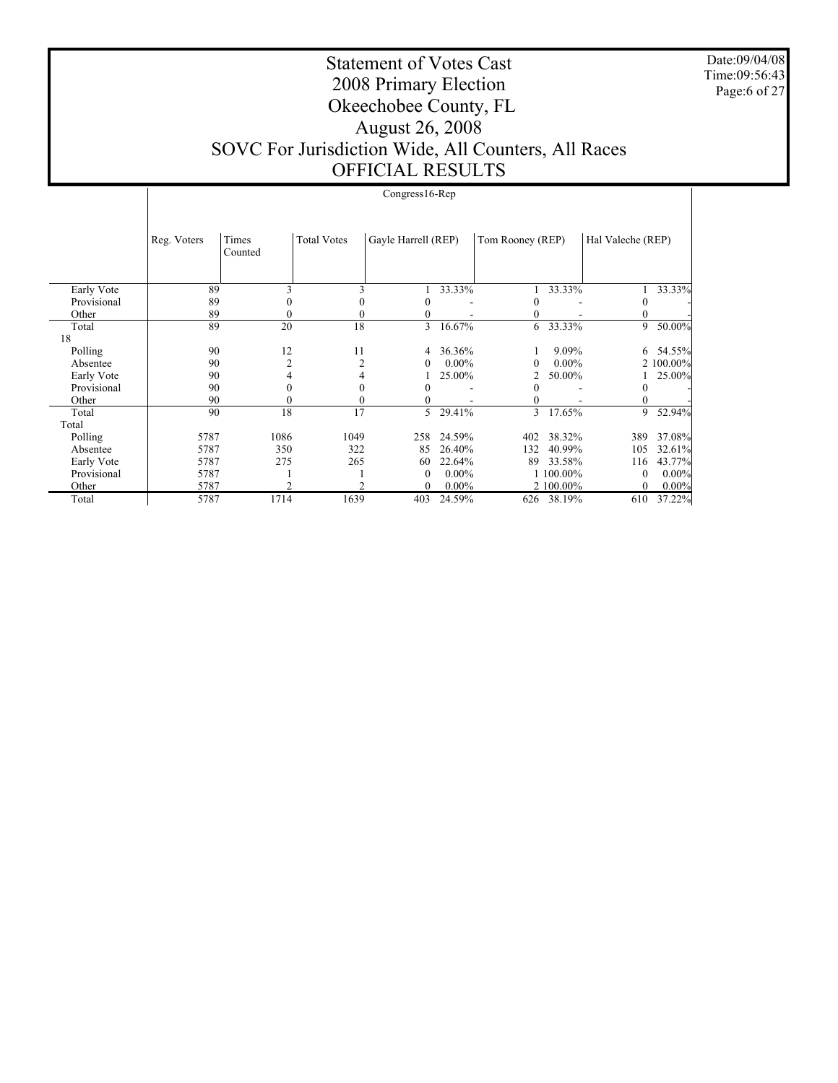Date:09/04/08 Time:09:56:43 Page:6 of 27

# Statement of Votes Cast 2008 Primary Election Okeechobee County, FL August 26, 2008 SOVC For Jurisdiction Wide, All Counters, All Races OFFICIAL RESULTS

|             |             | Congress16-Rep   |                    |                     |          |                  |            |                   |           |  |
|-------------|-------------|------------------|--------------------|---------------------|----------|------------------|------------|-------------------|-----------|--|
|             | Reg. Voters | Times<br>Counted | <b>Total Votes</b> | Gayle Harrell (REP) |          | Tom Rooney (REP) |            | Hal Valeche (REP) |           |  |
| Early Vote  | 89          | 3                | 3                  |                     | 33.33%   |                  | 33.33%     |                   | 33.33%    |  |
| Provisional | 89          |                  |                    | 0                   |          | 0                |            |                   |           |  |
| Other       | 89          |                  | $\mathbf{0}$       | 0                   |          | $\boldsymbol{0}$ |            |                   |           |  |
| Total       | 89          | 20               | 18                 | 3                   | 16.67%   | 6                | 33.33%     | 9                 | 50.00%    |  |
| 18          |             |                  |                    |                     |          |                  |            |                   |           |  |
| Polling     | 90          | 12               | 11                 | 4                   | 36.36%   | 1                | 9.09%      | 6                 | 54.55%    |  |
| Absentee    | 90          | 2                | $\overline{c}$     | 0                   | $0.00\%$ | $\theta$         | $0.00\%$   |                   | 2 100.00% |  |
| Early Vote  | 90          | 4                | 4                  |                     | 25.00%   |                  | 50.00%     |                   | 25.00%    |  |
| Provisional | 90          | 0                | 0                  | $\Omega$            |          |                  |            |                   |           |  |
| Other       | 90          |                  | $\mathbf{0}$       | 0                   |          | $\mathbf{0}$     |            |                   |           |  |
| Total       | 90          | 18               | 17                 | 5                   | 29.41%   | 3                | 17.65%     | 9                 | 52.94%    |  |
| Total       |             |                  |                    |                     |          |                  |            |                   |           |  |
| Polling     | 5787        | 1086             | 1049               | 258                 | 24.59%   | 402              | 38.32%     | 389               | 37.08%    |  |
| Absentee    | 5787        | 350              | 322                | 85                  | 26.40%   | 132              | 40.99%     | 105               | 32.61%    |  |
| Early Vote  | 5787        | 275              | 265                | 60                  | 22.64%   | 89               | 33.58%     | 116               | 43.77%    |  |
| Provisional | 5787        |                  |                    | $\theta$            | $0.00\%$ |                  | 1 100.00%  | $\theta$          | $0.00\%$  |  |
| Other       | 5787        |                  |                    | $\Omega$            | $0.00\%$ |                  | 2 100.00%  | 0                 | 0.00%     |  |
| Total       | 5787        | 1714             | 1639               | 403                 | 24.59%   |                  | 626 38.19% | 610               | 37.22%    |  |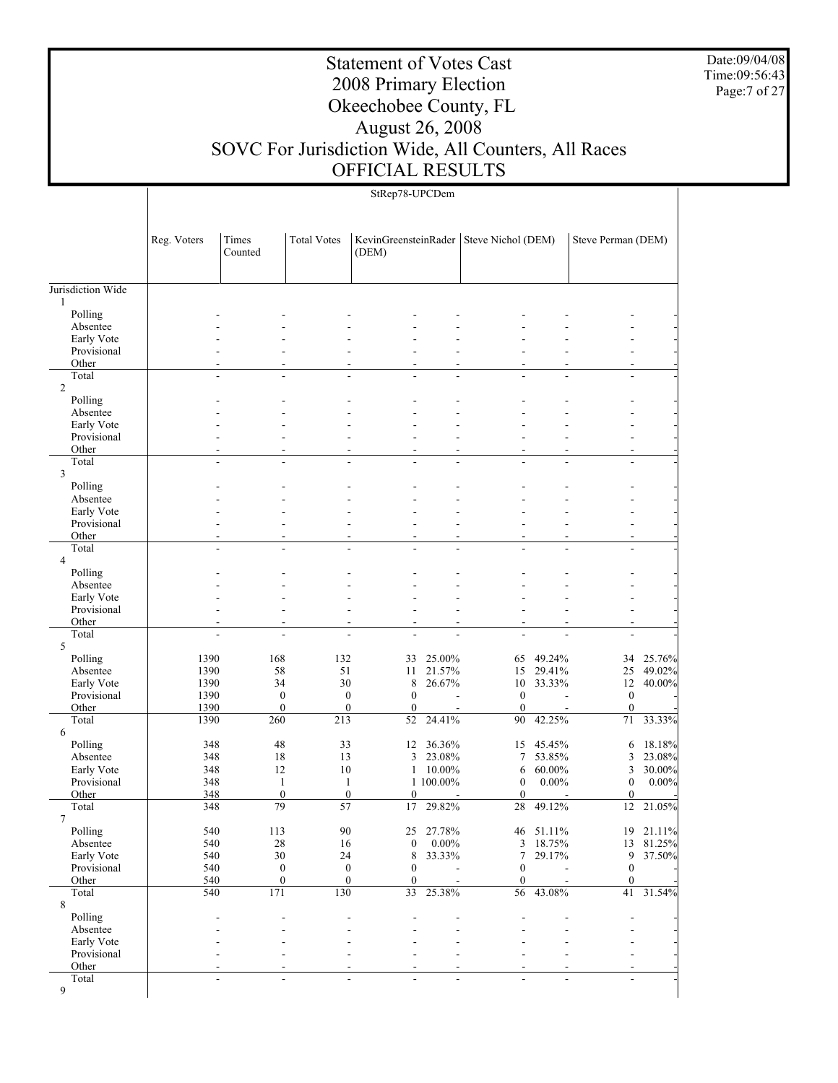Date:09/04/08 Time:09:56:43 Page:7 of 27

# Statement of Votes Cast 2008 Primary Election Okeechobee County, FL August 26, 2008 SOVC For Jurisdiction Wide, All Counters, All Races OFFICIAL RESULTS

|                           | StRep78-UPCDem |                                            |                    |                                                          |                          |                                           |                    |                                      |                        |  |
|---------------------------|----------------|--------------------------------------------|--------------------|----------------------------------------------------------|--------------------------|-------------------------------------------|--------------------|--------------------------------------|------------------------|--|
|                           | Reg. Voters    | Times<br>Counted                           | <b>Total Votes</b> | (DEM)                                                    |                          | KevinGreensteinRader   Steve Nichol (DEM) |                    | Steve Perman (DEM)                   |                        |  |
|                           |                |                                            |                    |                                                          |                          |                                           |                    |                                      |                        |  |
| Jurisdiction Wide         |                |                                            |                    |                                                          |                          |                                           |                    |                                      |                        |  |
| 1                         |                |                                            |                    |                                                          |                          |                                           |                    |                                      |                        |  |
| Polling                   |                |                                            |                    |                                                          |                          |                                           |                    |                                      |                        |  |
| Absentee<br>Early Vote    |                |                                            |                    |                                                          |                          |                                           |                    |                                      |                        |  |
| Provisional               |                |                                            |                    |                                                          |                          |                                           |                    |                                      |                        |  |
| Other                     |                |                                            |                    |                                                          |                          |                                           |                    |                                      |                        |  |
| Total<br>$\sqrt{2}$       |                |                                            |                    |                                                          |                          |                                           |                    |                                      |                        |  |
| Polling                   |                |                                            |                    |                                                          |                          |                                           |                    |                                      |                        |  |
| Absentee                  |                |                                            |                    |                                                          |                          |                                           |                    |                                      |                        |  |
| Early Vote<br>Provisional |                |                                            |                    |                                                          |                          |                                           |                    |                                      |                        |  |
| Other                     |                |                                            |                    |                                                          |                          |                                           |                    |                                      |                        |  |
| Total<br>3                |                | $\overline{\phantom{a}}$<br>$\overline{a}$ |                    | ä,<br>$\overline{a}$                                     | $\overline{\phantom{a}}$ | $\sim$                                    | $\blacksquare$     | $\blacksquare$                       |                        |  |
| Polling                   |                |                                            |                    |                                                          |                          |                                           |                    |                                      |                        |  |
| Absentee                  |                |                                            |                    |                                                          |                          |                                           |                    |                                      |                        |  |
| Early Vote                |                |                                            |                    |                                                          |                          |                                           |                    |                                      |                        |  |
| Provisional<br>Other      |                |                                            |                    |                                                          |                          |                                           |                    |                                      |                        |  |
| Total                     |                |                                            |                    |                                                          |                          |                                           |                    |                                      |                        |  |
| $\overline{4}$            |                |                                            |                    |                                                          |                          |                                           |                    |                                      |                        |  |
| Polling<br>Absentee       |                |                                            |                    |                                                          |                          |                                           |                    |                                      |                        |  |
| Early Vote                |                |                                            |                    |                                                          |                          |                                           |                    |                                      |                        |  |
| Provisional               |                |                                            |                    |                                                          |                          |                                           |                    |                                      |                        |  |
| Other<br>Total            |                | $\overline{a}$                             |                    | ÷.                                                       |                          | $\sim$                                    |                    | $\overline{\phantom{a}}$             |                        |  |
| 5                         |                |                                            |                    |                                                          |                          |                                           |                    |                                      |                        |  |
| Polling                   | 1390           | 168                                        | 132                | 33                                                       | 25.00%                   | 65                                        | 49.24%             | 34                                   | 25.76%                 |  |
| Absentee<br>Early Vote    | 1390<br>1390   | 58<br>34                                   | 51<br>30           | 11<br>8                                                  | 21.57%<br>26.67%         | 15<br>10                                  | 29.41%<br>33.33%   | 25<br>12                             | 49.02%<br>40.00%       |  |
| Provisional               | 1390           | $\boldsymbol{0}$                           |                    | $\mathbf{0}$<br>$\mathbf{0}$                             |                          | $\mathbf{0}$                              |                    | $\mathbf{0}$                         |                        |  |
| Other                     | 1390           | $\mathbf{0}$                               | $\boldsymbol{0}$   | $\boldsymbol{0}$                                         |                          | $\boldsymbol{0}$                          |                    | $\boldsymbol{0}$                     |                        |  |
| Total<br>6                | 1390           | 260                                        | $\overline{213}$   | 52                                                       | 24.41%                   | 90                                        | 42.25%             | 71                                   | 33.33%                 |  |
| Polling                   | 348            | 48                                         | 33                 | 12                                                       | 36.36%                   | 15                                        | 45.45%             | 6                                    | 18.18%                 |  |
| Absentee                  | 348            | 18                                         | 13                 | 3                                                        | 23.08%                   | $\tau$                                    | 53.85%             | 3                                    | 23.08%                 |  |
| Early Vote<br>Provisional | 348<br>348     | 12<br>$\mathbf{1}$                         | 10<br>$\mathbf{1}$ | 1                                                        | 10.00%<br>1 100.00%      | 6<br>$\boldsymbol{0}$                     | 60.00%<br>$0.00\%$ | 3<br>$\mathbf{0}$                    | 30.00%<br>$0.00\%$     |  |
| Other                     | 348            | $\boldsymbol{0}$                           |                    | $\boldsymbol{0}$<br>$\mathbf{0}$                         |                          | $\boldsymbol{0}$                          |                    | $\boldsymbol{0}$                     |                        |  |
| Total<br>$\overline{7}$   | 348            | 79                                         | $\overline{57}$    | 17                                                       | 29.82%                   | $28\,$                                    | 49.12%             |                                      | $12\overline{21.05\%}$ |  |
| Polling                   | 540            | 113                                        | $90\,$             | 25                                                       | 27.78%                   |                                           | 46 51.11%          | 19                                   | 21.11%                 |  |
| Absentee                  | 540            | $28\,$                                     | 16                 | $\boldsymbol{0}$                                         | $0.00\%$                 | 3                                         | 18.75%             | 13                                   | 81.25%                 |  |
| Early Vote                | 540            | $30\,$                                     | 24                 | 8                                                        | 33.33%                   | $\tau$                                    | 29.17%             | 9                                    | 37.50%                 |  |
| Provisional<br>Other      | 540<br>540     | $\boldsymbol{0}$<br>$\mathbf{0}$           | $\boldsymbol{0}$   | $\boldsymbol{0}$<br>$\boldsymbol{0}$<br>$\boldsymbol{0}$ |                          | $\boldsymbol{0}$<br>$\boldsymbol{0}$      |                    | $\boldsymbol{0}$<br>$\boldsymbol{0}$ |                        |  |
| Total                     | 540            | 171                                        | 130                | 33                                                       | 25.38%                   | 56                                        | 43.08%             | 41                                   | 31.54%                 |  |
| 8                         |                |                                            |                    |                                                          |                          |                                           |                    |                                      |                        |  |
| Polling<br>Absentee       |                |                                            |                    |                                                          |                          |                                           |                    |                                      |                        |  |
| Early Vote                |                |                                            |                    |                                                          |                          |                                           |                    |                                      |                        |  |
| Provisional               |                |                                            |                    |                                                          |                          |                                           |                    |                                      |                        |  |
| Other<br>Total            |                |                                            |                    |                                                          | $\overline{\phantom{a}}$ |                                           | $\blacksquare$     | $\blacksquare$                       |                        |  |
| 9                         |                |                                            |                    |                                                          |                          |                                           |                    |                                      |                        |  |

9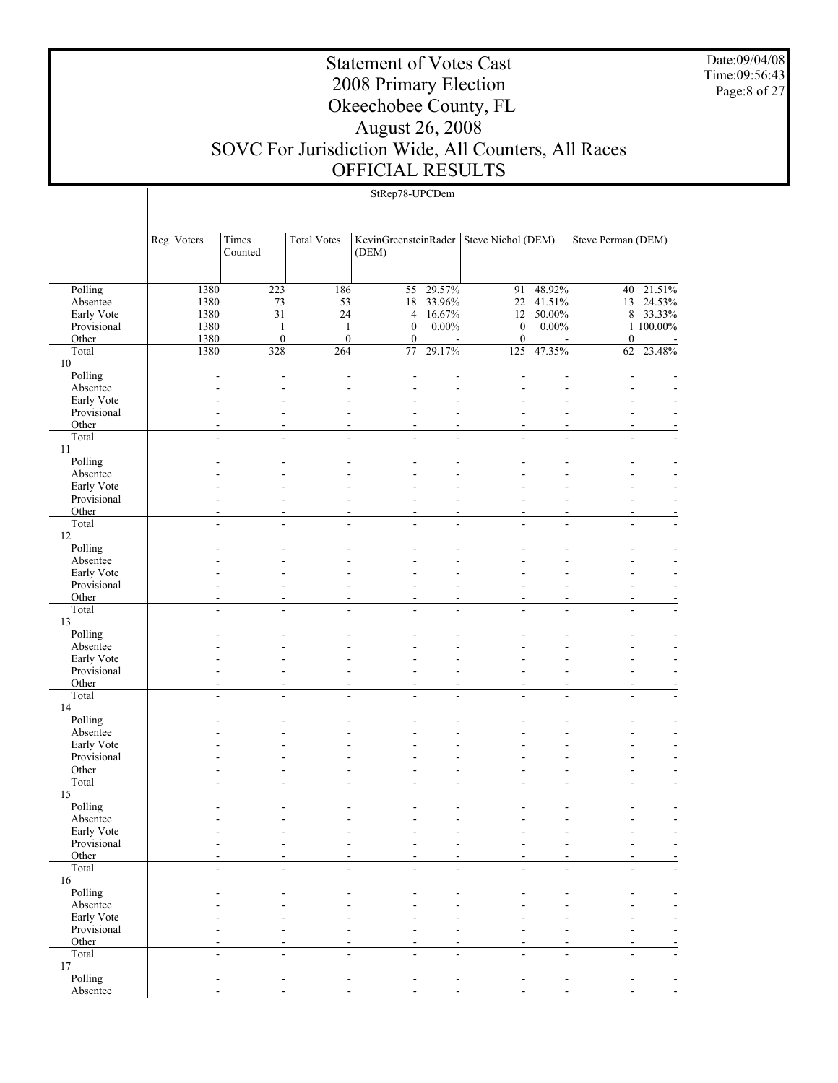Date:09/04/08 Time:09:56:43 Page:8 of 27

 $\top$ 

# Statement of Votes Cast 2008 Primary Election Okeechobee County, FL August 26, 2008 SOVC For Jurisdiction Wide, All Counters, All Races OFFICIAL RESULTS

|                           |                |                                  |                                  | StRep78-UPCDem                            |                            |                                      |                |                          |           |
|---------------------------|----------------|----------------------------------|----------------------------------|-------------------------------------------|----------------------------|--------------------------------------|----------------|--------------------------|-----------|
|                           |                |                                  |                                  |                                           |                            |                                      |                |                          |           |
|                           |                |                                  |                                  |                                           |                            |                                      |                |                          |           |
|                           | Reg. Voters    | Times                            | <b>Total Votes</b>               | KevinGreensteinRader   Steve Nichol (DEM) |                            |                                      |                | Steve Perman (DEM)       |           |
|                           |                | Counted                          |                                  | (DEM)                                     |                            |                                      |                |                          |           |
|                           |                |                                  |                                  |                                           |                            |                                      |                |                          |           |
|                           |                |                                  |                                  |                                           |                            |                                      |                |                          |           |
| Polling                   | 1380           | $\overline{223}$                 | 186                              | 55                                        | 29.57%                     | 91                                   | 48.92%         | 40                       | 21.51%    |
| Absentee                  | 1380           | 73                               | 53                               | 18                                        | 33.96%                     | 22                                   | 41.51%         | 13                       | 24.53%    |
| Early Vote                | 1380           | 31                               | 24                               | $\overline{4}$                            | 16.67%                     | 12                                   | 50.00%         | 8                        | 33.33%    |
| Provisional<br>Other      | 1380<br>1380   | $\mathbf{1}$<br>$\boldsymbol{0}$ | $\mathbf{1}$<br>$\boldsymbol{0}$ | $\boldsymbol{0}$<br>$\boldsymbol{0}$      | $0.00\%$<br>$\overline{a}$ | $\boldsymbol{0}$<br>$\boldsymbol{0}$ | $0.00\%$       | $\boldsymbol{0}$         | 1 100.00% |
| Total                     | 1380           | 328                              | 264                              | 77                                        | 29.17%                     | $\overline{125}$                     | 47.35%         | $\overline{62}$          | 23.48%    |
| 10                        |                |                                  |                                  |                                           |                            |                                      |                |                          |           |
| Polling                   |                |                                  |                                  |                                           |                            |                                      |                |                          |           |
| Absentee                  |                |                                  |                                  |                                           |                            |                                      |                |                          |           |
| Early Vote                |                |                                  |                                  |                                           |                            |                                      |                |                          |           |
| Provisional               |                |                                  |                                  |                                           |                            |                                      |                |                          |           |
| Other<br>Total            | $\overline{a}$ |                                  | ÷.                               |                                           | $\overline{a}$             |                                      | $\overline{a}$ |                          |           |
| 11                        |                | $\blacksquare$                   |                                  | $\overline{\phantom{a}}$                  |                            |                                      |                |                          |           |
| Polling                   |                |                                  |                                  |                                           |                            |                                      |                |                          |           |
| Absentee                  |                |                                  |                                  |                                           |                            |                                      |                |                          |           |
| Early Vote                |                |                                  |                                  |                                           |                            |                                      |                |                          |           |
| Provisional               |                |                                  |                                  |                                           |                            |                                      |                |                          |           |
| Other                     |                |                                  |                                  |                                           |                            |                                      |                |                          |           |
| Total                     | $\overline{a}$ |                                  | $\overline{a}$                   |                                           | $\overline{a}$             |                                      | $\blacksquare$ | $\blacksquare$           |           |
| 12<br>Polling             |                |                                  |                                  |                                           |                            |                                      |                |                          |           |
| Absentee                  |                |                                  |                                  |                                           |                            |                                      |                |                          |           |
| Early Vote                |                |                                  |                                  |                                           |                            |                                      |                |                          |           |
| Provisional               |                |                                  |                                  |                                           |                            |                                      |                |                          |           |
| Other                     |                |                                  |                                  |                                           |                            |                                      |                |                          |           |
| Total                     |                |                                  |                                  |                                           | L,                         |                                      | L,             |                          |           |
| 13                        |                |                                  |                                  |                                           |                            |                                      |                |                          |           |
| Polling<br>Absentee       |                |                                  |                                  |                                           |                            |                                      |                |                          |           |
| Early Vote                |                |                                  |                                  |                                           |                            |                                      |                |                          |           |
| Provisional               |                |                                  |                                  |                                           |                            |                                      |                |                          |           |
| Other                     |                |                                  |                                  | $\overline{a}$                            |                            |                                      | $\overline{a}$ |                          |           |
| Total                     | $\blacksquare$ | $\blacksquare$                   | $\overline{a}$                   | $\overline{a}$                            | $\overline{a}$             | $\overline{a}$                       | $\sim$         | $\overline{\phantom{a}}$ |           |
| 14                        |                |                                  |                                  |                                           |                            |                                      |                |                          |           |
| Polling                   |                |                                  |                                  |                                           |                            |                                      |                |                          |           |
| Absentee<br>Early Vote    |                |                                  |                                  |                                           |                            |                                      |                |                          |           |
| Provisional               |                |                                  |                                  |                                           |                            |                                      |                |                          |           |
| Other                     |                |                                  |                                  |                                           |                            |                                      |                | ٠                        |           |
| Total                     |                |                                  |                                  |                                           |                            |                                      |                |                          |           |
| 15                        |                |                                  |                                  |                                           |                            |                                      |                |                          |           |
| Polling                   |                |                                  |                                  |                                           |                            |                                      |                |                          |           |
| Absentee                  |                |                                  |                                  |                                           |                            |                                      |                |                          |           |
| Early Vote<br>Provisional |                |                                  |                                  |                                           |                            |                                      |                |                          |           |
| Other                     |                |                                  |                                  |                                           |                            |                                      |                |                          |           |
| Total                     | $\overline{a}$ | ٠                                | $\overline{a}$                   | $\overline{\phantom{a}}$                  | $\overline{a}$             |                                      | $\blacksquare$ | ٠                        |           |
| 16                        |                |                                  |                                  |                                           |                            |                                      |                |                          |           |
| Polling                   |                |                                  |                                  |                                           |                            |                                      |                |                          |           |
| Absentee                  |                |                                  |                                  |                                           |                            |                                      |                |                          |           |
| Early Vote<br>Provisional |                |                                  |                                  |                                           |                            |                                      |                |                          |           |
| Other                     |                |                                  |                                  |                                           |                            |                                      |                |                          |           |
| Total                     | $\overline{a}$ |                                  |                                  |                                           | $\overline{a}$             |                                      | $\overline{a}$ |                          |           |
| 17                        |                |                                  |                                  |                                           |                            |                                      |                |                          |           |
| Polling                   |                |                                  |                                  |                                           |                            |                                      |                |                          |           |
| Absentee                  |                |                                  |                                  |                                           |                            |                                      |                |                          |           |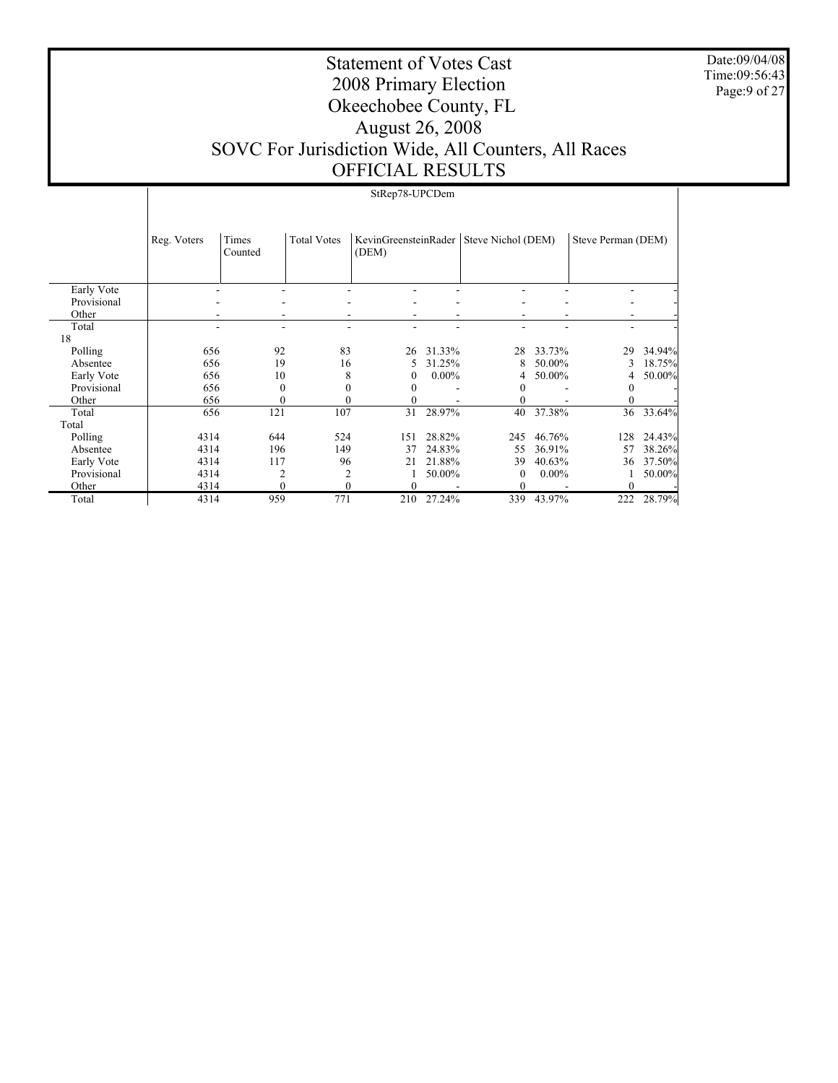Date:09/04/08 Time:09:56:43 Page:9 of 27

# Statement of Votes Cast 2008 Primary Election Okeechobee County, FL August 26, 2008 SOVC For Jurisdiction Wide, All Counters, All Races OFFICIAL RESULTS

### StRep78-UPCDem

|             | Reg. Voters | Times<br>Counted | <b>Total Votes</b> | (DEM)    |          | KevinGreensteinRader   Steve Nichol (DEM) |          | Steve Perman (DEM) |        |
|-------------|-------------|------------------|--------------------|----------|----------|-------------------------------------------|----------|--------------------|--------|
|             |             |                  |                    |          |          |                                           |          |                    |        |
| Early Vote  |             |                  |                    |          |          |                                           |          |                    |        |
| Provisional |             |                  |                    |          |          |                                           |          |                    |        |
| Other       |             |                  |                    |          |          |                                           |          |                    |        |
| Total       |             |                  |                    |          | ٠        |                                           |          |                    |        |
| 18          |             |                  |                    |          |          |                                           |          |                    |        |
| Polling     | 656         | 92               | 83                 | 26       | 31.33%   | 28                                        | 33.73%   | 29                 | 34.94% |
| Absentee    | 656         | 19               | 16                 | 5.       | 31.25%   | 8                                         | 50.00%   | 3                  | 18.75% |
| Early Vote  | 656         | 10               | 8                  | $\theta$ | $0.00\%$ | 4                                         | 50.00%   | 4                  | 50.00% |
| Provisional | 656         | $\Omega$         |                    | $\Omega$ |          |                                           |          |                    |        |
| Other       | 656         |                  |                    | $\Omega$ |          |                                           |          |                    |        |
| Total       | 656         | 121              | 107                | 31       | 28.97%   | 40                                        | 37.38%   | 36                 | 33.64% |
| Total       |             |                  |                    |          |          |                                           |          |                    |        |
| Polling     | 4314        | 644              | 524                | 151      | 28.82%   | 245                                       | 46.76%   | 128                | 24.43% |
| Absentee    | 4314        | 196              | 149                | 37       | 24.83%   | 55                                        | 36.91%   | 57                 | 38.26% |
| Early Vote  | 4314        | 117              | 96                 | 21       | 21.88%   | 39                                        | 40.63%   | 36                 | 37.50% |
| Provisional | 4314        | 2                | 2                  |          | 50.00%   | 0                                         | $0.00\%$ |                    | 50.00% |
| Other       | 4314        | $\Omega$         |                    | $\theta$ |          |                                           |          |                    |        |
| Total       | 4314        | 959              | 771                | 210      | 27.24%   | 339                                       | 43.97%   | 222                | 28.79% |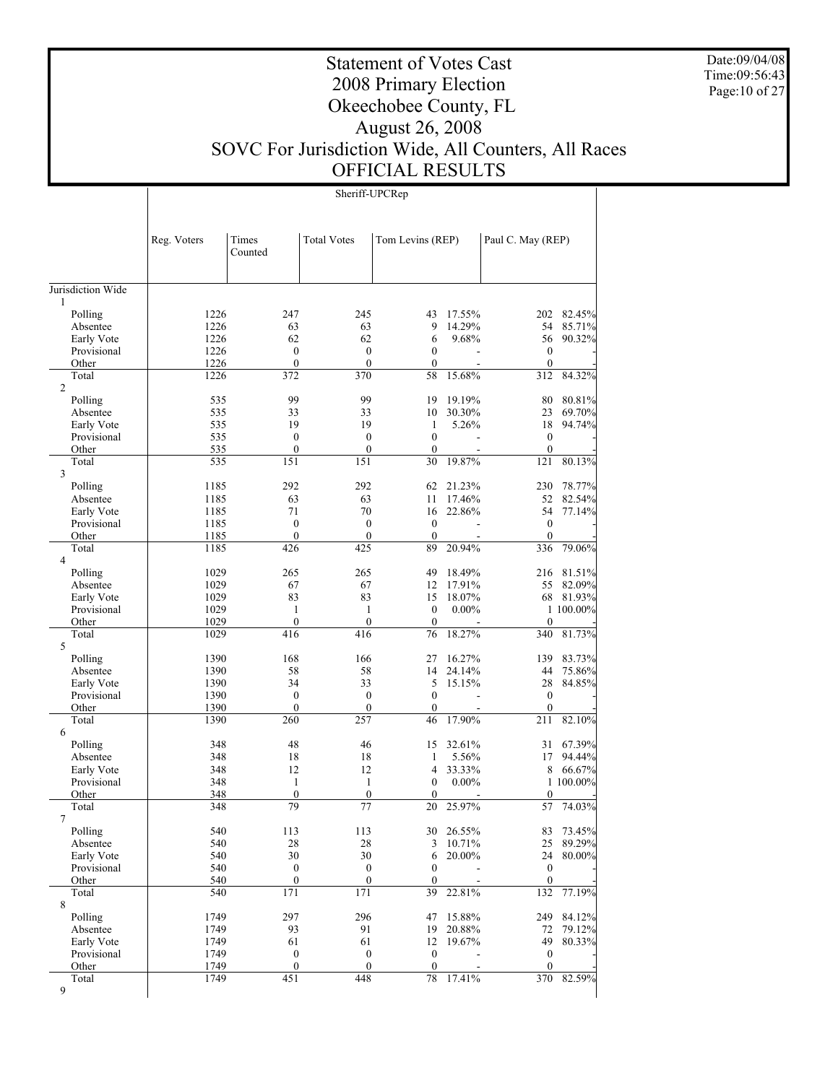Date:09/04/08 Time:09:56:43 Page:10 of 27

# Statement of Votes Cast 2008 Primary Election Okeechobee County, FL August 26, 2008 SOVC For Jurisdiction Wide, All Counters, All Races OFFICIAL RESULTS

Sheriff-UPCRep

|                           | Reg. Voters  | Times<br>Counted                 | <b>Total Votes</b>               | Tom Levins (REP)                 |                  | Paul C. May (REP)            |                     |
|---------------------------|--------------|----------------------------------|----------------------------------|----------------------------------|------------------|------------------------------|---------------------|
| Jurisdiction Wide         |              |                                  |                                  |                                  |                  |                              |                     |
| 1                         |              |                                  |                                  |                                  |                  |                              |                     |
| Polling                   | 1226         | 247                              | 245                              | 43                               | 17.55%           |                              | 202 82.45%          |
| Absentee                  | 1226         | 63                               | 63                               | 9                                | 14.29%           | 54                           | 85.71%              |
| Early Vote                | 1226         | 62                               | 62                               | 6                                | 9.68%            | 56                           | 90.32%              |
| Provisional               | 1226         | $\mathbf{0}$                     | $\boldsymbol{0}$                 | $\mathbf{0}$                     | $\sim$           | $\boldsymbol{0}$             |                     |
| Other                     | 1226         | $\mathbf{0}$                     | $\mathbf{0}$                     | $\overline{0}$                   |                  | $\mathbf{0}$                 |                     |
| Total<br>$\overline{c}$   | 1226         | 372                              | 370                              | 58                               | 15.68%           | 312                          | 84.32%              |
| Polling                   | 535          | 99                               | 99                               | 19                               | 19.19%           | 80                           | 80.81%              |
| Absentee                  | 535          | 33                               | 33                               | 10                               | 30.30%           | 23                           | 69.70%              |
| Early Vote                | 535          | 19                               | 19                               | 1                                | 5.26%            | 18                           | 94.74%              |
| Provisional               | 535          | $\mathbf{0}$                     | $\mathbf{0}$                     | $\mathbf{0}$                     |                  | $\mathbf{0}$                 |                     |
| Other                     | 535          | $\theta$                         | $\mathbf{0}$                     | $\mathbf{0}$                     |                  | $\mathbf{0}$                 |                     |
| Total                     | 535          | 151                              | 151                              | 30                               | 19.87%           | 121                          | 80.13%              |
| 3                         | 1185         | 292                              | 292                              | 62                               | 21.23%           | 230                          | 78.77%              |
| Polling<br>Absentee       | 1185         | 63                               | 63                               | 11                               | 17.46%           | 52                           | 82.54%              |
| Early Vote                | 1185         | 71                               | 70                               | 16                               | 22.86%           | 54                           | 77.14%              |
| Provisional               | 1185         | $\mathbf{0}$                     | $\mathbf{0}$                     | $\mathbf{0}$                     |                  | $\mathbf{0}$                 |                     |
| Other                     | 1185         | $\mathbf{0}$                     | $\boldsymbol{0}$                 | $\boldsymbol{0}$                 |                  | $\mathbf{0}$                 |                     |
| Total                     | 1185         | 426                              | 425                              | 89                               | 20.94%           | 336                          | 79.06%              |
| 4                         |              |                                  |                                  |                                  |                  |                              |                     |
| Polling                   | 1029         | 265                              | 265                              | 49                               | 18.49%           | 216                          | 81.51%              |
| Absentee                  | 1029<br>1029 | 67<br>83                         | 67<br>83                         | 12<br>15                         | 17.91%<br>18.07% | 55                           | 82.09%<br>68 81.93% |
| Early Vote<br>Provisional | 1029         | 1                                | 1                                | $\mathbf{0}$                     | $0.00\%$         |                              | 1 100.00%           |
| Other                     | 1029         | $\mathbf{0}$                     | $\mathbf{0}$                     | $\mathbf{0}$                     |                  | $\mathbf{0}$                 |                     |
| Total                     | 1029         | 416                              | 416                              | 76                               | 18.27%           | 340                          | 81.73%              |
| 5                         |              |                                  |                                  |                                  |                  |                              |                     |
| Polling                   | 1390         | 168                              | 166                              | 27                               | 16.27%           | 139                          | 83.73%              |
| Absentee                  | 1390         | 58                               | 58                               | 14                               | 24.14%           | 44                           | 75.86%              |
| Early Vote                | 1390         | 34                               | 33                               | 5                                | 15.15%           | 28                           | 84.85%              |
| Provisional<br>Other      | 1390<br>1390 | $\boldsymbol{0}$<br>$\mathbf{0}$ | $\boldsymbol{0}$<br>$\mathbf{0}$ | $\mathbf{0}$<br>$\boldsymbol{0}$ |                  | $\mathbf{0}$<br>$\mathbf{0}$ |                     |
| Total                     | 1390         | 260                              | 257                              | 46                               | 17.90%           | 211                          | 82.10%              |
| 6                         |              |                                  |                                  |                                  |                  |                              |                     |
| Polling                   | 348          | 48                               | 46                               | 15                               | 32.61%           | 31                           | 67.39%              |
| Absentee                  | 348          | 18                               | 18                               | 1                                | 5.56%            | 17                           | 94.44%              |
| Early Vote                | 348          | 12                               | 12                               | 4                                | 33.33%           | 8                            | 66.67%              |
| Provisional               | 348          | 1                                | 1                                | $\boldsymbol{0}$                 | $0.00\%$         |                              | 1 100.00%           |
| Other                     | 348          | $\boldsymbol{0}$<br>79           | $\boldsymbol{0}$<br>77           | $\mathbf{0}$                     | 25.97%           | $\mathbf{0}$<br>57           | 74.03%              |
| Total<br>7                | 348          |                                  |                                  | 20                               |                  |                              |                     |
| Polling                   | 540          | 113                              | 113                              |                                  | 30 26.55%        |                              | 83 73.45%           |
| Absentee                  | 540          | 28                               | 28                               | 3                                | 10.71%           | 25                           | 89.29%              |
| Early Vote                | 540          | 30                               | 30                               | 6                                | 20.00%           | 24                           | 80.00%              |
| Provisional               | 540          | $\boldsymbol{0}$                 | $\boldsymbol{0}$                 | $\boldsymbol{0}$                 |                  | $\boldsymbol{0}$             |                     |
| Other                     | 540          | $\boldsymbol{0}$                 | $\boldsymbol{0}$                 | $\boldsymbol{0}$                 |                  | $\boldsymbol{0}$             |                     |
| Total                     | 540          | 171                              | 171                              | 39                               | 22.81%           | 132                          | 77.19%              |
| 8                         |              |                                  |                                  |                                  |                  |                              |                     |
| Polling<br>Absentee       | 1749<br>1749 | 297<br>93                        | 296<br>91                        | 47<br>19                         | 15.88%<br>20.88% | 249<br>72                    | 84.12%<br>79.12%    |
| Early Vote                | 1749         | 61                               | 61                               | 12                               | 19.67%           | 49                           | 80.33%              |
| Provisional               | 1749         | $\boldsymbol{0}$                 | $\boldsymbol{0}$                 | $\boldsymbol{0}$                 |                  | $\bf{0}$                     |                     |
| Other                     | 1749         | $\boldsymbol{0}$                 | $\boldsymbol{0}$                 | 0                                |                  | $\boldsymbol{0}$             |                     |
| Total                     | 1749         | 451                              | 448                              | 78                               | 17.41%           | 370                          | 82.59%              |
| 9                         |              |                                  |                                  |                                  |                  |                              |                     |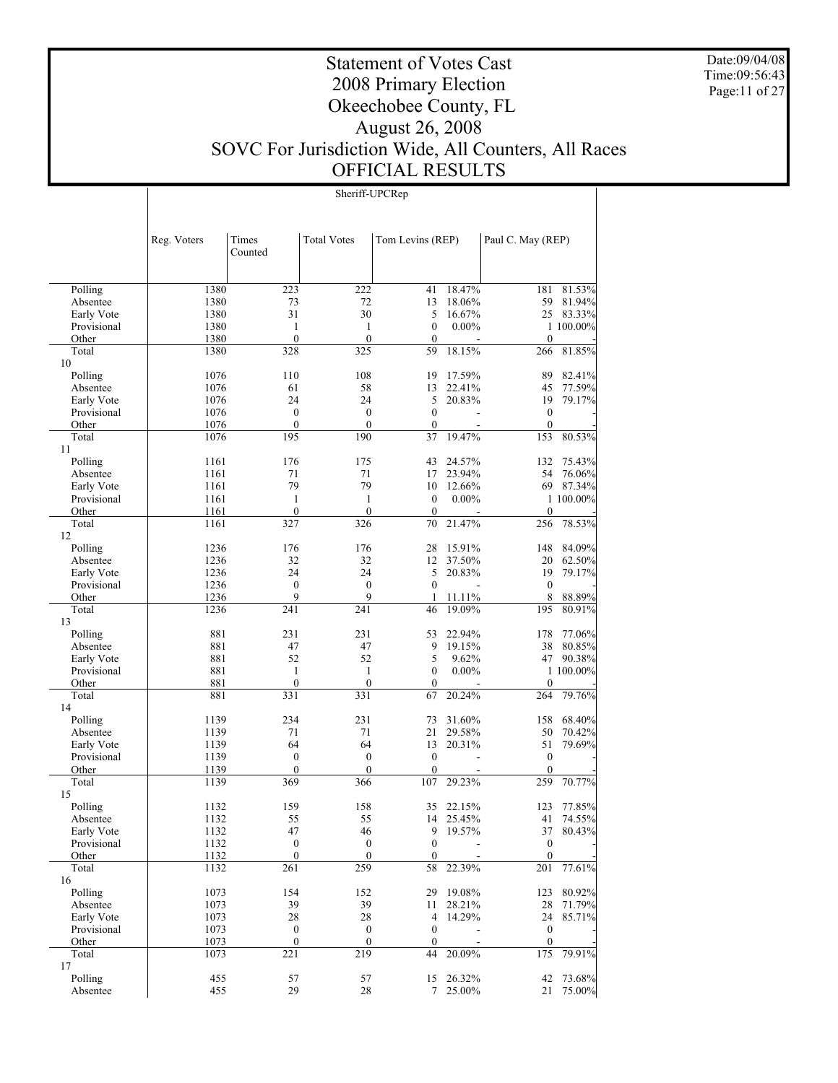Date:09/04/08 Time:09:56:43 Page:11 of 27

# Statement of Votes Cast 2008 Primary Election Okeechobee County, FL August 26, 2008 SOVC For Jurisdiction Wide, All Counters, All Races OFFICIAL RESULTS

Sheriff-UPCRep

|                | Reg. Voters | Times<br>Counted    | <b>Total Votes</b>      | Tom Levins (REP)   |           | Paul C. May (REP)   |           |
|----------------|-------------|---------------------|-------------------------|--------------------|-----------|---------------------|-----------|
| Polling        | 1380        | 223                 | 222                     | 41                 | 18.47%    | 181                 | 81.53%    |
| Absentee       | 1380        | 73                  | 72                      | 13                 | 18.06%    | 59                  | 81.94%    |
| Early Vote     | 1380        | 31                  | 30                      | 5                  | 16.67%    | 25                  | 83.33%    |
| Provisional    | 1380        | $\mathbf{1}$        | $\mathbf{1}$            | $\mathbf{0}$       | $0.00\%$  |                     | 1 100.00% |
| Other          | 1380        | $\mathbf{0}$        | $\mathbf{0}$            | $\mathbf{0}$       |           | $\mathbf{0}$        |           |
| Total          | 1380        | 328                 | 325                     | 59                 | 18.15%    | 266                 | 81.85%    |
| 10<br>Polling  | 1076        | 110                 | 108                     | 19                 | 17.59%    | 89                  | 82.41%    |
| Absentee       | 1076        | 61                  | 58                      | 13                 | 22.41%    | 45                  | 77.59%    |
| Early Vote     | 1076        | 24                  | 24                      | 5                  | 20.83%    | 19                  | 79.17%    |
| Provisional    | 1076        | $\boldsymbol{0}$    | $\boldsymbol{0}$        | $\mathbf{0}$       |           | $\boldsymbol{0}$    |           |
| Other          | 1076        | $\boldsymbol{0}$    | $\mathbf{0}$            | $\boldsymbol{0}$   |           | $\boldsymbol{0}$    |           |
| Total          | 1076        | 195                 | 190                     | 37                 | 19.47%    | 153                 | 80.53%    |
| 11             |             |                     |                         |                    |           |                     |           |
| Polling        | 1161        | 176                 | 175                     | 43                 | 24.57%    | 132                 | 75.43%    |
| Absentee       | 1161        | 71                  | 71                      | 17                 | 23.94%    | 54                  | 76.06%    |
| Early Vote     | 1161        | 79                  | 79                      | 10                 | 12.66%    | 69                  | 87.34%    |
| Provisional    | 1161        | $\mathbf{1}$        | $\mathbf{1}$            | $\boldsymbol{0}$   | $0.00\%$  |                     | 1 100.00% |
| Other          | 1161        | $\mathbf{0}$        | $\mathbf{0}$            | $\mathbf{0}$       |           | $\theta$            |           |
| Total          | 1161        | 327                 | 326                     | 70                 | 21.47%    | 256                 | 78.53%    |
| 12             |             |                     |                         |                    |           |                     |           |
| Polling        | 1236        | 176                 | 176                     | 28                 | 15.91%    | 148                 | 84.09%    |
| Absentee       | 1236        | 32                  | 32                      | 12                 | 37.50%    | 20                  | 62.50%    |
| Early Vote     | 1236        | 24                  | 24                      | 5                  | 20.83%    | 19                  | 79.17%    |
| Provisional    | 1236        | $\boldsymbol{0}$    | $\boldsymbol{0}$        | $\mathbf{0}$       |           | $\boldsymbol{0}$    |           |
| Other          | 1236        | 9                   | 9                       | 1                  | 11.11%    | 8                   | 88.89%    |
| Total          | 1236        | 241                 | 241                     | 46                 | 19.09%    | 195                 | 80.91%    |
| 13             |             |                     |                         |                    |           |                     |           |
| Polling        | 881         | 231                 | 231                     | 53                 | 22.94%    | 178                 | 77.06%    |
| Absentee       | 881         | 47                  | 47                      | 9                  | 19.15%    | 38                  | 80.85%    |
| Early Vote     | 881         | 52                  | 52                      | 5                  | 9.62%     | 47                  | 90.38%    |
| Provisional    | 881         | 1                   | 1                       | $\mathbf{0}$       | $0.00\%$  |                     | 1 100.00% |
| Other<br>Total | 881<br>881  | $\mathbf{0}$<br>331 | $\boldsymbol{0}$<br>331 | $\mathbf{0}$<br>67 | 20.24%    | $\mathbf{0}$<br>264 | 79.76%    |
| 14             |             |                     |                         |                    |           |                     |           |
| Polling        | 1139        | 234                 | 231                     | 73                 | 31.60%    | 158                 | 68.40%    |
| Absentee       | 1139        | 71                  | 71                      | 21                 | 29.58%    | 50                  | 70.42%    |
| Early Vote     | 1139        | 64                  | 64                      | 13                 | 20.31%    | 51                  | 79.69%    |
| Provisional    | 1139        | $\boldsymbol{0}$    | $\boldsymbol{0}$        | $\boldsymbol{0}$   |           | $\boldsymbol{0}$    |           |
| Other          | 1139        | $\mathbf{0}$        | $\boldsymbol{0}$        | $\mathbf{0}$       |           | $\boldsymbol{0}$    |           |
| Total          | 1139        | 369                 | 366                     | 107                | 29.23%    | 259                 | 70.77%    |
| 15             |             |                     |                         |                    |           |                     |           |
| Polling        | 1132        | 159                 | 158                     | 35                 | 22.15%    | 123                 | 77.85%    |
| Absentee       | 1132        | 55                  | 55                      | 14                 | 25.45%    | 41                  | 74.55%    |
| Early Vote     | 1132        | 47                  | 46                      |                    | 9 19.57%  |                     | 37 80.43% |
| Provisional    | 1132        | $\boldsymbol{0}$    | $\boldsymbol{0}$        | $\boldsymbol{0}$   |           | $\boldsymbol{0}$    |           |
| Other          | 1132        | $\mathbf{0}$        | $\mathbf{0}$            | $\mathbf{0}$       |           | $\theta$            |           |
| Total          | 1132        | 261                 | 259                     | 58                 | 22.39%    | 201                 | 77.61%    |
| 16             |             |                     |                         |                    |           |                     |           |
| Polling        | 1073        | 154                 | 152                     |                    | 29 19.08% | 123                 | 80.92%    |
| Absentee       | 1073        | 39                  | 39                      | 11                 | 28.21%    | 28                  | 71.79%    |
| Early Vote     | 1073        | $28\,$              | $28\,$                  | 4                  | 14.29%    | 24                  | 85.71%    |
| Provisional    | 1073        | $\boldsymbol{0}$    | $\boldsymbol{0}$        | $\boldsymbol{0}$   |           | $\boldsymbol{0}$    |           |
| Other          | 1073        | $\boldsymbol{0}$    | $\boldsymbol{0}$        | $\boldsymbol{0}$   |           | $\boldsymbol{0}$    | 79.91%    |
| Total<br>17    | 1073        | $\overline{221}$    | 219                     | 44                 | 20.09%    | 175                 |           |
| Polling        | 455         | 57                  | 57                      | 15                 | 26.32%    | 42                  | 73.68%    |
| Absentee       | 455         | 29                  | $28\,$                  |                    | 7 25.00%  | 21                  | 75.00%    |
|                |             |                     |                         |                    |           |                     |           |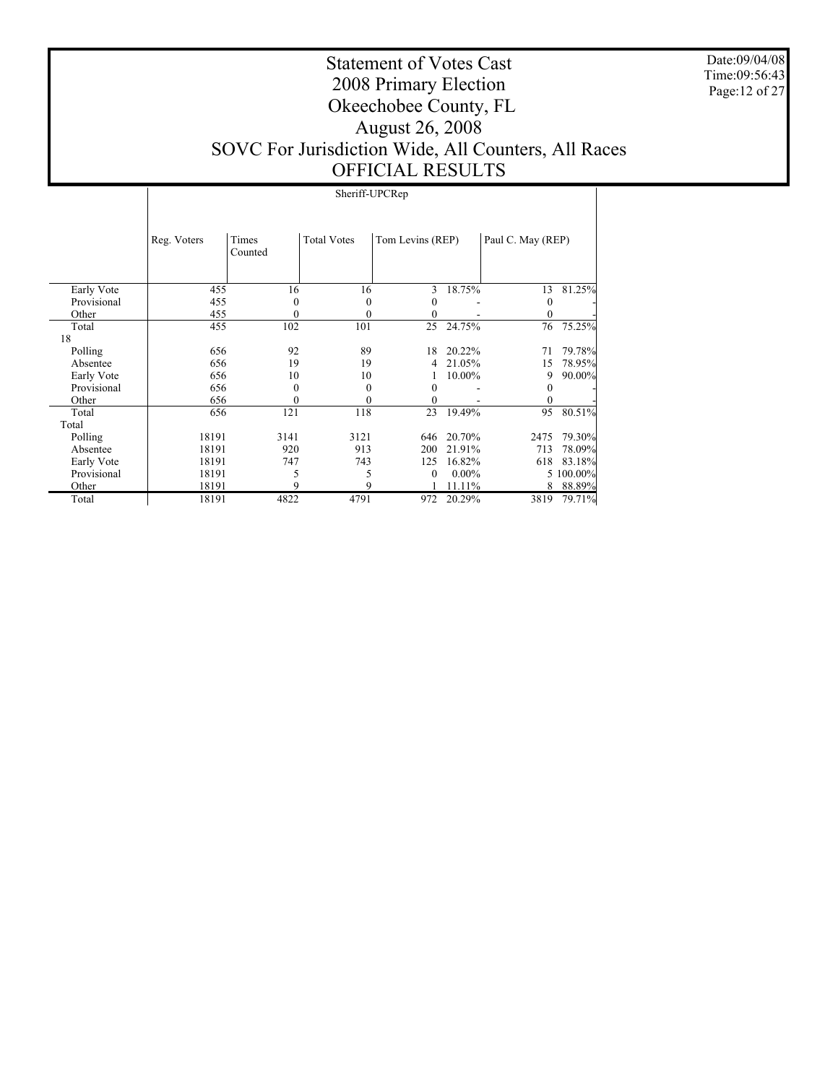Date:09/04/08 Time:09:56:43 Page:12 of 27

# Statement of Votes Cast 2008 Primary Election Okeechobee County, FL August 26, 2008 SOVC For Jurisdiction Wide, All Counters, All Races OFFICIAL RESULTS

### Sheriff-UPCRep

|             | Reg. Voters | Times    | <b>Total Votes</b> | Tom Levins (REP) |          | Paul C. May (REP) |           |
|-------------|-------------|----------|--------------------|------------------|----------|-------------------|-----------|
|             |             | Counted  |                    |                  |          |                   |           |
|             |             |          |                    |                  |          |                   |           |
|             |             |          |                    |                  |          |                   |           |
| Early Vote  | 455         | 16       | 16                 | 3                | 18.75%   | 13                | 81.25%    |
| Provisional | 455         | $\theta$ | 0                  |                  |          | 0                 |           |
| Other       | 455         |          |                    | 0                |          |                   |           |
| Total       | 455         | 102      | 101                | 25               | 24.75%   | 76                | 75.25%    |
| 18          |             |          |                    |                  |          |                   |           |
| Polling     | 656         | 92       | 89                 | 18               | 20.22%   | 71                | 79.78%    |
| Absentee    | 656         | 19       | 19                 | 4                | 21.05%   | 15                | 78.95%    |
| Early Vote  | 656         | 10       | 10                 |                  | 10.00%   | 9                 | 90.00%    |
| Provisional | 656         | $\theta$ | $\Omega$           | $\theta$         |          |                   |           |
| Other       | 656         |          |                    | 0                |          |                   |           |
| Total       | 656         | 121      | 118                | 23               | 19.49%   | 95                | 80.51%    |
| Total       |             |          |                    |                  |          |                   |           |
| Polling     | 18191       | 3141     | 3121               | 646              | 20.70%   | 2475              | 79.30%    |
| Absentee    | 18191       | 920      | 913                | 200              | 21.91%   | 713               | 78.09%    |
| Early Vote  | 18191       | 747      | 743                | 125              | 16.82%   | 618               | 83.18%    |
| Provisional | 18191       |          |                    | $\Omega$         | $0.00\%$ |                   | 5 100.00% |
| Other       | 18191       |          |                    |                  | 11.11%   | 8                 | 88.89%    |
| Total       | 18191       | 4822     | 4791               | 972              | 20.29%   | 3819              | 79.71%    |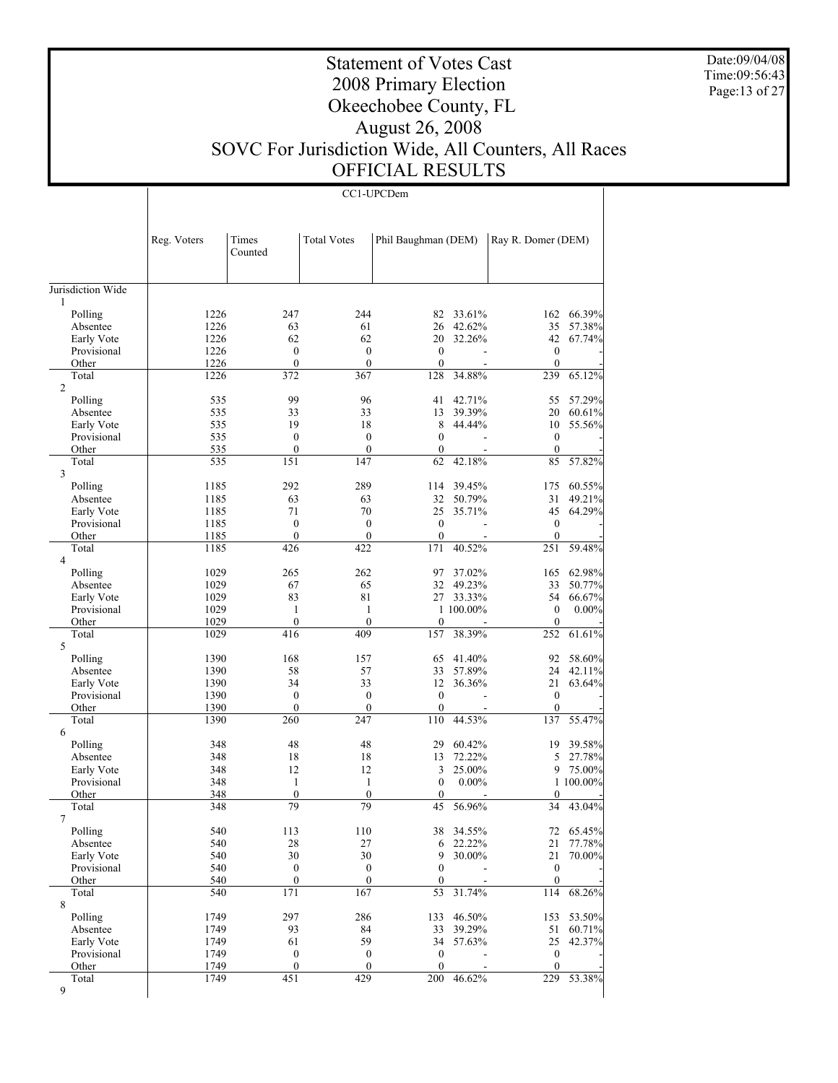Date:09/04/08 Time:09:56:43 Page:13 of 27

# Statement of Votes Cast 2008 Primary Election Okeechobee County, FL August 26, 2008 SOVC For Jurisdiction Wide, All Counters, All Races OFFICIAL RESULTS

CC1-UPCDem

| 1<br>66.39%<br>Polling<br>1226<br>247<br>244<br>82<br>33.61%<br>162<br>57.38%<br>1226<br>61<br>42.62%<br>35<br>Absentee<br>63<br>26<br>1226<br>62<br>62<br>32.26%<br>42<br>67.74%<br>Early Vote<br>20<br>1226<br>$\boldsymbol{0}$<br>$\mathbf{0}$<br>Provisional<br>$\boldsymbol{0}$<br>$\mathbf{0}$<br>1226<br>$\boldsymbol{0}$<br>$\mathbf{0}$<br>$\mathbf{0}$<br>Other<br>$\theta$<br>$\overline{\phantom{a}}$<br>372<br>367<br>34.88%<br>65.12%<br>Total<br>1226<br>128<br>239<br>$\overline{2}$<br>Polling<br>535<br>99<br>96<br>42.71%<br>57.29%<br>41<br>55<br>535<br>33<br>33<br>39.39%<br>20<br>60.61%<br>Absentee<br>13<br>535<br>19<br>18<br>8<br>44.44%<br>55.56%<br>Early Vote<br>10<br>535<br>$\boldsymbol{0}$<br>$\boldsymbol{0}$<br>$\mathbf{0}$<br>Provisional<br>$\boldsymbol{0}$<br>÷<br>535<br>$\mathbf{0}$<br>$\mathbf{0}$<br>$\boldsymbol{0}$<br>Other<br>$\mathbf{0}$<br>57.82%<br>151<br>147<br>62<br>42.18%<br>85<br>Total<br>535<br>3<br>292<br>289<br>39.45%<br>60.55%<br>Polling<br>1185<br>114<br>175<br>1185<br>63<br>63<br>32<br>50.79%<br>31<br>49.21%<br>Absentee<br>71<br>70<br>35.71%<br>45<br>64.29%<br>Early Vote<br>1185<br>25<br>$\boldsymbol{0}$<br>$\boldsymbol{0}$<br>$\mathbf{0}$<br>Provisional<br>1185<br>$\mathbf{0}$<br>Other<br>1185<br>$\mathbf{0}$<br>$\boldsymbol{0}$<br>$\boldsymbol{0}$<br>$\mathbf{0}$<br>171<br>40.52%<br>59.48%<br>Total<br>1185<br>426<br>422<br>251<br>$\overline{4}$<br>1029<br>262<br>37.02%<br>62.98%<br>Polling<br>265<br>97<br>165<br>1029<br>65<br>49.23%<br>33<br>50.77%<br>Absentee<br>67<br>32<br>83<br>81<br>1029<br>33.33%<br>54<br>66.67%<br>Early Vote<br>27<br>1029<br>1 100.00%<br>$\mathbf{0}$<br>0.00%<br>Provisional<br>1<br>1<br>1029<br>$\mathbf{0}$<br>$\mathbf{0}$<br>Other<br>$\boldsymbol{0}$<br>$\mathbf{0}$<br>38.39%<br>1029<br>416<br>409<br>157<br>61.61%<br>Total<br>252<br>5<br>Polling<br>1390<br>168<br>157<br>58.60%<br>65<br>41.40%<br>92<br>57<br>1390<br>58<br>33<br>57.89%<br>24<br>42.11%<br>Absentee<br>1390<br>34<br>33<br>36.36%<br>21<br>Early Vote<br>12<br>63.64%<br>1390<br>$\boldsymbol{0}$<br>$\boldsymbol{0}$<br>$\mathbf{0}$<br>$\mathbf{0}$<br>Provisional<br>1390<br>$\mathbf{0}$<br>Other<br>$\boldsymbol{0}$<br>$\boldsymbol{0}$<br>$\theta$<br>55.47%<br>260<br>247<br>44.53%<br>Total<br>1390<br>110<br>137<br>6<br>Polling<br>48<br>48<br>60.42%<br>39.58%<br>348<br>29<br>19<br>18<br>18<br>72.22%<br>5<br>27.78%<br>Absentee<br>348<br>13<br>348<br>12<br>12<br>25.00%<br>75.00%<br>Early Vote<br>3<br>9<br>$\boldsymbol{0}$<br>$0.00\%$<br>1 100.00%<br>Provisional<br>348<br>1<br>1<br>348<br>$\mathbf{0}$<br>$\boldsymbol{0}$<br>Other<br>$\boldsymbol{0}$<br>$\mathbf{0}$<br>79<br>79<br>45<br>56.96%<br>34<br>43.04%<br>Total<br>348<br>$\tau$<br>Polling<br>540<br>38<br>34.55%<br>72<br>65.45%<br>113<br>110<br>540<br>6 22.22%<br>21 77.78%<br>Absentee<br>28<br>27<br>30<br>30<br>9<br>30.00%<br>21<br>70.00%<br>Early Vote<br>540<br>540<br>$\boldsymbol{0}$<br>Provisional<br>$\boldsymbol{0}$<br>$\boldsymbol{0}$<br>$\boldsymbol{0}$<br>Other<br>540<br>$\boldsymbol{0}$<br>$\boldsymbol{0}$<br>$\boldsymbol{0}$<br>$\boldsymbol{0}$<br>171<br>167<br>53<br>31.74%<br>68.26%<br>540<br>114<br>Total<br>$\,$ 8 $\,$<br>Polling<br>1749<br>297<br>286<br>46.50%<br>53.50%<br>133<br>153<br>1749<br>93<br>84<br>39.29%<br>Absentee<br>33<br>51<br>60.71%<br>1749<br>59<br>Early Vote<br>61<br>34<br>57.63%<br>25<br>42.37%<br>1749<br>Provisional<br>$\boldsymbol{0}$<br>$\boldsymbol{0}$<br>$\boldsymbol{0}$<br>$\boldsymbol{0}$<br>1749<br>$\boldsymbol{0}$<br>$\boldsymbol{0}$<br>$\boldsymbol{0}$<br>Other<br>$\mathbf{0}$<br>451<br>429<br>200<br>$46.62\%$<br>229<br>53.38%<br>Total<br>1749<br>$\mathbf{9}$ |                   | Reg. Voters | Times<br>Counted | <b>Total Votes</b> | Phil Baughman (DEM) | Ray R. Domer (DEM) |  |
|-------------------------------------------------------------------------------------------------------------------------------------------------------------------------------------------------------------------------------------------------------------------------------------------------------------------------------------------------------------------------------------------------------------------------------------------------------------------------------------------------------------------------------------------------------------------------------------------------------------------------------------------------------------------------------------------------------------------------------------------------------------------------------------------------------------------------------------------------------------------------------------------------------------------------------------------------------------------------------------------------------------------------------------------------------------------------------------------------------------------------------------------------------------------------------------------------------------------------------------------------------------------------------------------------------------------------------------------------------------------------------------------------------------------------------------------------------------------------------------------------------------------------------------------------------------------------------------------------------------------------------------------------------------------------------------------------------------------------------------------------------------------------------------------------------------------------------------------------------------------------------------------------------------------------------------------------------------------------------------------------------------------------------------------------------------------------------------------------------------------------------------------------------------------------------------------------------------------------------------------------------------------------------------------------------------------------------------------------------------------------------------------------------------------------------------------------------------------------------------------------------------------------------------------------------------------------------------------------------------------------------------------------------------------------------------------------------------------------------------------------------------------------------------------------------------------------------------------------------------------------------------------------------------------------------------------------------------------------------------------------------------------------------------------------------------------------------------------------------------------------------------------------------------------------------------------------------------------------------------------------------------------------------------------------------------------------------------------------------------------------------------------------------------------------------------------------------------------------------------------------------------------------------------------------------------------------------------------------------------------------------------------------------------------------------------------------------------------------------------------------------------------|-------------------|-------------|------------------|--------------------|---------------------|--------------------|--|
|                                                                                                                                                                                                                                                                                                                                                                                                                                                                                                                                                                                                                                                                                                                                                                                                                                                                                                                                                                                                                                                                                                                                                                                                                                                                                                                                                                                                                                                                                                                                                                                                                                                                                                                                                                                                                                                                                                                                                                                                                                                                                                                                                                                                                                                                                                                                                                                                                                                                                                                                                                                                                                                                                                                                                                                                                                                                                                                                                                                                                                                                                                                                                                                                                                                                                                                                                                                                                                                                                                                                                                                                                                                                                                                                                                   | Jurisdiction Wide |             |                  |                    |                     |                    |  |
|                                                                                                                                                                                                                                                                                                                                                                                                                                                                                                                                                                                                                                                                                                                                                                                                                                                                                                                                                                                                                                                                                                                                                                                                                                                                                                                                                                                                                                                                                                                                                                                                                                                                                                                                                                                                                                                                                                                                                                                                                                                                                                                                                                                                                                                                                                                                                                                                                                                                                                                                                                                                                                                                                                                                                                                                                                                                                                                                                                                                                                                                                                                                                                                                                                                                                                                                                                                                                                                                                                                                                                                                                                                                                                                                                                   |                   |             |                  |                    |                     |                    |  |
|                                                                                                                                                                                                                                                                                                                                                                                                                                                                                                                                                                                                                                                                                                                                                                                                                                                                                                                                                                                                                                                                                                                                                                                                                                                                                                                                                                                                                                                                                                                                                                                                                                                                                                                                                                                                                                                                                                                                                                                                                                                                                                                                                                                                                                                                                                                                                                                                                                                                                                                                                                                                                                                                                                                                                                                                                                                                                                                                                                                                                                                                                                                                                                                                                                                                                                                                                                                                                                                                                                                                                                                                                                                                                                                                                                   |                   |             |                  |                    |                     |                    |  |
|                                                                                                                                                                                                                                                                                                                                                                                                                                                                                                                                                                                                                                                                                                                                                                                                                                                                                                                                                                                                                                                                                                                                                                                                                                                                                                                                                                                                                                                                                                                                                                                                                                                                                                                                                                                                                                                                                                                                                                                                                                                                                                                                                                                                                                                                                                                                                                                                                                                                                                                                                                                                                                                                                                                                                                                                                                                                                                                                                                                                                                                                                                                                                                                                                                                                                                                                                                                                                                                                                                                                                                                                                                                                                                                                                                   |                   |             |                  |                    |                     |                    |  |
|                                                                                                                                                                                                                                                                                                                                                                                                                                                                                                                                                                                                                                                                                                                                                                                                                                                                                                                                                                                                                                                                                                                                                                                                                                                                                                                                                                                                                                                                                                                                                                                                                                                                                                                                                                                                                                                                                                                                                                                                                                                                                                                                                                                                                                                                                                                                                                                                                                                                                                                                                                                                                                                                                                                                                                                                                                                                                                                                                                                                                                                                                                                                                                                                                                                                                                                                                                                                                                                                                                                                                                                                                                                                                                                                                                   |                   |             |                  |                    |                     |                    |  |
|                                                                                                                                                                                                                                                                                                                                                                                                                                                                                                                                                                                                                                                                                                                                                                                                                                                                                                                                                                                                                                                                                                                                                                                                                                                                                                                                                                                                                                                                                                                                                                                                                                                                                                                                                                                                                                                                                                                                                                                                                                                                                                                                                                                                                                                                                                                                                                                                                                                                                                                                                                                                                                                                                                                                                                                                                                                                                                                                                                                                                                                                                                                                                                                                                                                                                                                                                                                                                                                                                                                                                                                                                                                                                                                                                                   |                   |             |                  |                    |                     |                    |  |
|                                                                                                                                                                                                                                                                                                                                                                                                                                                                                                                                                                                                                                                                                                                                                                                                                                                                                                                                                                                                                                                                                                                                                                                                                                                                                                                                                                                                                                                                                                                                                                                                                                                                                                                                                                                                                                                                                                                                                                                                                                                                                                                                                                                                                                                                                                                                                                                                                                                                                                                                                                                                                                                                                                                                                                                                                                                                                                                                                                                                                                                                                                                                                                                                                                                                                                                                                                                                                                                                                                                                                                                                                                                                                                                                                                   |                   |             |                  |                    |                     |                    |  |
|                                                                                                                                                                                                                                                                                                                                                                                                                                                                                                                                                                                                                                                                                                                                                                                                                                                                                                                                                                                                                                                                                                                                                                                                                                                                                                                                                                                                                                                                                                                                                                                                                                                                                                                                                                                                                                                                                                                                                                                                                                                                                                                                                                                                                                                                                                                                                                                                                                                                                                                                                                                                                                                                                                                                                                                                                                                                                                                                                                                                                                                                                                                                                                                                                                                                                                                                                                                                                                                                                                                                                                                                                                                                                                                                                                   |                   |             |                  |                    |                     |                    |  |
|                                                                                                                                                                                                                                                                                                                                                                                                                                                                                                                                                                                                                                                                                                                                                                                                                                                                                                                                                                                                                                                                                                                                                                                                                                                                                                                                                                                                                                                                                                                                                                                                                                                                                                                                                                                                                                                                                                                                                                                                                                                                                                                                                                                                                                                                                                                                                                                                                                                                                                                                                                                                                                                                                                                                                                                                                                                                                                                                                                                                                                                                                                                                                                                                                                                                                                                                                                                                                                                                                                                                                                                                                                                                                                                                                                   |                   |             |                  |                    |                     |                    |  |
|                                                                                                                                                                                                                                                                                                                                                                                                                                                                                                                                                                                                                                                                                                                                                                                                                                                                                                                                                                                                                                                                                                                                                                                                                                                                                                                                                                                                                                                                                                                                                                                                                                                                                                                                                                                                                                                                                                                                                                                                                                                                                                                                                                                                                                                                                                                                                                                                                                                                                                                                                                                                                                                                                                                                                                                                                                                                                                                                                                                                                                                                                                                                                                                                                                                                                                                                                                                                                                                                                                                                                                                                                                                                                                                                                                   |                   |             |                  |                    |                     |                    |  |
|                                                                                                                                                                                                                                                                                                                                                                                                                                                                                                                                                                                                                                                                                                                                                                                                                                                                                                                                                                                                                                                                                                                                                                                                                                                                                                                                                                                                                                                                                                                                                                                                                                                                                                                                                                                                                                                                                                                                                                                                                                                                                                                                                                                                                                                                                                                                                                                                                                                                                                                                                                                                                                                                                                                                                                                                                                                                                                                                                                                                                                                                                                                                                                                                                                                                                                                                                                                                                                                                                                                                                                                                                                                                                                                                                                   |                   |             |                  |                    |                     |                    |  |
|                                                                                                                                                                                                                                                                                                                                                                                                                                                                                                                                                                                                                                                                                                                                                                                                                                                                                                                                                                                                                                                                                                                                                                                                                                                                                                                                                                                                                                                                                                                                                                                                                                                                                                                                                                                                                                                                                                                                                                                                                                                                                                                                                                                                                                                                                                                                                                                                                                                                                                                                                                                                                                                                                                                                                                                                                                                                                                                                                                                                                                                                                                                                                                                                                                                                                                                                                                                                                                                                                                                                                                                                                                                                                                                                                                   |                   |             |                  |                    |                     |                    |  |
|                                                                                                                                                                                                                                                                                                                                                                                                                                                                                                                                                                                                                                                                                                                                                                                                                                                                                                                                                                                                                                                                                                                                                                                                                                                                                                                                                                                                                                                                                                                                                                                                                                                                                                                                                                                                                                                                                                                                                                                                                                                                                                                                                                                                                                                                                                                                                                                                                                                                                                                                                                                                                                                                                                                                                                                                                                                                                                                                                                                                                                                                                                                                                                                                                                                                                                                                                                                                                                                                                                                                                                                                                                                                                                                                                                   |                   |             |                  |                    |                     |                    |  |
|                                                                                                                                                                                                                                                                                                                                                                                                                                                                                                                                                                                                                                                                                                                                                                                                                                                                                                                                                                                                                                                                                                                                                                                                                                                                                                                                                                                                                                                                                                                                                                                                                                                                                                                                                                                                                                                                                                                                                                                                                                                                                                                                                                                                                                                                                                                                                                                                                                                                                                                                                                                                                                                                                                                                                                                                                                                                                                                                                                                                                                                                                                                                                                                                                                                                                                                                                                                                                                                                                                                                                                                                                                                                                                                                                                   |                   |             |                  |                    |                     |                    |  |
|                                                                                                                                                                                                                                                                                                                                                                                                                                                                                                                                                                                                                                                                                                                                                                                                                                                                                                                                                                                                                                                                                                                                                                                                                                                                                                                                                                                                                                                                                                                                                                                                                                                                                                                                                                                                                                                                                                                                                                                                                                                                                                                                                                                                                                                                                                                                                                                                                                                                                                                                                                                                                                                                                                                                                                                                                                                                                                                                                                                                                                                                                                                                                                                                                                                                                                                                                                                                                                                                                                                                                                                                                                                                                                                                                                   |                   |             |                  |                    |                     |                    |  |
|                                                                                                                                                                                                                                                                                                                                                                                                                                                                                                                                                                                                                                                                                                                                                                                                                                                                                                                                                                                                                                                                                                                                                                                                                                                                                                                                                                                                                                                                                                                                                                                                                                                                                                                                                                                                                                                                                                                                                                                                                                                                                                                                                                                                                                                                                                                                                                                                                                                                                                                                                                                                                                                                                                                                                                                                                                                                                                                                                                                                                                                                                                                                                                                                                                                                                                                                                                                                                                                                                                                                                                                                                                                                                                                                                                   |                   |             |                  |                    |                     |                    |  |
|                                                                                                                                                                                                                                                                                                                                                                                                                                                                                                                                                                                                                                                                                                                                                                                                                                                                                                                                                                                                                                                                                                                                                                                                                                                                                                                                                                                                                                                                                                                                                                                                                                                                                                                                                                                                                                                                                                                                                                                                                                                                                                                                                                                                                                                                                                                                                                                                                                                                                                                                                                                                                                                                                                                                                                                                                                                                                                                                                                                                                                                                                                                                                                                                                                                                                                                                                                                                                                                                                                                                                                                                                                                                                                                                                                   |                   |             |                  |                    |                     |                    |  |
|                                                                                                                                                                                                                                                                                                                                                                                                                                                                                                                                                                                                                                                                                                                                                                                                                                                                                                                                                                                                                                                                                                                                                                                                                                                                                                                                                                                                                                                                                                                                                                                                                                                                                                                                                                                                                                                                                                                                                                                                                                                                                                                                                                                                                                                                                                                                                                                                                                                                                                                                                                                                                                                                                                                                                                                                                                                                                                                                                                                                                                                                                                                                                                                                                                                                                                                                                                                                                                                                                                                                                                                                                                                                                                                                                                   |                   |             |                  |                    |                     |                    |  |
|                                                                                                                                                                                                                                                                                                                                                                                                                                                                                                                                                                                                                                                                                                                                                                                                                                                                                                                                                                                                                                                                                                                                                                                                                                                                                                                                                                                                                                                                                                                                                                                                                                                                                                                                                                                                                                                                                                                                                                                                                                                                                                                                                                                                                                                                                                                                                                                                                                                                                                                                                                                                                                                                                                                                                                                                                                                                                                                                                                                                                                                                                                                                                                                                                                                                                                                                                                                                                                                                                                                                                                                                                                                                                                                                                                   |                   |             |                  |                    |                     |                    |  |
|                                                                                                                                                                                                                                                                                                                                                                                                                                                                                                                                                                                                                                                                                                                                                                                                                                                                                                                                                                                                                                                                                                                                                                                                                                                                                                                                                                                                                                                                                                                                                                                                                                                                                                                                                                                                                                                                                                                                                                                                                                                                                                                                                                                                                                                                                                                                                                                                                                                                                                                                                                                                                                                                                                                                                                                                                                                                                                                                                                                                                                                                                                                                                                                                                                                                                                                                                                                                                                                                                                                                                                                                                                                                                                                                                                   |                   |             |                  |                    |                     |                    |  |
|                                                                                                                                                                                                                                                                                                                                                                                                                                                                                                                                                                                                                                                                                                                                                                                                                                                                                                                                                                                                                                                                                                                                                                                                                                                                                                                                                                                                                                                                                                                                                                                                                                                                                                                                                                                                                                                                                                                                                                                                                                                                                                                                                                                                                                                                                                                                                                                                                                                                                                                                                                                                                                                                                                                                                                                                                                                                                                                                                                                                                                                                                                                                                                                                                                                                                                                                                                                                                                                                                                                                                                                                                                                                                                                                                                   |                   |             |                  |                    |                     |                    |  |
|                                                                                                                                                                                                                                                                                                                                                                                                                                                                                                                                                                                                                                                                                                                                                                                                                                                                                                                                                                                                                                                                                                                                                                                                                                                                                                                                                                                                                                                                                                                                                                                                                                                                                                                                                                                                                                                                                                                                                                                                                                                                                                                                                                                                                                                                                                                                                                                                                                                                                                                                                                                                                                                                                                                                                                                                                                                                                                                                                                                                                                                                                                                                                                                                                                                                                                                                                                                                                                                                                                                                                                                                                                                                                                                                                                   |                   |             |                  |                    |                     |                    |  |
|                                                                                                                                                                                                                                                                                                                                                                                                                                                                                                                                                                                                                                                                                                                                                                                                                                                                                                                                                                                                                                                                                                                                                                                                                                                                                                                                                                                                                                                                                                                                                                                                                                                                                                                                                                                                                                                                                                                                                                                                                                                                                                                                                                                                                                                                                                                                                                                                                                                                                                                                                                                                                                                                                                                                                                                                                                                                                                                                                                                                                                                                                                                                                                                                                                                                                                                                                                                                                                                                                                                                                                                                                                                                                                                                                                   |                   |             |                  |                    |                     |                    |  |
|                                                                                                                                                                                                                                                                                                                                                                                                                                                                                                                                                                                                                                                                                                                                                                                                                                                                                                                                                                                                                                                                                                                                                                                                                                                                                                                                                                                                                                                                                                                                                                                                                                                                                                                                                                                                                                                                                                                                                                                                                                                                                                                                                                                                                                                                                                                                                                                                                                                                                                                                                                                                                                                                                                                                                                                                                                                                                                                                                                                                                                                                                                                                                                                                                                                                                                                                                                                                                                                                                                                                                                                                                                                                                                                                                                   |                   |             |                  |                    |                     |                    |  |
|                                                                                                                                                                                                                                                                                                                                                                                                                                                                                                                                                                                                                                                                                                                                                                                                                                                                                                                                                                                                                                                                                                                                                                                                                                                                                                                                                                                                                                                                                                                                                                                                                                                                                                                                                                                                                                                                                                                                                                                                                                                                                                                                                                                                                                                                                                                                                                                                                                                                                                                                                                                                                                                                                                                                                                                                                                                                                                                                                                                                                                                                                                                                                                                                                                                                                                                                                                                                                                                                                                                                                                                                                                                                                                                                                                   |                   |             |                  |                    |                     |                    |  |
|                                                                                                                                                                                                                                                                                                                                                                                                                                                                                                                                                                                                                                                                                                                                                                                                                                                                                                                                                                                                                                                                                                                                                                                                                                                                                                                                                                                                                                                                                                                                                                                                                                                                                                                                                                                                                                                                                                                                                                                                                                                                                                                                                                                                                                                                                                                                                                                                                                                                                                                                                                                                                                                                                                                                                                                                                                                                                                                                                                                                                                                                                                                                                                                                                                                                                                                                                                                                                                                                                                                                                                                                                                                                                                                                                                   |                   |             |                  |                    |                     |                    |  |
|                                                                                                                                                                                                                                                                                                                                                                                                                                                                                                                                                                                                                                                                                                                                                                                                                                                                                                                                                                                                                                                                                                                                                                                                                                                                                                                                                                                                                                                                                                                                                                                                                                                                                                                                                                                                                                                                                                                                                                                                                                                                                                                                                                                                                                                                                                                                                                                                                                                                                                                                                                                                                                                                                                                                                                                                                                                                                                                                                                                                                                                                                                                                                                                                                                                                                                                                                                                                                                                                                                                                                                                                                                                                                                                                                                   |                   |             |                  |                    |                     |                    |  |
|                                                                                                                                                                                                                                                                                                                                                                                                                                                                                                                                                                                                                                                                                                                                                                                                                                                                                                                                                                                                                                                                                                                                                                                                                                                                                                                                                                                                                                                                                                                                                                                                                                                                                                                                                                                                                                                                                                                                                                                                                                                                                                                                                                                                                                                                                                                                                                                                                                                                                                                                                                                                                                                                                                                                                                                                                                                                                                                                                                                                                                                                                                                                                                                                                                                                                                                                                                                                                                                                                                                                                                                                                                                                                                                                                                   |                   |             |                  |                    |                     |                    |  |
|                                                                                                                                                                                                                                                                                                                                                                                                                                                                                                                                                                                                                                                                                                                                                                                                                                                                                                                                                                                                                                                                                                                                                                                                                                                                                                                                                                                                                                                                                                                                                                                                                                                                                                                                                                                                                                                                                                                                                                                                                                                                                                                                                                                                                                                                                                                                                                                                                                                                                                                                                                                                                                                                                                                                                                                                                                                                                                                                                                                                                                                                                                                                                                                                                                                                                                                                                                                                                                                                                                                                                                                                                                                                                                                                                                   |                   |             |                  |                    |                     |                    |  |
|                                                                                                                                                                                                                                                                                                                                                                                                                                                                                                                                                                                                                                                                                                                                                                                                                                                                                                                                                                                                                                                                                                                                                                                                                                                                                                                                                                                                                                                                                                                                                                                                                                                                                                                                                                                                                                                                                                                                                                                                                                                                                                                                                                                                                                                                                                                                                                                                                                                                                                                                                                                                                                                                                                                                                                                                                                                                                                                                                                                                                                                                                                                                                                                                                                                                                                                                                                                                                                                                                                                                                                                                                                                                                                                                                                   |                   |             |                  |                    |                     |                    |  |
|                                                                                                                                                                                                                                                                                                                                                                                                                                                                                                                                                                                                                                                                                                                                                                                                                                                                                                                                                                                                                                                                                                                                                                                                                                                                                                                                                                                                                                                                                                                                                                                                                                                                                                                                                                                                                                                                                                                                                                                                                                                                                                                                                                                                                                                                                                                                                                                                                                                                                                                                                                                                                                                                                                                                                                                                                                                                                                                                                                                                                                                                                                                                                                                                                                                                                                                                                                                                                                                                                                                                                                                                                                                                                                                                                                   |                   |             |                  |                    |                     |                    |  |
|                                                                                                                                                                                                                                                                                                                                                                                                                                                                                                                                                                                                                                                                                                                                                                                                                                                                                                                                                                                                                                                                                                                                                                                                                                                                                                                                                                                                                                                                                                                                                                                                                                                                                                                                                                                                                                                                                                                                                                                                                                                                                                                                                                                                                                                                                                                                                                                                                                                                                                                                                                                                                                                                                                                                                                                                                                                                                                                                                                                                                                                                                                                                                                                                                                                                                                                                                                                                                                                                                                                                                                                                                                                                                                                                                                   |                   |             |                  |                    |                     |                    |  |
|                                                                                                                                                                                                                                                                                                                                                                                                                                                                                                                                                                                                                                                                                                                                                                                                                                                                                                                                                                                                                                                                                                                                                                                                                                                                                                                                                                                                                                                                                                                                                                                                                                                                                                                                                                                                                                                                                                                                                                                                                                                                                                                                                                                                                                                                                                                                                                                                                                                                                                                                                                                                                                                                                                                                                                                                                                                                                                                                                                                                                                                                                                                                                                                                                                                                                                                                                                                                                                                                                                                                                                                                                                                                                                                                                                   |                   |             |                  |                    |                     |                    |  |
|                                                                                                                                                                                                                                                                                                                                                                                                                                                                                                                                                                                                                                                                                                                                                                                                                                                                                                                                                                                                                                                                                                                                                                                                                                                                                                                                                                                                                                                                                                                                                                                                                                                                                                                                                                                                                                                                                                                                                                                                                                                                                                                                                                                                                                                                                                                                                                                                                                                                                                                                                                                                                                                                                                                                                                                                                                                                                                                                                                                                                                                                                                                                                                                                                                                                                                                                                                                                                                                                                                                                                                                                                                                                                                                                                                   |                   |             |                  |                    |                     |                    |  |
|                                                                                                                                                                                                                                                                                                                                                                                                                                                                                                                                                                                                                                                                                                                                                                                                                                                                                                                                                                                                                                                                                                                                                                                                                                                                                                                                                                                                                                                                                                                                                                                                                                                                                                                                                                                                                                                                                                                                                                                                                                                                                                                                                                                                                                                                                                                                                                                                                                                                                                                                                                                                                                                                                                                                                                                                                                                                                                                                                                                                                                                                                                                                                                                                                                                                                                                                                                                                                                                                                                                                                                                                                                                                                                                                                                   |                   |             |                  |                    |                     |                    |  |
|                                                                                                                                                                                                                                                                                                                                                                                                                                                                                                                                                                                                                                                                                                                                                                                                                                                                                                                                                                                                                                                                                                                                                                                                                                                                                                                                                                                                                                                                                                                                                                                                                                                                                                                                                                                                                                                                                                                                                                                                                                                                                                                                                                                                                                                                                                                                                                                                                                                                                                                                                                                                                                                                                                                                                                                                                                                                                                                                                                                                                                                                                                                                                                                                                                                                                                                                                                                                                                                                                                                                                                                                                                                                                                                                                                   |                   |             |                  |                    |                     |                    |  |
|                                                                                                                                                                                                                                                                                                                                                                                                                                                                                                                                                                                                                                                                                                                                                                                                                                                                                                                                                                                                                                                                                                                                                                                                                                                                                                                                                                                                                                                                                                                                                                                                                                                                                                                                                                                                                                                                                                                                                                                                                                                                                                                                                                                                                                                                                                                                                                                                                                                                                                                                                                                                                                                                                                                                                                                                                                                                                                                                                                                                                                                                                                                                                                                                                                                                                                                                                                                                                                                                                                                                                                                                                                                                                                                                                                   |                   |             |                  |                    |                     |                    |  |
|                                                                                                                                                                                                                                                                                                                                                                                                                                                                                                                                                                                                                                                                                                                                                                                                                                                                                                                                                                                                                                                                                                                                                                                                                                                                                                                                                                                                                                                                                                                                                                                                                                                                                                                                                                                                                                                                                                                                                                                                                                                                                                                                                                                                                                                                                                                                                                                                                                                                                                                                                                                                                                                                                                                                                                                                                                                                                                                                                                                                                                                                                                                                                                                                                                                                                                                                                                                                                                                                                                                                                                                                                                                                                                                                                                   |                   |             |                  |                    |                     |                    |  |
|                                                                                                                                                                                                                                                                                                                                                                                                                                                                                                                                                                                                                                                                                                                                                                                                                                                                                                                                                                                                                                                                                                                                                                                                                                                                                                                                                                                                                                                                                                                                                                                                                                                                                                                                                                                                                                                                                                                                                                                                                                                                                                                                                                                                                                                                                                                                                                                                                                                                                                                                                                                                                                                                                                                                                                                                                                                                                                                                                                                                                                                                                                                                                                                                                                                                                                                                                                                                                                                                                                                                                                                                                                                                                                                                                                   |                   |             |                  |                    |                     |                    |  |
|                                                                                                                                                                                                                                                                                                                                                                                                                                                                                                                                                                                                                                                                                                                                                                                                                                                                                                                                                                                                                                                                                                                                                                                                                                                                                                                                                                                                                                                                                                                                                                                                                                                                                                                                                                                                                                                                                                                                                                                                                                                                                                                                                                                                                                                                                                                                                                                                                                                                                                                                                                                                                                                                                                                                                                                                                                                                                                                                                                                                                                                                                                                                                                                                                                                                                                                                                                                                                                                                                                                                                                                                                                                                                                                                                                   |                   |             |                  |                    |                     |                    |  |
|                                                                                                                                                                                                                                                                                                                                                                                                                                                                                                                                                                                                                                                                                                                                                                                                                                                                                                                                                                                                                                                                                                                                                                                                                                                                                                                                                                                                                                                                                                                                                                                                                                                                                                                                                                                                                                                                                                                                                                                                                                                                                                                                                                                                                                                                                                                                                                                                                                                                                                                                                                                                                                                                                                                                                                                                                                                                                                                                                                                                                                                                                                                                                                                                                                                                                                                                                                                                                                                                                                                                                                                                                                                                                                                                                                   |                   |             |                  |                    |                     |                    |  |
|                                                                                                                                                                                                                                                                                                                                                                                                                                                                                                                                                                                                                                                                                                                                                                                                                                                                                                                                                                                                                                                                                                                                                                                                                                                                                                                                                                                                                                                                                                                                                                                                                                                                                                                                                                                                                                                                                                                                                                                                                                                                                                                                                                                                                                                                                                                                                                                                                                                                                                                                                                                                                                                                                                                                                                                                                                                                                                                                                                                                                                                                                                                                                                                                                                                                                                                                                                                                                                                                                                                                                                                                                                                                                                                                                                   |                   |             |                  |                    |                     |                    |  |
|                                                                                                                                                                                                                                                                                                                                                                                                                                                                                                                                                                                                                                                                                                                                                                                                                                                                                                                                                                                                                                                                                                                                                                                                                                                                                                                                                                                                                                                                                                                                                                                                                                                                                                                                                                                                                                                                                                                                                                                                                                                                                                                                                                                                                                                                                                                                                                                                                                                                                                                                                                                                                                                                                                                                                                                                                                                                                                                                                                                                                                                                                                                                                                                                                                                                                                                                                                                                                                                                                                                                                                                                                                                                                                                                                                   |                   |             |                  |                    |                     |                    |  |
|                                                                                                                                                                                                                                                                                                                                                                                                                                                                                                                                                                                                                                                                                                                                                                                                                                                                                                                                                                                                                                                                                                                                                                                                                                                                                                                                                                                                                                                                                                                                                                                                                                                                                                                                                                                                                                                                                                                                                                                                                                                                                                                                                                                                                                                                                                                                                                                                                                                                                                                                                                                                                                                                                                                                                                                                                                                                                                                                                                                                                                                                                                                                                                                                                                                                                                                                                                                                                                                                                                                                                                                                                                                                                                                                                                   |                   |             |                  |                    |                     |                    |  |
|                                                                                                                                                                                                                                                                                                                                                                                                                                                                                                                                                                                                                                                                                                                                                                                                                                                                                                                                                                                                                                                                                                                                                                                                                                                                                                                                                                                                                                                                                                                                                                                                                                                                                                                                                                                                                                                                                                                                                                                                                                                                                                                                                                                                                                                                                                                                                                                                                                                                                                                                                                                                                                                                                                                                                                                                                                                                                                                                                                                                                                                                                                                                                                                                                                                                                                                                                                                                                                                                                                                                                                                                                                                                                                                                                                   |                   |             |                  |                    |                     |                    |  |
|                                                                                                                                                                                                                                                                                                                                                                                                                                                                                                                                                                                                                                                                                                                                                                                                                                                                                                                                                                                                                                                                                                                                                                                                                                                                                                                                                                                                                                                                                                                                                                                                                                                                                                                                                                                                                                                                                                                                                                                                                                                                                                                                                                                                                                                                                                                                                                                                                                                                                                                                                                                                                                                                                                                                                                                                                                                                                                                                                                                                                                                                                                                                                                                                                                                                                                                                                                                                                                                                                                                                                                                                                                                                                                                                                                   |                   |             |                  |                    |                     |                    |  |
|                                                                                                                                                                                                                                                                                                                                                                                                                                                                                                                                                                                                                                                                                                                                                                                                                                                                                                                                                                                                                                                                                                                                                                                                                                                                                                                                                                                                                                                                                                                                                                                                                                                                                                                                                                                                                                                                                                                                                                                                                                                                                                                                                                                                                                                                                                                                                                                                                                                                                                                                                                                                                                                                                                                                                                                                                                                                                                                                                                                                                                                                                                                                                                                                                                                                                                                                                                                                                                                                                                                                                                                                                                                                                                                                                                   |                   |             |                  |                    |                     |                    |  |
|                                                                                                                                                                                                                                                                                                                                                                                                                                                                                                                                                                                                                                                                                                                                                                                                                                                                                                                                                                                                                                                                                                                                                                                                                                                                                                                                                                                                                                                                                                                                                                                                                                                                                                                                                                                                                                                                                                                                                                                                                                                                                                                                                                                                                                                                                                                                                                                                                                                                                                                                                                                                                                                                                                                                                                                                                                                                                                                                                                                                                                                                                                                                                                                                                                                                                                                                                                                                                                                                                                                                                                                                                                                                                                                                                                   |                   |             |                  |                    |                     |                    |  |
|                                                                                                                                                                                                                                                                                                                                                                                                                                                                                                                                                                                                                                                                                                                                                                                                                                                                                                                                                                                                                                                                                                                                                                                                                                                                                                                                                                                                                                                                                                                                                                                                                                                                                                                                                                                                                                                                                                                                                                                                                                                                                                                                                                                                                                                                                                                                                                                                                                                                                                                                                                                                                                                                                                                                                                                                                                                                                                                                                                                                                                                                                                                                                                                                                                                                                                                                                                                                                                                                                                                                                                                                                                                                                                                                                                   |                   |             |                  |                    |                     |                    |  |
|                                                                                                                                                                                                                                                                                                                                                                                                                                                                                                                                                                                                                                                                                                                                                                                                                                                                                                                                                                                                                                                                                                                                                                                                                                                                                                                                                                                                                                                                                                                                                                                                                                                                                                                                                                                                                                                                                                                                                                                                                                                                                                                                                                                                                                                                                                                                                                                                                                                                                                                                                                                                                                                                                                                                                                                                                                                                                                                                                                                                                                                                                                                                                                                                                                                                                                                                                                                                                                                                                                                                                                                                                                                                                                                                                                   |                   |             |                  |                    |                     |                    |  |
|                                                                                                                                                                                                                                                                                                                                                                                                                                                                                                                                                                                                                                                                                                                                                                                                                                                                                                                                                                                                                                                                                                                                                                                                                                                                                                                                                                                                                                                                                                                                                                                                                                                                                                                                                                                                                                                                                                                                                                                                                                                                                                                                                                                                                                                                                                                                                                                                                                                                                                                                                                                                                                                                                                                                                                                                                                                                                                                                                                                                                                                                                                                                                                                                                                                                                                                                                                                                                                                                                                                                                                                                                                                                                                                                                                   |                   |             |                  |                    |                     |                    |  |
|                                                                                                                                                                                                                                                                                                                                                                                                                                                                                                                                                                                                                                                                                                                                                                                                                                                                                                                                                                                                                                                                                                                                                                                                                                                                                                                                                                                                                                                                                                                                                                                                                                                                                                                                                                                                                                                                                                                                                                                                                                                                                                                                                                                                                                                                                                                                                                                                                                                                                                                                                                                                                                                                                                                                                                                                                                                                                                                                                                                                                                                                                                                                                                                                                                                                                                                                                                                                                                                                                                                                                                                                                                                                                                                                                                   |                   |             |                  |                    |                     |                    |  |
|                                                                                                                                                                                                                                                                                                                                                                                                                                                                                                                                                                                                                                                                                                                                                                                                                                                                                                                                                                                                                                                                                                                                                                                                                                                                                                                                                                                                                                                                                                                                                                                                                                                                                                                                                                                                                                                                                                                                                                                                                                                                                                                                                                                                                                                                                                                                                                                                                                                                                                                                                                                                                                                                                                                                                                                                                                                                                                                                                                                                                                                                                                                                                                                                                                                                                                                                                                                                                                                                                                                                                                                                                                                                                                                                                                   |                   |             |                  |                    |                     |                    |  |
|                                                                                                                                                                                                                                                                                                                                                                                                                                                                                                                                                                                                                                                                                                                                                                                                                                                                                                                                                                                                                                                                                                                                                                                                                                                                                                                                                                                                                                                                                                                                                                                                                                                                                                                                                                                                                                                                                                                                                                                                                                                                                                                                                                                                                                                                                                                                                                                                                                                                                                                                                                                                                                                                                                                                                                                                                                                                                                                                                                                                                                                                                                                                                                                                                                                                                                                                                                                                                                                                                                                                                                                                                                                                                                                                                                   |                   |             |                  |                    |                     |                    |  |
|                                                                                                                                                                                                                                                                                                                                                                                                                                                                                                                                                                                                                                                                                                                                                                                                                                                                                                                                                                                                                                                                                                                                                                                                                                                                                                                                                                                                                                                                                                                                                                                                                                                                                                                                                                                                                                                                                                                                                                                                                                                                                                                                                                                                                                                                                                                                                                                                                                                                                                                                                                                                                                                                                                                                                                                                                                                                                                                                                                                                                                                                                                                                                                                                                                                                                                                                                                                                                                                                                                                                                                                                                                                                                                                                                                   |                   |             |                  |                    |                     |                    |  |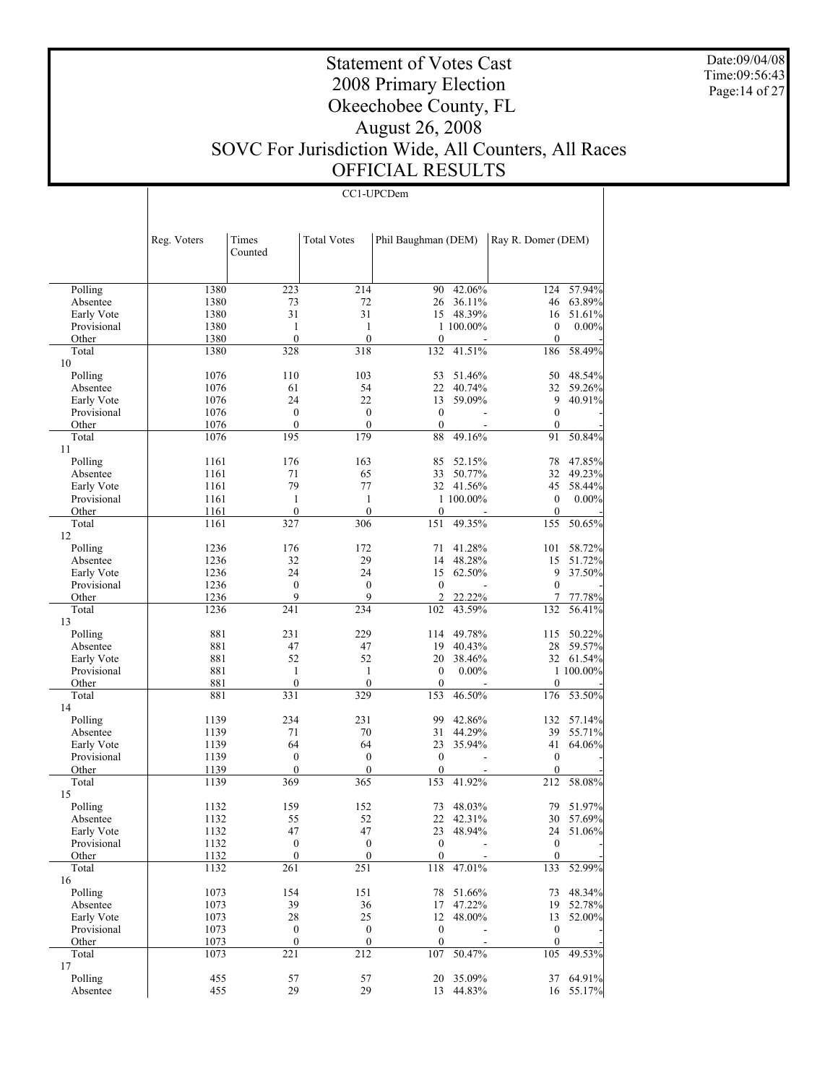Date:09/04/08 Time:09:56:43 Page:14 of 27

# Statement of Votes Cast 2008 Primary Election Okeechobee County, FL August 26, 2008 SOVC For Jurisdiction Wide, All Counters, All Races OFFICIAL RESULTS

#### CC1-UPCDem

|                | Reg. Voters  | Times<br>Counted                     | <b>Total Votes</b>      | Phil Baughman (DEM)     |                  | Ray R. Domer (DEM)      |           |
|----------------|--------------|--------------------------------------|-------------------------|-------------------------|------------------|-------------------------|-----------|
|                |              |                                      |                         |                         |                  |                         |           |
| Polling        | 1380         | 223                                  | 214                     | 90                      | 42.06%           | 124                     | 57.94%    |
| Absentee       | 1380         | 73                                   | 72                      | 26                      | 36.11%           | 46                      | 63.89%    |
| Early Vote     | 1380         | 31                                   | 31                      |                         | 15 48.39%        | 16                      | 51.61%    |
| Provisional    | 1380         | $\mathbf{1}$                         | 1                       |                         | 1 100.00%        | $\boldsymbol{0}$        | $0.00\%$  |
| Other<br>Total | 1380<br>1380 | $\boldsymbol{0}$<br>328              | $\boldsymbol{0}$<br>318 | $\mathbf{0}$<br>132     | 41.51%           | $\mathbf{0}$<br>186     | 58.49%    |
| 10             |              |                                      |                         |                         |                  |                         |           |
| Polling        | 1076         | 110                                  | 103                     | 53                      | 51.46%           | 50                      | 48.54%    |
| Absentee       | 1076         | 61                                   | 54                      | 22                      | 40.74%           | 32                      | 59.26%    |
| Early Vote     | 1076         | 24                                   | 22                      | 13                      | 59.09%           | 9                       | 40.91%    |
| Provisional    | 1076         | $\boldsymbol{0}$                     | $\boldsymbol{0}$        | $\bf{0}$                |                  | $\boldsymbol{0}$        |           |
| Other          | 1076         | $\boldsymbol{0}$                     | $\mathbf{0}$            | $\mathbf{0}$            |                  | $\boldsymbol{0}$        |           |
| Total          | 1076         | 195                                  | 179                     | 88                      | 49.16%           | 91                      | 50.84%    |
| 11             |              |                                      |                         |                         |                  |                         |           |
| Polling        | 1161         | 176                                  | 163                     | 85                      | 52.15%           | 78                      | 47.85%    |
| Absentee       | 1161         | 71                                   | 65                      | 33                      | 50.77%           | 32                      | 49.23%    |
| Early Vote     | 1161         | 79                                   | 77                      |                         | 32 41.56%        | 45                      | 58.44%    |
| Provisional    | 1161         | $\mathbf{1}$                         | 1                       |                         | 1 100.00%        | $\boldsymbol{0}$        | $0.00\%$  |
| Other          | 1161         | $\boldsymbol{0}$                     | $\mathbf{0}$            | $\mathbf{0}$            |                  | $\boldsymbol{0}$        |           |
| Total          | 1161         | 327                                  | 306                     | 151                     | 49.35%           | 155                     | 50.65%    |
| 12             |              |                                      |                         |                         |                  |                         |           |
| Polling        | 1236         | 176                                  | 172                     | 71                      | 41.28%           | 101                     | 58.72%    |
| Absentee       | 1236         | 32                                   | 29                      | 14                      | 48.28%           | 15                      | 51.72%    |
| Early Vote     | 1236         | 24                                   | 24                      | 15                      | 62.50%           | 9                       | 37.50%    |
| Provisional    | 1236         | $\boldsymbol{0}$                     | $\boldsymbol{0}$        | $\mathbf{0}$            |                  | $\boldsymbol{0}$        |           |
| Other          | 1236         | 9                                    | 9                       | $\overline{c}$          | 22.22%           | 7                       | 77.78%    |
| Total          | 1236         | 241                                  | 234                     | 102                     | 43.59%           | 132                     | 56.41%    |
| 13             |              |                                      |                         |                         |                  |                         |           |
| Polling        | 881          | 231                                  | 229                     | 114                     | 49.78%           | 115                     | 50.22%    |
| Absentee       | 881          | 47                                   | 47                      | 19                      | 40.43%           | 28                      | 59.57%    |
| Early Vote     | 881          | 52                                   | 52                      | 20                      | 38.46%           |                         | 32 61.54% |
| Provisional    | 881          | 1                                    | $\mathbf{1}$            | $\boldsymbol{0}$        | $0.00\%$         |                         | 1 100.00% |
| Other          | 881          | $\boldsymbol{0}$                     | $\mathbf{0}$            | $\mathbf{0}$            |                  | $\mathbf{0}$            |           |
| Total          | 881          | 331                                  | 329                     | 153                     | 46.50%           | 176                     | 53.50%    |
| 14             |              |                                      |                         |                         |                  |                         |           |
| Polling        | 1139         | 234                                  | 231                     | 99                      | 42.86%           | 132                     | 57.14%    |
| Absentee       | 1139         | 71                                   | 70                      | 31                      | 44.29%           | 39                      | 55.71%    |
| Early Vote     | 1139         | 64                                   | 64                      | 23                      | 35.94%           | 41                      | 64.06%    |
| Provisional    | 1139         | $\boldsymbol{0}$                     | $\boldsymbol{0}$        | $\boldsymbol{0}$        |                  | $\boldsymbol{0}$        |           |
| Other          | 1139         | $\boldsymbol{0}$                     | $\boldsymbol{0}$        | $\boldsymbol{0}$        |                  | $\boldsymbol{0}$        |           |
| Total          | 1139         | 369                                  | 365                     | 153                     | $41.92\%$        | 212                     | 58.08%    |
| 15             |              |                                      |                         |                         |                  |                         |           |
| Polling        | 1132         | 159                                  | 152                     | 73                      | 48.03%           | 79                      | 51.97%    |
| Absentee       | 1132         | 55                                   | 52                      | 22                      | 42.31%           | 30                      | 57.69%    |
| Early Vote     | 1132         | 47                                   | 47                      | 23                      | 48.94%           | 24                      | 51.06%    |
| Provisional    | 1132         | $\boldsymbol{0}$                     | $\boldsymbol{0}$        | $\boldsymbol{0}$        |                  | $\bf{0}$                |           |
| Other          | 1132<br>1132 | $\boldsymbol{0}$<br>261              | $\boldsymbol{0}$<br>251 | $\boldsymbol{0}$<br>118 | 47.01%           | $\boldsymbol{0}$<br>133 | 52.99%    |
| Total<br>16    |              |                                      |                         |                         |                  |                         |           |
|                |              |                                      |                         |                         |                  |                         |           |
| Polling        | 1073         | 154                                  | 151                     | 78                      | 51.66%           | 73                      | 48.34%    |
| Absentee       | 1073         | 39<br>28                             | 36<br>25                | 17                      | 47.22%<br>48.00% | 19                      | 52.78%    |
| Early Vote     | 1073         |                                      | $\boldsymbol{0}$        | 12<br>$\boldsymbol{0}$  |                  | 13<br>$\boldsymbol{0}$  | 52.00%    |
| Provisional    | 1073         | $\boldsymbol{0}$<br>$\boldsymbol{0}$ | $\boldsymbol{0}$        | $\mathbf{0}$            |                  | $\boldsymbol{0}$        |           |
| Other          | 1073<br>1073 | 221                                  | 212                     | 107                     | 50.47%           | 105                     | 49.53%    |
| Total<br>17    |              |                                      |                         |                         |                  |                         |           |
| Polling        | 455          | 57                                   | 57                      | 20                      | 35.09%           | 37                      | 64.91%    |
| Absentee       | 455          | 29                                   | 29                      | 13                      | 44.83%           | 16                      | 55.17%    |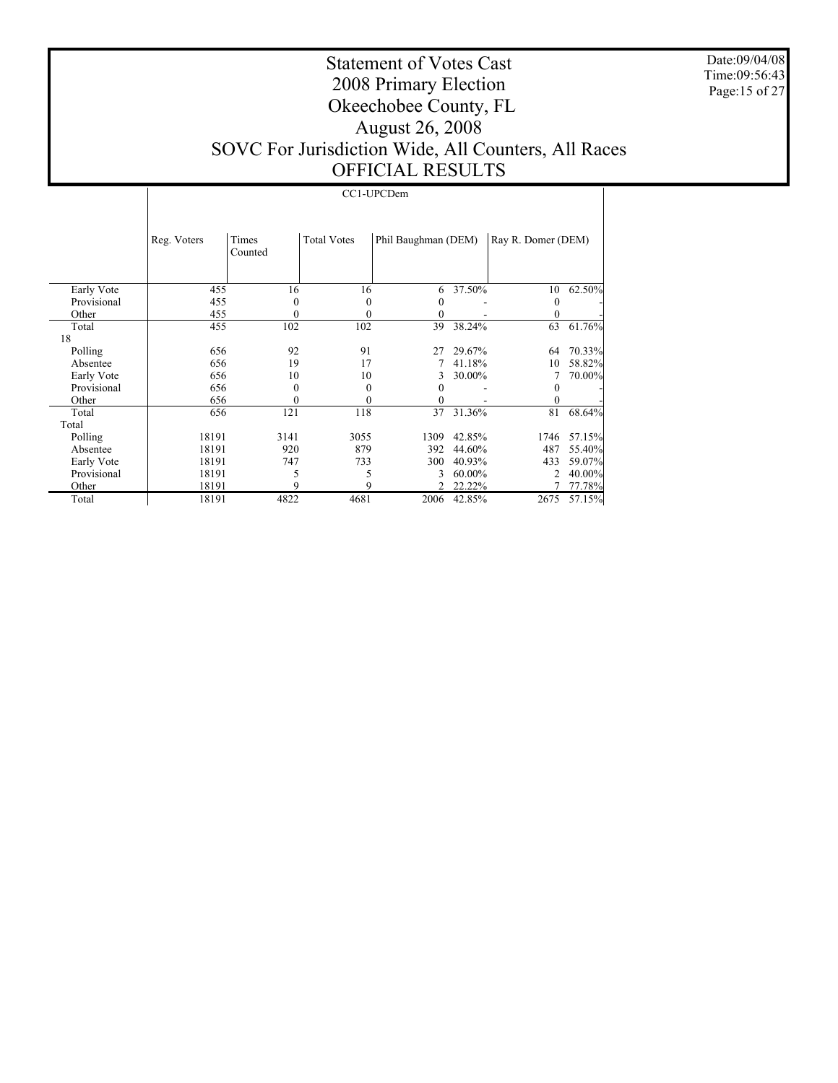Date:09/04/08 Time:09:56:43 Page:15 of 27

# Statement of Votes Cast 2008 Primary Election Okeechobee County, FL August 26, 2008 SOVC For Jurisdiction Wide, All Counters, All Races OFFICIAL RESULTS

#### CC1-UPCDem

|             | Reg. Voters | Times    | <b>Total Votes</b> | Phil Baughman (DEM) |        | Ray R. Domer (DEM) |        |
|-------------|-------------|----------|--------------------|---------------------|--------|--------------------|--------|
|             |             | Counted  |                    |                     |        |                    |        |
|             |             |          |                    |                     |        |                    |        |
|             |             |          |                    |                     |        |                    |        |
| Early Vote  | 455         | 16       | 16                 | 6                   | 37.50% | 10                 | 62.50% |
| Provisional | 455         | 0        | 0                  | $\Omega$            |        | $\mathbf{0}$       |        |
| Other       | 455         |          | 0                  | 0                   |        | $\mathbf{0}$       |        |
| Total       | 455         | 102      | 102                | 39                  | 38.24% | 63                 | 61.76% |
| 18          |             |          |                    |                     |        |                    |        |
| Polling     | 656         | 92       | 91                 | 27                  | 29.67% | 64                 | 70.33% |
| Absentee    | 656         | 19       | 17                 |                     | 41.18% | 10                 | 58.82% |
| Early Vote  | 656         | 10       | 10                 | 3                   | 30.00% |                    | 70.00% |
| Provisional | 656         | $\Omega$ | 0                  |                     |        | $\theta$           |        |
| Other       | 656         | 0        | 0                  | 0                   |        | $\theta$           |        |
| Total       | 656         | 121      | 118                | 37                  | 31.36% | 81                 | 68.64% |
| Total       |             |          |                    |                     |        |                    |        |
| Polling     | 18191       | 3141     | 3055               | 1309                | 42.85% | 1746               | 57.15% |
| Absentee    | 18191       | 920      | 879                | 392                 | 44.60% | 487                | 55.40% |
| Early Vote  | 18191       | 747      | 733                | 300                 | 40.93% | 433                | 59.07% |
| Provisional | 18191       |          |                    | 3                   | 60.00% | 2                  | 40.00% |
| Other       | 18191       |          |                    |                     | 22.22% |                    | 77.78% |
| Total       | 18191       | 4822     | 4681               | 2006                | 42.85% | 2675               | 57.15% |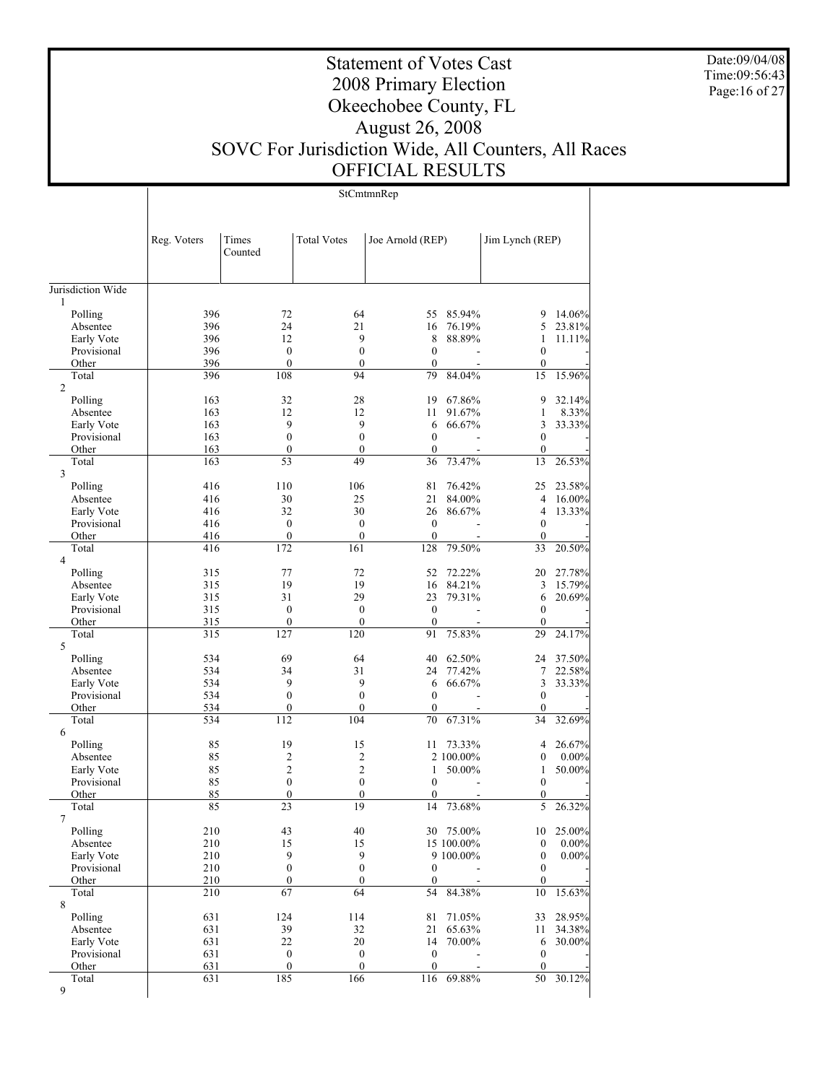Date:09/04/08 Time:09:56:43 Page:16 of 27

# Statement of Votes Cast 2008 Primary Election Okeechobee County, FL August 26, 2008 SOVC For Jurisdiction Wide, All Counters, All Races OFFICIAL RESULTS

StCmtmnRep

|                           | Reg. Voters | Times<br>Counted                     | <b>Total Votes</b>                   | Joe Arnold (REP)             |            | Jim Lynch (REP)                  |           |
|---------------------------|-------------|--------------------------------------|--------------------------------------|------------------------------|------------|----------------------------------|-----------|
|                           |             |                                      |                                      |                              |            |                                  |           |
| Jurisdiction Wide         |             |                                      |                                      |                              |            |                                  |           |
| 1<br>Polling              | 396         | 72                                   | 64                                   | 55                           | 85.94%     | 9                                | 14.06%    |
| Absentee                  | 396         | 24                                   | 21                                   | 16                           | 76.19%     | 5                                | 23.81%    |
| Early Vote                | 396         | 12                                   | 9                                    | 8                            | 88.89%     | 1                                | 11.11%    |
| Provisional               | 396         | $\boldsymbol{0}$                     | $\boldsymbol{0}$                     | $\mathbf{0}$                 |            | $\mathbf{0}$                     |           |
| Other                     | 396         | $\mathbf{0}$                         | $\theta$                             | $\mathbf{0}$                 |            | $\mathbf{0}$                     |           |
| Total                     | 396         | 108                                  | 94                                   | 79                           | $84.04\%$  | 15                               | 15.96%    |
| $\overline{2}$            |             |                                      |                                      |                              |            |                                  |           |
| Polling                   | 163         | 32                                   | 28                                   | 19                           | 67.86%     | 9                                | 32.14%    |
| Absentee                  | 163         | 12                                   | 12                                   | 11                           | 91.67%     | 1                                | 8.33%     |
| Early Vote                | 163         | 9                                    | 9                                    | 6                            | 66.67%     | 3                                | 33.33%    |
| Provisional               | 163         | $\mathbf{0}$                         | $\boldsymbol{0}$                     | $\mathbf{0}$                 |            | $\mathbf{0}$                     |           |
| Other                     | 163         | $\boldsymbol{0}$                     | $\mathbf{0}$                         | $\mathbf{0}$                 |            | $\mathbf{0}$                     |           |
| Total                     | 163         | 53                                   | 49                                   | 36                           | 73.47%     | 13                               | 26.53%    |
| $\overline{3}$            |             |                                      |                                      |                              |            |                                  |           |
| Polling                   | 416         | 110                                  | 106                                  | 81                           | 76.42%     | 25                               | 23.58%    |
| Absentee                  | 416         | 30<br>32                             | 25<br>30                             | 21                           | 84.00%     | 4                                | 16.00%    |
| Early Vote<br>Provisional | 416<br>416  | $\mathbf{0}$                         | $\boldsymbol{0}$                     | 26<br>$\mathbf{0}$           | 86.67%     | $\overline{4}$<br>$\mathbf{0}$   | 13.33%    |
| Other                     | 416         | $\boldsymbol{0}$                     | $\mathbf{0}$                         | $\mathbf{0}$                 |            | $\boldsymbol{0}$                 |           |
| Total                     | 416         | 172                                  | 161                                  | 128                          | 79.50%     | 33                               | 20.50%    |
| 4                         |             |                                      |                                      |                              |            |                                  |           |
| Polling                   | 315         | 77                                   | 72                                   | 52                           | 72.22%     | 20                               | 27.78%    |
| Absentee                  | 315         | 19                                   | 19                                   | 16                           | 84.21%     | 3                                | 15.79%    |
| Early Vote                | 315         | 31                                   | 29                                   | 23                           | 79.31%     | 6                                | 20.69%    |
| Provisional               | 315         | $\boldsymbol{0}$                     | $\boldsymbol{0}$                     | $\boldsymbol{0}$             | ÷.         | $\mathbf{0}$                     |           |
| Other                     | 315         | $\boldsymbol{0}$                     | $\boldsymbol{0}$                     | $\mathbf{0}$                 |            | $\boldsymbol{0}$                 |           |
| Total                     | 315         | 127                                  | 120                                  | 91                           | 75.83%     | 29                               | 24.17%    |
| 5                         |             |                                      |                                      |                              |            |                                  |           |
| Polling                   | 534         | 69                                   | 64                                   | 40                           | 62.50%     | 24                               | 37.50%    |
| Absentee                  | 534         | 34                                   | 31                                   | 24                           | 77.42%     | 7                                | 22.58%    |
| Early Vote                | 534         | 9                                    | 9                                    | 6                            | 66.67%     | 3                                | 33.33%    |
| Provisional               | 534         | $\boldsymbol{0}$                     | $\boldsymbol{0}$                     | $\mathbf{0}$                 |            | $\mathbf{0}$                     |           |
| Other                     | 534         | $\mathbf{0}$                         | $\mathbf{0}$                         | $\theta$                     |            | $\boldsymbol{0}$                 |           |
| Total                     | 534         | 112                                  | 104                                  | 70                           | 67.31%     | 34                               | 32.69%    |
| 6                         |             |                                      |                                      |                              |            |                                  |           |
| Polling                   | 85          | 19                                   | 15                                   | 11                           | 73.33%     | 4                                | 26.67%    |
| Absentee                  | 85          | 2                                    | $\overline{c}$                       |                              | 2 100.00%  | $\boldsymbol{0}$                 | 0.00%     |
| Early Vote                | 85          | $\overline{c}$                       | $\overline{2}$                       | 1                            | 50.00%     | 1                                | 50.00%    |
| Provisional<br>Other      | 85<br>85    | $\boldsymbol{0}$<br>$\boldsymbol{0}$ | $\boldsymbol{0}$<br>$\boldsymbol{0}$ | $\mathbf{0}$<br>$\mathbf{0}$ |            | $\mathbf{0}$<br>$\boldsymbol{0}$ |           |
| Total                     | 85          | 23                                   | 19                                   | 14                           | 73.68%     | 5                                | 26.32%    |
| $\tau$                    |             |                                      |                                      |                              |            |                                  |           |
| Polling                   | 210         | 43                                   | 40                                   |                              | 30 75.00%  | 10                               | $25.00\%$ |
| Absentee                  | 210         | 15                                   | 15                                   |                              | 15 100.00% | $\boldsymbol{0}$                 | 0.00%     |
| Early Vote                | 210         | 9                                    | $\overline{9}$                       |                              | 9 100.00%  | $\mathbf{0}$                     | 0.00%     |
| Provisional               | 210         | $\boldsymbol{0}$                     | $\boldsymbol{0}$                     | $\boldsymbol{0}$             |            | 0                                |           |
| Other                     | 210         | $\boldsymbol{0}$                     | $\boldsymbol{0}$                     | $\boldsymbol{0}$             |            | $\boldsymbol{0}$                 |           |
| Total                     | 210         | 67                                   | 64                                   | 54                           | 84.38%     | 10                               | 15.63%    |
| $\,8\,$                   |             |                                      |                                      |                              |            |                                  |           |
| Polling                   | 631         | 124                                  | 114                                  | 81                           | 71.05%     | 33                               | 28.95%    |
| Absentee                  | 631         | 39                                   | 32                                   | 21                           | 65.63%     | 11                               | 34.38%    |
| Early Vote                | 631         | 22                                   | 20                                   | 14                           | 70.00%     | 6                                | 30.00%    |
| Provisional               | 631         | $\boldsymbol{0}$                     | $\boldsymbol{0}$                     | $\boldsymbol{0}$             |            | $\boldsymbol{0}$                 |           |
| Other                     | 631         | $\boldsymbol{0}$                     | $\boldsymbol{0}$                     | $\boldsymbol{0}$             |            | $\boldsymbol{0}$                 |           |
| Total                     | 631         | 185                                  | 166                                  | 116                          | 69.88%     | 50                               | 30.12%    |
| 9                         |             |                                      |                                      |                              |            |                                  |           |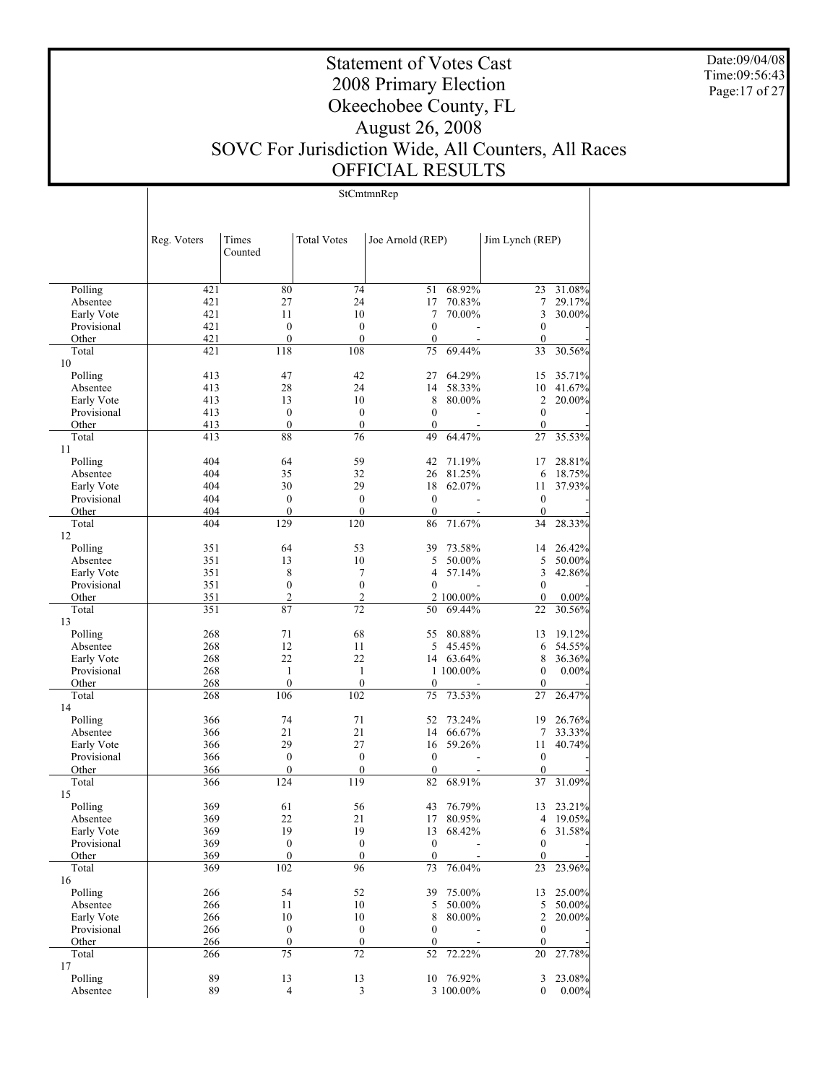Date:09/04/08 Time:09:56:43 Page:17 of 27

# Statement of Votes Cast 2008 Primary Election Okeechobee County, FL August 26, 2008 SOVC For Jurisdiction Wide, All Counters, All Races OFFICIAL RESULTS

StCmtmnRep

| 80<br>74<br>51<br>Polling<br>421<br>68.92%<br>23<br>31.08%<br>27<br>421<br>24<br>17<br>70.83%<br>29.17%<br>Absentee<br>7<br>421<br>11<br>10<br>7<br>70.00%<br>3<br>30.00%<br>Early Vote<br>421<br>$\boldsymbol{0}$<br>$\boldsymbol{0}$<br>$\boldsymbol{0}$<br>Provisional<br>$\boldsymbol{0}$<br>421<br>$\mathbf{0}$<br>$\mathbf{0}$<br>Other<br>$\mathbf{0}$<br>$\bf{0}$<br>Total<br>421<br>118<br>108<br>75<br>69.44%<br>30.56%<br>33<br>10<br>413<br>47<br>42<br>64.29%<br>35.71%<br>Polling<br>27<br>15<br>413<br>28<br>24<br>58.33%<br>10<br>41.67%<br>Absentee<br>14<br>13<br>10<br>8<br>$80.00\%$<br>2<br>20.00%<br>Early Vote<br>413<br>413<br>$\mathbf{0}$<br>Provisional<br>$\boldsymbol{0}$<br>$\boldsymbol{0}$<br>$\boldsymbol{0}$<br>$\boldsymbol{0}$<br>$\boldsymbol{0}$<br>413<br>$\mathbf{0}$<br>$\boldsymbol{0}$<br>Other<br>88<br>76<br>49<br>27<br>35.53%<br>Total<br>413<br>64.47%<br>11<br>404<br>64<br>59<br>28.81%<br>Polling<br>42<br>71.19%<br>17<br>32<br>404<br>35<br>81.25%<br>6<br>18.75%<br>Absentee<br>26<br>29<br>404<br>30<br>18 62.07%<br>37.93%<br>Early Vote<br>11<br>404<br>$\boldsymbol{0}$<br>$\boldsymbol{0}$<br>$\boldsymbol{0}$<br>Provisional<br>$\boldsymbol{0}$<br>404<br>$\boldsymbol{0}$<br>$\mathbf{0}$<br>$\mathbf{0}$<br>$\boldsymbol{0}$<br>Other<br>Total<br>404<br>129<br>120<br>71.67%<br>28.33%<br>86<br>34<br>12<br>351<br>53<br>73.58%<br>26.42%<br>Polling<br>64<br>39<br>14<br>351<br>13<br>10<br>5<br>50.00%<br>5<br>50.00%<br>Absentee<br>351<br>8<br>$\tau$<br>57.14%<br>42.86%<br>Early Vote<br>4<br>3<br>$\boldsymbol{0}$<br>351<br>$\boldsymbol{0}$<br>$\boldsymbol{0}$<br>Provisional<br>$\boldsymbol{0}$<br>$\overline{c}$<br>$\overline{c}$<br>351<br>2 100.00%<br>$\mathbf{0}$<br>0.00%<br>Other<br>351<br>87<br>72<br>30.56%<br>Total<br>69.44%<br>22<br>50<br>13<br>268<br>71<br>68<br>55<br>80.88%<br>19.12%<br>Polling<br>13<br>12<br>268<br>11<br>5<br>45.45%<br>54.55%<br>Absentee<br>6<br>22<br>22<br>14 63.64%<br>8<br>36.36%<br>Early Vote<br>268<br>268<br>$\mathbf{1}$<br>0.00%<br>Provisional<br>1<br>1 100.00%<br>$\boldsymbol{0}$<br>268<br>$\mathbf{0}$<br>$\mathbf{0}$<br>Other<br>$\boldsymbol{0}$<br>0<br>26.47%<br>Total<br>268<br>106<br>102<br>73.53%<br>27<br>75<br>14<br>366<br>74<br>71<br>26.76%<br>Polling<br>52<br>73.24%<br>19<br>21<br>366<br>21<br>66.67%<br>33.33%<br>Absentee<br>14<br>7<br>27<br>29<br>59.26%<br>11<br>40.74%<br>Early Vote<br>366<br>16<br>$\boldsymbol{0}$<br>$\boldsymbol{0}$<br>Provisional<br>366<br>$\boldsymbol{0}$<br>$\boldsymbol{0}$<br>$\boldsymbol{0}$<br>$\mathbf{0}$<br>$\boldsymbol{0}$<br>Other<br>366<br>$\boldsymbol{0}$<br>Total<br>124<br>119<br>68.91%<br>31.09%<br>82<br>37<br>366<br>15<br>369<br>61<br>Polling<br>56<br>43<br>76.79%<br>13<br>23.21%<br>22<br>369<br>21<br>17<br>80.95%<br>19.05%<br>Absentee<br>4<br>19<br>369<br>19<br>13 68.42%<br>6 31.58%<br>Early Vote<br>Provisional<br>369<br>$\boldsymbol{0}$<br>$\boldsymbol{0}$<br>$\boldsymbol{0}$<br>$\boldsymbol{0}$<br>$\theta$<br>369<br>$\theta$<br>$\theta$<br>$\mathbf{0}$<br>Other<br>369<br>Total<br>102<br>96<br>23<br>23.96%<br>73<br>76.04%<br>16<br>54<br>Polling<br>266<br>52<br>75.00%<br>25.00%<br>39<br>13<br>266<br>11<br>10<br>5<br>50.00%<br>5<br>50.00%<br>Absentee<br>Early Vote<br>266<br>10<br>10<br>8<br>80.00%<br>$\overline{2}$<br>20.00%<br>266<br>$\boldsymbol{0}$<br>$\boldsymbol{0}$<br>Provisional<br>$\boldsymbol{0}$<br>$\boldsymbol{0}$<br>$\boldsymbol{0}$<br>$\boldsymbol{0}$<br>266<br>$\boldsymbol{0}$<br>$\boldsymbol{0}$<br>Other<br>$\overline{75}$<br>$72\,$<br>27.78%<br>Total<br>52<br>72.22%<br>20<br>266<br>17<br>23.08%<br>89<br>10 76.92%<br>Polling<br>13<br>13<br>3<br>$\overline{4}$<br>$\mathfrak z$<br>Absentee<br>89<br>3 100.00%<br>0.00%<br>0 | Reg. Voters | Times<br>Counted | <b>Total Votes</b> | Joe Arnold (REP) | Jim Lynch (REP) |  |
|------------------------------------------------------------------------------------------------------------------------------------------------------------------------------------------------------------------------------------------------------------------------------------------------------------------------------------------------------------------------------------------------------------------------------------------------------------------------------------------------------------------------------------------------------------------------------------------------------------------------------------------------------------------------------------------------------------------------------------------------------------------------------------------------------------------------------------------------------------------------------------------------------------------------------------------------------------------------------------------------------------------------------------------------------------------------------------------------------------------------------------------------------------------------------------------------------------------------------------------------------------------------------------------------------------------------------------------------------------------------------------------------------------------------------------------------------------------------------------------------------------------------------------------------------------------------------------------------------------------------------------------------------------------------------------------------------------------------------------------------------------------------------------------------------------------------------------------------------------------------------------------------------------------------------------------------------------------------------------------------------------------------------------------------------------------------------------------------------------------------------------------------------------------------------------------------------------------------------------------------------------------------------------------------------------------------------------------------------------------------------------------------------------------------------------------------------------------------------------------------------------------------------------------------------------------------------------------------------------------------------------------------------------------------------------------------------------------------------------------------------------------------------------------------------------------------------------------------------------------------------------------------------------------------------------------------------------------------------------------------------------------------------------------------------------------------------------------------------------------------------------------------------------------------------------------------------------------------------------------------------------------------------------------------------------------------------------------------------------------------------------------------------------------------------------------------------------------------------------------------------------------------------------------------------------------------------------------------------------------------------------------------------------------------------------------------------------------------------------------------------------------------------------------------------------------|-------------|------------------|--------------------|------------------|-----------------|--|
|                                                                                                                                                                                                                                                                                                                                                                                                                                                                                                                                                                                                                                                                                                                                                                                                                                                                                                                                                                                                                                                                                                                                                                                                                                                                                                                                                                                                                                                                                                                                                                                                                                                                                                                                                                                                                                                                                                                                                                                                                                                                                                                                                                                                                                                                                                                                                                                                                                                                                                                                                                                                                                                                                                                                                                                                                                                                                                                                                                                                                                                                                                                                                                                                                                                                                                                                                                                                                                                                                                                                                                                                                                                                                                                                                                                                                  |             |                  |                    |                  |                 |  |
|                                                                                                                                                                                                                                                                                                                                                                                                                                                                                                                                                                                                                                                                                                                                                                                                                                                                                                                                                                                                                                                                                                                                                                                                                                                                                                                                                                                                                                                                                                                                                                                                                                                                                                                                                                                                                                                                                                                                                                                                                                                                                                                                                                                                                                                                                                                                                                                                                                                                                                                                                                                                                                                                                                                                                                                                                                                                                                                                                                                                                                                                                                                                                                                                                                                                                                                                                                                                                                                                                                                                                                                                                                                                                                                                                                                                                  |             |                  |                    |                  |                 |  |
|                                                                                                                                                                                                                                                                                                                                                                                                                                                                                                                                                                                                                                                                                                                                                                                                                                                                                                                                                                                                                                                                                                                                                                                                                                                                                                                                                                                                                                                                                                                                                                                                                                                                                                                                                                                                                                                                                                                                                                                                                                                                                                                                                                                                                                                                                                                                                                                                                                                                                                                                                                                                                                                                                                                                                                                                                                                                                                                                                                                                                                                                                                                                                                                                                                                                                                                                                                                                                                                                                                                                                                                                                                                                                                                                                                                                                  |             |                  |                    |                  |                 |  |
|                                                                                                                                                                                                                                                                                                                                                                                                                                                                                                                                                                                                                                                                                                                                                                                                                                                                                                                                                                                                                                                                                                                                                                                                                                                                                                                                                                                                                                                                                                                                                                                                                                                                                                                                                                                                                                                                                                                                                                                                                                                                                                                                                                                                                                                                                                                                                                                                                                                                                                                                                                                                                                                                                                                                                                                                                                                                                                                                                                                                                                                                                                                                                                                                                                                                                                                                                                                                                                                                                                                                                                                                                                                                                                                                                                                                                  |             |                  |                    |                  |                 |  |
|                                                                                                                                                                                                                                                                                                                                                                                                                                                                                                                                                                                                                                                                                                                                                                                                                                                                                                                                                                                                                                                                                                                                                                                                                                                                                                                                                                                                                                                                                                                                                                                                                                                                                                                                                                                                                                                                                                                                                                                                                                                                                                                                                                                                                                                                                                                                                                                                                                                                                                                                                                                                                                                                                                                                                                                                                                                                                                                                                                                                                                                                                                                                                                                                                                                                                                                                                                                                                                                                                                                                                                                                                                                                                                                                                                                                                  |             |                  |                    |                  |                 |  |
|                                                                                                                                                                                                                                                                                                                                                                                                                                                                                                                                                                                                                                                                                                                                                                                                                                                                                                                                                                                                                                                                                                                                                                                                                                                                                                                                                                                                                                                                                                                                                                                                                                                                                                                                                                                                                                                                                                                                                                                                                                                                                                                                                                                                                                                                                                                                                                                                                                                                                                                                                                                                                                                                                                                                                                                                                                                                                                                                                                                                                                                                                                                                                                                                                                                                                                                                                                                                                                                                                                                                                                                                                                                                                                                                                                                                                  |             |                  |                    |                  |                 |  |
|                                                                                                                                                                                                                                                                                                                                                                                                                                                                                                                                                                                                                                                                                                                                                                                                                                                                                                                                                                                                                                                                                                                                                                                                                                                                                                                                                                                                                                                                                                                                                                                                                                                                                                                                                                                                                                                                                                                                                                                                                                                                                                                                                                                                                                                                                                                                                                                                                                                                                                                                                                                                                                                                                                                                                                                                                                                                                                                                                                                                                                                                                                                                                                                                                                                                                                                                                                                                                                                                                                                                                                                                                                                                                                                                                                                                                  |             |                  |                    |                  |                 |  |
|                                                                                                                                                                                                                                                                                                                                                                                                                                                                                                                                                                                                                                                                                                                                                                                                                                                                                                                                                                                                                                                                                                                                                                                                                                                                                                                                                                                                                                                                                                                                                                                                                                                                                                                                                                                                                                                                                                                                                                                                                                                                                                                                                                                                                                                                                                                                                                                                                                                                                                                                                                                                                                                                                                                                                                                                                                                                                                                                                                                                                                                                                                                                                                                                                                                                                                                                                                                                                                                                                                                                                                                                                                                                                                                                                                                                                  |             |                  |                    |                  |                 |  |
|                                                                                                                                                                                                                                                                                                                                                                                                                                                                                                                                                                                                                                                                                                                                                                                                                                                                                                                                                                                                                                                                                                                                                                                                                                                                                                                                                                                                                                                                                                                                                                                                                                                                                                                                                                                                                                                                                                                                                                                                                                                                                                                                                                                                                                                                                                                                                                                                                                                                                                                                                                                                                                                                                                                                                                                                                                                                                                                                                                                                                                                                                                                                                                                                                                                                                                                                                                                                                                                                                                                                                                                                                                                                                                                                                                                                                  |             |                  |                    |                  |                 |  |
|                                                                                                                                                                                                                                                                                                                                                                                                                                                                                                                                                                                                                                                                                                                                                                                                                                                                                                                                                                                                                                                                                                                                                                                                                                                                                                                                                                                                                                                                                                                                                                                                                                                                                                                                                                                                                                                                                                                                                                                                                                                                                                                                                                                                                                                                                                                                                                                                                                                                                                                                                                                                                                                                                                                                                                                                                                                                                                                                                                                                                                                                                                                                                                                                                                                                                                                                                                                                                                                                                                                                                                                                                                                                                                                                                                                                                  |             |                  |                    |                  |                 |  |
|                                                                                                                                                                                                                                                                                                                                                                                                                                                                                                                                                                                                                                                                                                                                                                                                                                                                                                                                                                                                                                                                                                                                                                                                                                                                                                                                                                                                                                                                                                                                                                                                                                                                                                                                                                                                                                                                                                                                                                                                                                                                                                                                                                                                                                                                                                                                                                                                                                                                                                                                                                                                                                                                                                                                                                                                                                                                                                                                                                                                                                                                                                                                                                                                                                                                                                                                                                                                                                                                                                                                                                                                                                                                                                                                                                                                                  |             |                  |                    |                  |                 |  |
|                                                                                                                                                                                                                                                                                                                                                                                                                                                                                                                                                                                                                                                                                                                                                                                                                                                                                                                                                                                                                                                                                                                                                                                                                                                                                                                                                                                                                                                                                                                                                                                                                                                                                                                                                                                                                                                                                                                                                                                                                                                                                                                                                                                                                                                                                                                                                                                                                                                                                                                                                                                                                                                                                                                                                                                                                                                                                                                                                                                                                                                                                                                                                                                                                                                                                                                                                                                                                                                                                                                                                                                                                                                                                                                                                                                                                  |             |                  |                    |                  |                 |  |
|                                                                                                                                                                                                                                                                                                                                                                                                                                                                                                                                                                                                                                                                                                                                                                                                                                                                                                                                                                                                                                                                                                                                                                                                                                                                                                                                                                                                                                                                                                                                                                                                                                                                                                                                                                                                                                                                                                                                                                                                                                                                                                                                                                                                                                                                                                                                                                                                                                                                                                                                                                                                                                                                                                                                                                                                                                                                                                                                                                                                                                                                                                                                                                                                                                                                                                                                                                                                                                                                                                                                                                                                                                                                                                                                                                                                                  |             |                  |                    |                  |                 |  |
|                                                                                                                                                                                                                                                                                                                                                                                                                                                                                                                                                                                                                                                                                                                                                                                                                                                                                                                                                                                                                                                                                                                                                                                                                                                                                                                                                                                                                                                                                                                                                                                                                                                                                                                                                                                                                                                                                                                                                                                                                                                                                                                                                                                                                                                                                                                                                                                                                                                                                                                                                                                                                                                                                                                                                                                                                                                                                                                                                                                                                                                                                                                                                                                                                                                                                                                                                                                                                                                                                                                                                                                                                                                                                                                                                                                                                  |             |                  |                    |                  |                 |  |
|                                                                                                                                                                                                                                                                                                                                                                                                                                                                                                                                                                                                                                                                                                                                                                                                                                                                                                                                                                                                                                                                                                                                                                                                                                                                                                                                                                                                                                                                                                                                                                                                                                                                                                                                                                                                                                                                                                                                                                                                                                                                                                                                                                                                                                                                                                                                                                                                                                                                                                                                                                                                                                                                                                                                                                                                                                                                                                                                                                                                                                                                                                                                                                                                                                                                                                                                                                                                                                                                                                                                                                                                                                                                                                                                                                                                                  |             |                  |                    |                  |                 |  |
|                                                                                                                                                                                                                                                                                                                                                                                                                                                                                                                                                                                                                                                                                                                                                                                                                                                                                                                                                                                                                                                                                                                                                                                                                                                                                                                                                                                                                                                                                                                                                                                                                                                                                                                                                                                                                                                                                                                                                                                                                                                                                                                                                                                                                                                                                                                                                                                                                                                                                                                                                                                                                                                                                                                                                                                                                                                                                                                                                                                                                                                                                                                                                                                                                                                                                                                                                                                                                                                                                                                                                                                                                                                                                                                                                                                                                  |             |                  |                    |                  |                 |  |
|                                                                                                                                                                                                                                                                                                                                                                                                                                                                                                                                                                                                                                                                                                                                                                                                                                                                                                                                                                                                                                                                                                                                                                                                                                                                                                                                                                                                                                                                                                                                                                                                                                                                                                                                                                                                                                                                                                                                                                                                                                                                                                                                                                                                                                                                                                                                                                                                                                                                                                                                                                                                                                                                                                                                                                                                                                                                                                                                                                                                                                                                                                                                                                                                                                                                                                                                                                                                                                                                                                                                                                                                                                                                                                                                                                                                                  |             |                  |                    |                  |                 |  |
|                                                                                                                                                                                                                                                                                                                                                                                                                                                                                                                                                                                                                                                                                                                                                                                                                                                                                                                                                                                                                                                                                                                                                                                                                                                                                                                                                                                                                                                                                                                                                                                                                                                                                                                                                                                                                                                                                                                                                                                                                                                                                                                                                                                                                                                                                                                                                                                                                                                                                                                                                                                                                                                                                                                                                                                                                                                                                                                                                                                                                                                                                                                                                                                                                                                                                                                                                                                                                                                                                                                                                                                                                                                                                                                                                                                                                  |             |                  |                    |                  |                 |  |
|                                                                                                                                                                                                                                                                                                                                                                                                                                                                                                                                                                                                                                                                                                                                                                                                                                                                                                                                                                                                                                                                                                                                                                                                                                                                                                                                                                                                                                                                                                                                                                                                                                                                                                                                                                                                                                                                                                                                                                                                                                                                                                                                                                                                                                                                                                                                                                                                                                                                                                                                                                                                                                                                                                                                                                                                                                                                                                                                                                                                                                                                                                                                                                                                                                                                                                                                                                                                                                                                                                                                                                                                                                                                                                                                                                                                                  |             |                  |                    |                  |                 |  |
|                                                                                                                                                                                                                                                                                                                                                                                                                                                                                                                                                                                                                                                                                                                                                                                                                                                                                                                                                                                                                                                                                                                                                                                                                                                                                                                                                                                                                                                                                                                                                                                                                                                                                                                                                                                                                                                                                                                                                                                                                                                                                                                                                                                                                                                                                                                                                                                                                                                                                                                                                                                                                                                                                                                                                                                                                                                                                                                                                                                                                                                                                                                                                                                                                                                                                                                                                                                                                                                                                                                                                                                                                                                                                                                                                                                                                  |             |                  |                    |                  |                 |  |
|                                                                                                                                                                                                                                                                                                                                                                                                                                                                                                                                                                                                                                                                                                                                                                                                                                                                                                                                                                                                                                                                                                                                                                                                                                                                                                                                                                                                                                                                                                                                                                                                                                                                                                                                                                                                                                                                                                                                                                                                                                                                                                                                                                                                                                                                                                                                                                                                                                                                                                                                                                                                                                                                                                                                                                                                                                                                                                                                                                                                                                                                                                                                                                                                                                                                                                                                                                                                                                                                                                                                                                                                                                                                                                                                                                                                                  |             |                  |                    |                  |                 |  |
|                                                                                                                                                                                                                                                                                                                                                                                                                                                                                                                                                                                                                                                                                                                                                                                                                                                                                                                                                                                                                                                                                                                                                                                                                                                                                                                                                                                                                                                                                                                                                                                                                                                                                                                                                                                                                                                                                                                                                                                                                                                                                                                                                                                                                                                                                                                                                                                                                                                                                                                                                                                                                                                                                                                                                                                                                                                                                                                                                                                                                                                                                                                                                                                                                                                                                                                                                                                                                                                                                                                                                                                                                                                                                                                                                                                                                  |             |                  |                    |                  |                 |  |
|                                                                                                                                                                                                                                                                                                                                                                                                                                                                                                                                                                                                                                                                                                                                                                                                                                                                                                                                                                                                                                                                                                                                                                                                                                                                                                                                                                                                                                                                                                                                                                                                                                                                                                                                                                                                                                                                                                                                                                                                                                                                                                                                                                                                                                                                                                                                                                                                                                                                                                                                                                                                                                                                                                                                                                                                                                                                                                                                                                                                                                                                                                                                                                                                                                                                                                                                                                                                                                                                                                                                                                                                                                                                                                                                                                                                                  |             |                  |                    |                  |                 |  |
|                                                                                                                                                                                                                                                                                                                                                                                                                                                                                                                                                                                                                                                                                                                                                                                                                                                                                                                                                                                                                                                                                                                                                                                                                                                                                                                                                                                                                                                                                                                                                                                                                                                                                                                                                                                                                                                                                                                                                                                                                                                                                                                                                                                                                                                                                                                                                                                                                                                                                                                                                                                                                                                                                                                                                                                                                                                                                                                                                                                                                                                                                                                                                                                                                                                                                                                                                                                                                                                                                                                                                                                                                                                                                                                                                                                                                  |             |                  |                    |                  |                 |  |
|                                                                                                                                                                                                                                                                                                                                                                                                                                                                                                                                                                                                                                                                                                                                                                                                                                                                                                                                                                                                                                                                                                                                                                                                                                                                                                                                                                                                                                                                                                                                                                                                                                                                                                                                                                                                                                                                                                                                                                                                                                                                                                                                                                                                                                                                                                                                                                                                                                                                                                                                                                                                                                                                                                                                                                                                                                                                                                                                                                                                                                                                                                                                                                                                                                                                                                                                                                                                                                                                                                                                                                                                                                                                                                                                                                                                                  |             |                  |                    |                  |                 |  |
|                                                                                                                                                                                                                                                                                                                                                                                                                                                                                                                                                                                                                                                                                                                                                                                                                                                                                                                                                                                                                                                                                                                                                                                                                                                                                                                                                                                                                                                                                                                                                                                                                                                                                                                                                                                                                                                                                                                                                                                                                                                                                                                                                                                                                                                                                                                                                                                                                                                                                                                                                                                                                                                                                                                                                                                                                                                                                                                                                                                                                                                                                                                                                                                                                                                                                                                                                                                                                                                                                                                                                                                                                                                                                                                                                                                                                  |             |                  |                    |                  |                 |  |
|                                                                                                                                                                                                                                                                                                                                                                                                                                                                                                                                                                                                                                                                                                                                                                                                                                                                                                                                                                                                                                                                                                                                                                                                                                                                                                                                                                                                                                                                                                                                                                                                                                                                                                                                                                                                                                                                                                                                                                                                                                                                                                                                                                                                                                                                                                                                                                                                                                                                                                                                                                                                                                                                                                                                                                                                                                                                                                                                                                                                                                                                                                                                                                                                                                                                                                                                                                                                                                                                                                                                                                                                                                                                                                                                                                                                                  |             |                  |                    |                  |                 |  |
|                                                                                                                                                                                                                                                                                                                                                                                                                                                                                                                                                                                                                                                                                                                                                                                                                                                                                                                                                                                                                                                                                                                                                                                                                                                                                                                                                                                                                                                                                                                                                                                                                                                                                                                                                                                                                                                                                                                                                                                                                                                                                                                                                                                                                                                                                                                                                                                                                                                                                                                                                                                                                                                                                                                                                                                                                                                                                                                                                                                                                                                                                                                                                                                                                                                                                                                                                                                                                                                                                                                                                                                                                                                                                                                                                                                                                  |             |                  |                    |                  |                 |  |
|                                                                                                                                                                                                                                                                                                                                                                                                                                                                                                                                                                                                                                                                                                                                                                                                                                                                                                                                                                                                                                                                                                                                                                                                                                                                                                                                                                                                                                                                                                                                                                                                                                                                                                                                                                                                                                                                                                                                                                                                                                                                                                                                                                                                                                                                                                                                                                                                                                                                                                                                                                                                                                                                                                                                                                                                                                                                                                                                                                                                                                                                                                                                                                                                                                                                                                                                                                                                                                                                                                                                                                                                                                                                                                                                                                                                                  |             |                  |                    |                  |                 |  |
|                                                                                                                                                                                                                                                                                                                                                                                                                                                                                                                                                                                                                                                                                                                                                                                                                                                                                                                                                                                                                                                                                                                                                                                                                                                                                                                                                                                                                                                                                                                                                                                                                                                                                                                                                                                                                                                                                                                                                                                                                                                                                                                                                                                                                                                                                                                                                                                                                                                                                                                                                                                                                                                                                                                                                                                                                                                                                                                                                                                                                                                                                                                                                                                                                                                                                                                                                                                                                                                                                                                                                                                                                                                                                                                                                                                                                  |             |                  |                    |                  |                 |  |
|                                                                                                                                                                                                                                                                                                                                                                                                                                                                                                                                                                                                                                                                                                                                                                                                                                                                                                                                                                                                                                                                                                                                                                                                                                                                                                                                                                                                                                                                                                                                                                                                                                                                                                                                                                                                                                                                                                                                                                                                                                                                                                                                                                                                                                                                                                                                                                                                                                                                                                                                                                                                                                                                                                                                                                                                                                                                                                                                                                                                                                                                                                                                                                                                                                                                                                                                                                                                                                                                                                                                                                                                                                                                                                                                                                                                                  |             |                  |                    |                  |                 |  |
|                                                                                                                                                                                                                                                                                                                                                                                                                                                                                                                                                                                                                                                                                                                                                                                                                                                                                                                                                                                                                                                                                                                                                                                                                                                                                                                                                                                                                                                                                                                                                                                                                                                                                                                                                                                                                                                                                                                                                                                                                                                                                                                                                                                                                                                                                                                                                                                                                                                                                                                                                                                                                                                                                                                                                                                                                                                                                                                                                                                                                                                                                                                                                                                                                                                                                                                                                                                                                                                                                                                                                                                                                                                                                                                                                                                                                  |             |                  |                    |                  |                 |  |
|                                                                                                                                                                                                                                                                                                                                                                                                                                                                                                                                                                                                                                                                                                                                                                                                                                                                                                                                                                                                                                                                                                                                                                                                                                                                                                                                                                                                                                                                                                                                                                                                                                                                                                                                                                                                                                                                                                                                                                                                                                                                                                                                                                                                                                                                                                                                                                                                                                                                                                                                                                                                                                                                                                                                                                                                                                                                                                                                                                                                                                                                                                                                                                                                                                                                                                                                                                                                                                                                                                                                                                                                                                                                                                                                                                                                                  |             |                  |                    |                  |                 |  |
|                                                                                                                                                                                                                                                                                                                                                                                                                                                                                                                                                                                                                                                                                                                                                                                                                                                                                                                                                                                                                                                                                                                                                                                                                                                                                                                                                                                                                                                                                                                                                                                                                                                                                                                                                                                                                                                                                                                                                                                                                                                                                                                                                                                                                                                                                                                                                                                                                                                                                                                                                                                                                                                                                                                                                                                                                                                                                                                                                                                                                                                                                                                                                                                                                                                                                                                                                                                                                                                                                                                                                                                                                                                                                                                                                                                                                  |             |                  |                    |                  |                 |  |
|                                                                                                                                                                                                                                                                                                                                                                                                                                                                                                                                                                                                                                                                                                                                                                                                                                                                                                                                                                                                                                                                                                                                                                                                                                                                                                                                                                                                                                                                                                                                                                                                                                                                                                                                                                                                                                                                                                                                                                                                                                                                                                                                                                                                                                                                                                                                                                                                                                                                                                                                                                                                                                                                                                                                                                                                                                                                                                                                                                                                                                                                                                                                                                                                                                                                                                                                                                                                                                                                                                                                                                                                                                                                                                                                                                                                                  |             |                  |                    |                  |                 |  |
|                                                                                                                                                                                                                                                                                                                                                                                                                                                                                                                                                                                                                                                                                                                                                                                                                                                                                                                                                                                                                                                                                                                                                                                                                                                                                                                                                                                                                                                                                                                                                                                                                                                                                                                                                                                                                                                                                                                                                                                                                                                                                                                                                                                                                                                                                                                                                                                                                                                                                                                                                                                                                                                                                                                                                                                                                                                                                                                                                                                                                                                                                                                                                                                                                                                                                                                                                                                                                                                                                                                                                                                                                                                                                                                                                                                                                  |             |                  |                    |                  |                 |  |
|                                                                                                                                                                                                                                                                                                                                                                                                                                                                                                                                                                                                                                                                                                                                                                                                                                                                                                                                                                                                                                                                                                                                                                                                                                                                                                                                                                                                                                                                                                                                                                                                                                                                                                                                                                                                                                                                                                                                                                                                                                                                                                                                                                                                                                                                                                                                                                                                                                                                                                                                                                                                                                                                                                                                                                                                                                                                                                                                                                                                                                                                                                                                                                                                                                                                                                                                                                                                                                                                                                                                                                                                                                                                                                                                                                                                                  |             |                  |                    |                  |                 |  |
|                                                                                                                                                                                                                                                                                                                                                                                                                                                                                                                                                                                                                                                                                                                                                                                                                                                                                                                                                                                                                                                                                                                                                                                                                                                                                                                                                                                                                                                                                                                                                                                                                                                                                                                                                                                                                                                                                                                                                                                                                                                                                                                                                                                                                                                                                                                                                                                                                                                                                                                                                                                                                                                                                                                                                                                                                                                                                                                                                                                                                                                                                                                                                                                                                                                                                                                                                                                                                                                                                                                                                                                                                                                                                                                                                                                                                  |             |                  |                    |                  |                 |  |
|                                                                                                                                                                                                                                                                                                                                                                                                                                                                                                                                                                                                                                                                                                                                                                                                                                                                                                                                                                                                                                                                                                                                                                                                                                                                                                                                                                                                                                                                                                                                                                                                                                                                                                                                                                                                                                                                                                                                                                                                                                                                                                                                                                                                                                                                                                                                                                                                                                                                                                                                                                                                                                                                                                                                                                                                                                                                                                                                                                                                                                                                                                                                                                                                                                                                                                                                                                                                                                                                                                                                                                                                                                                                                                                                                                                                                  |             |                  |                    |                  |                 |  |
|                                                                                                                                                                                                                                                                                                                                                                                                                                                                                                                                                                                                                                                                                                                                                                                                                                                                                                                                                                                                                                                                                                                                                                                                                                                                                                                                                                                                                                                                                                                                                                                                                                                                                                                                                                                                                                                                                                                                                                                                                                                                                                                                                                                                                                                                                                                                                                                                                                                                                                                                                                                                                                                                                                                                                                                                                                                                                                                                                                                                                                                                                                                                                                                                                                                                                                                                                                                                                                                                                                                                                                                                                                                                                                                                                                                                                  |             |                  |                    |                  |                 |  |
|                                                                                                                                                                                                                                                                                                                                                                                                                                                                                                                                                                                                                                                                                                                                                                                                                                                                                                                                                                                                                                                                                                                                                                                                                                                                                                                                                                                                                                                                                                                                                                                                                                                                                                                                                                                                                                                                                                                                                                                                                                                                                                                                                                                                                                                                                                                                                                                                                                                                                                                                                                                                                                                                                                                                                                                                                                                                                                                                                                                                                                                                                                                                                                                                                                                                                                                                                                                                                                                                                                                                                                                                                                                                                                                                                                                                                  |             |                  |                    |                  |                 |  |
|                                                                                                                                                                                                                                                                                                                                                                                                                                                                                                                                                                                                                                                                                                                                                                                                                                                                                                                                                                                                                                                                                                                                                                                                                                                                                                                                                                                                                                                                                                                                                                                                                                                                                                                                                                                                                                                                                                                                                                                                                                                                                                                                                                                                                                                                                                                                                                                                                                                                                                                                                                                                                                                                                                                                                                                                                                                                                                                                                                                                                                                                                                                                                                                                                                                                                                                                                                                                                                                                                                                                                                                                                                                                                                                                                                                                                  |             |                  |                    |                  |                 |  |
|                                                                                                                                                                                                                                                                                                                                                                                                                                                                                                                                                                                                                                                                                                                                                                                                                                                                                                                                                                                                                                                                                                                                                                                                                                                                                                                                                                                                                                                                                                                                                                                                                                                                                                                                                                                                                                                                                                                                                                                                                                                                                                                                                                                                                                                                                                                                                                                                                                                                                                                                                                                                                                                                                                                                                                                                                                                                                                                                                                                                                                                                                                                                                                                                                                                                                                                                                                                                                                                                                                                                                                                                                                                                                                                                                                                                                  |             |                  |                    |                  |                 |  |
|                                                                                                                                                                                                                                                                                                                                                                                                                                                                                                                                                                                                                                                                                                                                                                                                                                                                                                                                                                                                                                                                                                                                                                                                                                                                                                                                                                                                                                                                                                                                                                                                                                                                                                                                                                                                                                                                                                                                                                                                                                                                                                                                                                                                                                                                                                                                                                                                                                                                                                                                                                                                                                                                                                                                                                                                                                                                                                                                                                                                                                                                                                                                                                                                                                                                                                                                                                                                                                                                                                                                                                                                                                                                                                                                                                                                                  |             |                  |                    |                  |                 |  |
|                                                                                                                                                                                                                                                                                                                                                                                                                                                                                                                                                                                                                                                                                                                                                                                                                                                                                                                                                                                                                                                                                                                                                                                                                                                                                                                                                                                                                                                                                                                                                                                                                                                                                                                                                                                                                                                                                                                                                                                                                                                                                                                                                                                                                                                                                                                                                                                                                                                                                                                                                                                                                                                                                                                                                                                                                                                                                                                                                                                                                                                                                                                                                                                                                                                                                                                                                                                                                                                                                                                                                                                                                                                                                                                                                                                                                  |             |                  |                    |                  |                 |  |
|                                                                                                                                                                                                                                                                                                                                                                                                                                                                                                                                                                                                                                                                                                                                                                                                                                                                                                                                                                                                                                                                                                                                                                                                                                                                                                                                                                                                                                                                                                                                                                                                                                                                                                                                                                                                                                                                                                                                                                                                                                                                                                                                                                                                                                                                                                                                                                                                                                                                                                                                                                                                                                                                                                                                                                                                                                                                                                                                                                                                                                                                                                                                                                                                                                                                                                                                                                                                                                                                                                                                                                                                                                                                                                                                                                                                                  |             |                  |                    |                  |                 |  |
|                                                                                                                                                                                                                                                                                                                                                                                                                                                                                                                                                                                                                                                                                                                                                                                                                                                                                                                                                                                                                                                                                                                                                                                                                                                                                                                                                                                                                                                                                                                                                                                                                                                                                                                                                                                                                                                                                                                                                                                                                                                                                                                                                                                                                                                                                                                                                                                                                                                                                                                                                                                                                                                                                                                                                                                                                                                                                                                                                                                                                                                                                                                                                                                                                                                                                                                                                                                                                                                                                                                                                                                                                                                                                                                                                                                                                  |             |                  |                    |                  |                 |  |
|                                                                                                                                                                                                                                                                                                                                                                                                                                                                                                                                                                                                                                                                                                                                                                                                                                                                                                                                                                                                                                                                                                                                                                                                                                                                                                                                                                                                                                                                                                                                                                                                                                                                                                                                                                                                                                                                                                                                                                                                                                                                                                                                                                                                                                                                                                                                                                                                                                                                                                                                                                                                                                                                                                                                                                                                                                                                                                                                                                                                                                                                                                                                                                                                                                                                                                                                                                                                                                                                                                                                                                                                                                                                                                                                                                                                                  |             |                  |                    |                  |                 |  |
|                                                                                                                                                                                                                                                                                                                                                                                                                                                                                                                                                                                                                                                                                                                                                                                                                                                                                                                                                                                                                                                                                                                                                                                                                                                                                                                                                                                                                                                                                                                                                                                                                                                                                                                                                                                                                                                                                                                                                                                                                                                                                                                                                                                                                                                                                                                                                                                                                                                                                                                                                                                                                                                                                                                                                                                                                                                                                                                                                                                                                                                                                                                                                                                                                                                                                                                                                                                                                                                                                                                                                                                                                                                                                                                                                                                                                  |             |                  |                    |                  |                 |  |
|                                                                                                                                                                                                                                                                                                                                                                                                                                                                                                                                                                                                                                                                                                                                                                                                                                                                                                                                                                                                                                                                                                                                                                                                                                                                                                                                                                                                                                                                                                                                                                                                                                                                                                                                                                                                                                                                                                                                                                                                                                                                                                                                                                                                                                                                                                                                                                                                                                                                                                                                                                                                                                                                                                                                                                                                                                                                                                                                                                                                                                                                                                                                                                                                                                                                                                                                                                                                                                                                                                                                                                                                                                                                                                                                                                                                                  |             |                  |                    |                  |                 |  |
|                                                                                                                                                                                                                                                                                                                                                                                                                                                                                                                                                                                                                                                                                                                                                                                                                                                                                                                                                                                                                                                                                                                                                                                                                                                                                                                                                                                                                                                                                                                                                                                                                                                                                                                                                                                                                                                                                                                                                                                                                                                                                                                                                                                                                                                                                                                                                                                                                                                                                                                                                                                                                                                                                                                                                                                                                                                                                                                                                                                                                                                                                                                                                                                                                                                                                                                                                                                                                                                                                                                                                                                                                                                                                                                                                                                                                  |             |                  |                    |                  |                 |  |
|                                                                                                                                                                                                                                                                                                                                                                                                                                                                                                                                                                                                                                                                                                                                                                                                                                                                                                                                                                                                                                                                                                                                                                                                                                                                                                                                                                                                                                                                                                                                                                                                                                                                                                                                                                                                                                                                                                                                                                                                                                                                                                                                                                                                                                                                                                                                                                                                                                                                                                                                                                                                                                                                                                                                                                                                                                                                                                                                                                                                                                                                                                                                                                                                                                                                                                                                                                                                                                                                                                                                                                                                                                                                                                                                                                                                                  |             |                  |                    |                  |                 |  |
|                                                                                                                                                                                                                                                                                                                                                                                                                                                                                                                                                                                                                                                                                                                                                                                                                                                                                                                                                                                                                                                                                                                                                                                                                                                                                                                                                                                                                                                                                                                                                                                                                                                                                                                                                                                                                                                                                                                                                                                                                                                                                                                                                                                                                                                                                                                                                                                                                                                                                                                                                                                                                                                                                                                                                                                                                                                                                                                                                                                                                                                                                                                                                                                                                                                                                                                                                                                                                                                                                                                                                                                                                                                                                                                                                                                                                  |             |                  |                    |                  |                 |  |
|                                                                                                                                                                                                                                                                                                                                                                                                                                                                                                                                                                                                                                                                                                                                                                                                                                                                                                                                                                                                                                                                                                                                                                                                                                                                                                                                                                                                                                                                                                                                                                                                                                                                                                                                                                                                                                                                                                                                                                                                                                                                                                                                                                                                                                                                                                                                                                                                                                                                                                                                                                                                                                                                                                                                                                                                                                                                                                                                                                                                                                                                                                                                                                                                                                                                                                                                                                                                                                                                                                                                                                                                                                                                                                                                                                                                                  |             |                  |                    |                  |                 |  |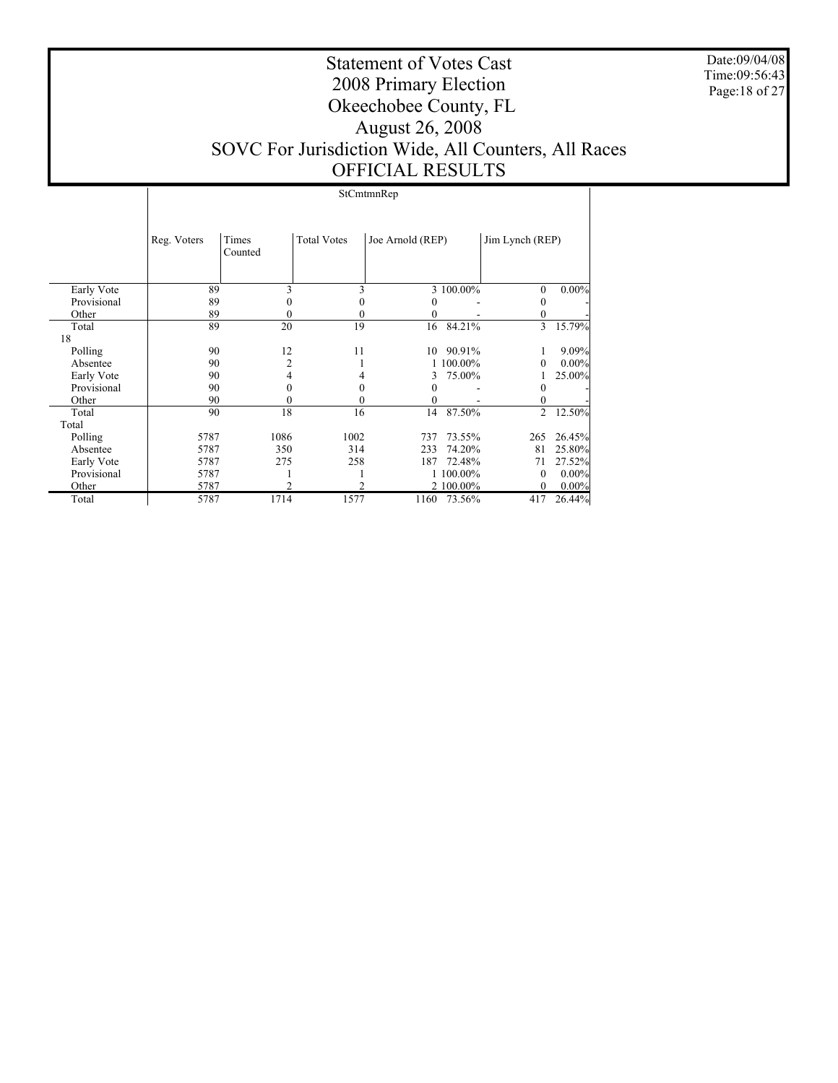Date:09/04/08 Time:09:56:43 Page:18 of 27

# Statement of Votes Cast 2008 Primary Election Okeechobee County, FL August 26, 2008 SOVC For Jurisdiction Wide, All Counters, All Races OFFICIAL RESULTS

StCmtmnRep

|             | Reg. Voters | Times<br>Counted | <b>Total Votes</b> | Joe Arnold (REP) |           | Jim Lynch (REP) |          |
|-------------|-------------|------------------|--------------------|------------------|-----------|-----------------|----------|
| Early Vote  | 89          | 3                | 3                  |                  | 3 100.00% | 0               | $0.00\%$ |
| Provisional | 89          |                  |                    | 0                |           | 0               |          |
| Other       | 89          | 0                | $\theta$           | 0                |           | 0               |          |
| Total       | 89          | 20               | 19                 | 16               | 84.21%    | 3               | 15.79%   |
| 18          |             |                  |                    |                  |           |                 |          |
| Polling     | 90          | 12               | 11                 | 10               | 90.91%    | 1               | 9.09%    |
| Absentee    | 90          | 2                |                    |                  | 1 100.00% | $\mathbf{0}$    | $0.00\%$ |
| Early Vote  | 90          | 4                | 4                  | 3                | 75.00%    |                 | 25.00%   |
| Provisional | 90          | $\theta$         | 0                  | 0                |           | 0               |          |
| Other       | 90          | 0                |                    | 0                |           | 0               |          |
| Total       | 90          | 18               | 16                 | 14               | 87.50%    | 2               | 12.50%   |
| Total       |             |                  |                    |                  |           |                 |          |
| Polling     | 5787        | 1086             | 1002               | 737              | 73.55%    | 265             | 26.45%   |
| Absentee    | 5787        | 350              | 314                | 233              | 74.20%    | 81              | 25.80%   |
| Early Vote  | 5787        | 275              | 258                | 187              | 72.48%    | 71              | 27.52%   |
| Provisional | 5787        |                  |                    |                  | 1 100.00% | 0               | $0.00\%$ |
| Other       | 5787        |                  |                    |                  | 2 100.00% | 0               | $0.00\%$ |
| Total       | 5787        | 1714             | 1577               | 1160             | 73.56%    | 417             | 26.44%   |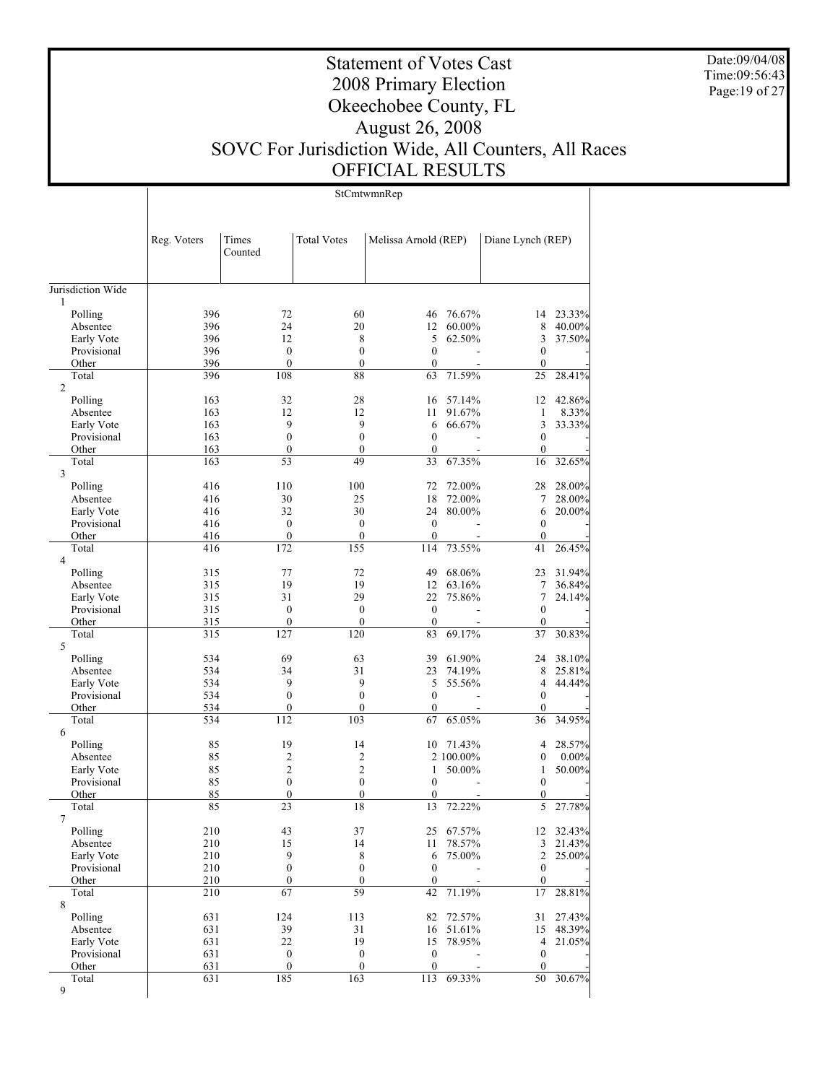Date:09/04/08 Time:09:56:43 Page:19 of 27

# Statement of Votes Cast 2008 Primary Election Okeechobee County, FL August 26, 2008 SOVC For Jurisdiction Wide, All Counters, All Races OFFICIAL RESULTS

StCmtwmnRep

|                      | Reg. Voters | Times<br>Counted                 | <b>Total Votes</b>       | Melissa Arnold (REP)         |                | Diane Lynch (REP)      |          |
|----------------------|-------------|----------------------------------|--------------------------|------------------------------|----------------|------------------------|----------|
| Jurisdiction Wide    |             |                                  |                          |                              |                |                        |          |
| 1                    |             |                                  |                          |                              |                |                        |          |
| Polling              | 396         | 72                               | 60                       | 46                           | 76.67%         | 14                     | 23.33%   |
| Absentee             | 396         | 24                               | 20                       | 12                           | 60.00%         | 8                      | 40.00%   |
| Early Vote           | 396         | 12                               | 8                        | 5                            | 62.50%<br>÷.   | 3                      | 37.50%   |
| Provisional<br>Other | 396<br>396  | $\boldsymbol{0}$<br>$\mathbf{0}$ | $\mathbf{0}$<br>$\theta$ | $\mathbf{0}$<br>$\mathbf{0}$ |                | 0<br>$\mathbf{0}$      |          |
| Total                | 396         | 108                              | 88                       | 63                           | 71.59%         | 25                     | 28.41%   |
| $\overline{2}$       |             |                                  |                          |                              |                |                        |          |
| Polling              | 163         | 32                               | 28                       | 16                           | 57.14%         | 12                     | 42.86%   |
| Absentee             | 163         | 12                               | 12                       | 11                           | 91.67%         | 1                      | 8.33%    |
| Early Vote           | 163         | 9                                | 9                        | 6                            | 66.67%         | 3                      | 33.33%   |
| Provisional          | 163         | $\boldsymbol{0}$                 | $\boldsymbol{0}$         | $\mathbf{0}$                 | $\overline{a}$ | $\boldsymbol{0}$       |          |
| Other                | 163         | $\mathbf{0}$                     | $\theta$                 | $\mathbf{0}$                 |                | $\mathbf{0}$           |          |
| Total                | 163         | 53                               | 49                       | 33                           | 67.35%         | 16                     | 32.65%   |
| $\overline{3}$       |             |                                  |                          |                              |                |                        |          |
| Polling              | 416         | 110                              | 100                      | 72                           | 72.00%         | 28                     | 28.00%   |
| Absentee             | 416         | 30                               | 25                       | 18                           | 72.00%         | 7                      | 28.00%   |
| Early Vote           | 416         | 32                               | 30                       | 24                           | 80.00%         | 6                      | 20.00%   |
| Provisional          | 416         | $\boldsymbol{0}$                 | $\boldsymbol{0}$         | $\boldsymbol{0}$             |                | $\mathbf{0}$           |          |
| Other                | 416         | $\mathbf{0}$                     | $\mathbf{0}$             | $\mathbf{0}$                 |                | $\mathbf{0}$           |          |
| Total                | 416         | 172                              | 155                      | 114                          | 73.55%         | 41                     | 26.45%   |
| $\overline{4}$       |             |                                  |                          |                              |                |                        |          |
| Polling              | 315         | 77                               | 72                       | 49                           | 68.06%         | 23                     | 31.94%   |
| Absentee             | 315         | 19                               | 19                       | $12^{\circ}$                 | 63.16%         | 7                      | 36.84%   |
| Early Vote           | 315         | 31                               | 29                       | 22                           | 75.86%         | 7                      | 24.14%   |
| Provisional          | 315         | $\boldsymbol{0}$                 | $\mathbf{0}$             | $\mathbf{0}$                 |                | $\mathbf{0}$           |          |
| Other                | 315<br>315  | $\boldsymbol{0}$<br>127          | $\boldsymbol{0}$<br>120  | $\boldsymbol{0}$<br>83       | 69.17%         | $\boldsymbol{0}$<br>37 |          |
| Total<br>5           |             |                                  |                          |                              |                |                        | 30.83%   |
| Polling              | 534         | 69                               | 63                       | 39                           | 61.90%         | 24                     | 38.10%   |
| Absentee             | 534         | 34                               | 31                       | 23                           | 74.19%         | 8                      | 25.81%   |
| Early Vote           | 534         | 9                                | 9                        | 5                            | 55.56%         | 4                      | 44.44%   |
| Provisional          | 534         | $\mathbf{0}$                     | $\boldsymbol{0}$         | $\boldsymbol{0}$             | ÷.             | $\boldsymbol{0}$       |          |
| Other                | 534         | 0                                | $\mathbf{0}$             | $\mathbf{0}$                 |                | $\boldsymbol{0}$       |          |
| Total                | 534         | 112                              | 103                      | 67                           | 65.05%         | 36                     | 34.95%   |
| 6                    |             |                                  |                          |                              |                |                        |          |
| Polling              | 85          | 19                               | 14                       | 10                           | 71.43%         | 4                      | 28.57%   |
| Absentee             | 85          | 2                                | $\overline{c}$           |                              | 2 100.00%      | $\overline{0}$         | 0.00%    |
| Early Vote           | 85          | $\overline{2}$                   | $\overline{2}$           | 1                            | 50.00%         | 1                      | 50.00%   |
| Provisional          | 85          | $\mathbf{0}$                     | $\mathbf{0}$             | $\mathbf{0}$                 | $\overline{a}$ | $\boldsymbol{0}$       |          |
| Other                | 85          | $\mathbf{0}$                     | $\boldsymbol{0}$         | $\boldsymbol{0}$             |                | 0                      |          |
| Total                | 85          | 23                               | 18                       | 13                           | 72.22%         | 5                      | 27.78%   |
| $\overline{7}$       |             |                                  |                          |                              |                |                        |          |
| Polling              | 210         | 43                               | 37                       |                              | 25 67.57%      | 12                     | 32.43%   |
| Absentee             | 210         | 15                               | 14                       | 11                           | 78.57%         |                        | 3 21.43% |
| Early Vote           | 210         | 9                                | $\,$ 8 $\,$              | 6                            | 75.00%         | $\overline{2}$         | 25.00%   |
| Provisional          | 210         | $\boldsymbol{0}$                 | $\boldsymbol{0}$         | $\boldsymbol{0}$             |                | $\boldsymbol{0}$       |          |
| Other                | 210         | $\boldsymbol{0}$<br>67           | $\boldsymbol{0}$<br>59   | $\boldsymbol{0}$<br>42       |                | $\boldsymbol{0}$       |          |
| Total<br>8           | 210         |                                  |                          |                              | 71.19%         | 17                     | 28.81%   |
| Polling              | 631         | 124                              | 113                      | 82                           | 72.57%         | 31                     | 27.43%   |
| Absentee             | 631         | 39                               | 31                       | 16                           | 51.61%         | 15                     | 48.39%   |
| Early Vote           | 631         | 22                               | 19                       | 15                           | 78.95%         | 4                      | 21.05%   |
| Provisional          | 631         | $\boldsymbol{0}$                 | $\boldsymbol{0}$         | $\boldsymbol{0}$             |                | $\boldsymbol{0}$       |          |
| Other                | 631         | $\mathbf{0}$                     | $\boldsymbol{0}$         | $\boldsymbol{0}$             |                | $\mathbf{0}$           |          |
| Total                | 631         | 185                              | 163                      | 113                          | 69.33%         | 50                     | 30.67%   |
| 9                    |             |                                  |                          |                              |                |                        |          |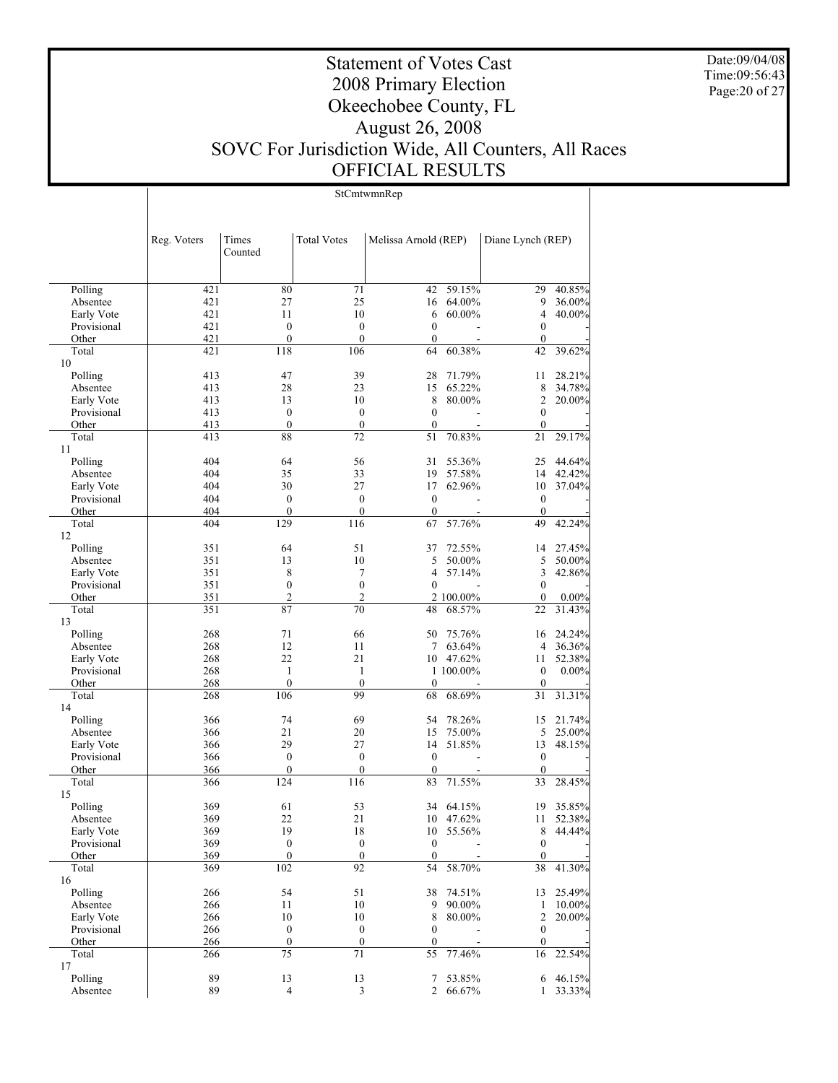Date:09/04/08 Time:09:56:43 Page:20 of 27

# Statement of Votes Cast 2008 Primary Election Okeechobee County, FL August 26, 2008 SOVC For Jurisdiction Wide, All Counters, All Races OFFICIAL RESULTS

StCmtwmnRep

|                | Reg. Voters | Times<br>Counted                     | <b>Total Votes</b>                   | Melissa Arnold (REP)   |           | Diane Lynch (REP)      |        |
|----------------|-------------|--------------------------------------|--------------------------------------|------------------------|-----------|------------------------|--------|
| Polling        | 421         | 80                                   | 71                                   | 42                     | 59.15%    | 29                     | 40.85% |
| Absentee       | 421         | 27                                   | 25                                   | 16                     | 64.00%    | 9                      | 36.00% |
| Early Vote     | 421         | 11                                   | 10                                   | 6                      | 60.00%    | 4                      | 40.00% |
| Provisional    | 421         | $\boldsymbol{0}$                     | $\boldsymbol{0}$                     | $\mathbf{0}$           |           | $\boldsymbol{0}$       |        |
| Other          | 421         | $\boldsymbol{0}$                     | $\overline{0}$                       | $\mathbf{0}$           |           | $\boldsymbol{0}$       |        |
| Total          | 421         | 118                                  | 106                                  | 64                     | 60.38%    | 42                     | 39.62% |
| 10             |             |                                      |                                      |                        |           |                        |        |
| Polling        | 413         | 47                                   | 39                                   | 28                     | 71.79%    | 11                     | 28.21% |
| Absentee       | 413         | 28                                   | 23                                   | 15                     | 65.22%    | 8                      | 34.78% |
| Early Vote     | 413         | 13                                   | 10                                   | 8                      | 80.00%    | $\overline{c}$         | 20.00% |
| Provisional    | 413         | $\boldsymbol{0}$                     | $\boldsymbol{0}$                     | $\mathbf{0}$           |           | $\mathbf{0}$           |        |
| Other          | 413         | $\mathbf{0}$                         | $\mathbf{0}$                         | $\theta$               |           | $\mathbf{0}$           |        |
| Total<br>11    | 413         | 88                                   | 72                                   | 51                     | 70.83%    | 21                     | 29.17% |
| Polling        | 404         | 64                                   | 56                                   | 31                     | 55.36%    | 25                     | 44.64% |
| Absentee       | 404         | 35                                   | 33                                   | 19                     | 57.58%    | 14                     | 42.42% |
| Early Vote     | 404         | 30                                   | 27                                   | 17                     | 62.96%    | 10                     | 37.04% |
| Provisional    | 404         | $\boldsymbol{0}$                     | $\boldsymbol{0}$                     | $\mathbf{0}$           |           | $\boldsymbol{0}$       |        |
| Other          | 404         | $\mathbf{0}$                         | $\boldsymbol{0}$                     | $\mathbf{0}$           |           | $\boldsymbol{0}$       |        |
| Total          | 404         | 129                                  | 116                                  | 67                     | 57.76%    | 49                     | 42.24% |
| 12             |             |                                      |                                      |                        |           |                        |        |
| Polling        | 351         | 64                                   | 51                                   | 37                     | 72.55%    | 14                     | 27.45% |
| Absentee       | 351         | 13                                   | 10                                   | 5                      | 50.00%    | 5                      | 50.00% |
| Early Vote     | 351         | 8                                    | $\tau$                               | $\overline{4}$         | 57.14%    | 3                      | 42.86% |
| Provisional    | 351         | $\boldsymbol{0}$                     | $\overline{0}$                       | $\mathbf{0}$           |           | $\boldsymbol{0}$       |        |
| Other          | 351         | $\overline{c}$                       | $\overline{c}$                       |                        | 2 100.00% | 0                      | 0.00%  |
| Total          | 351         | 87                                   | 70                                   | 48                     | 68.57%    | 22                     | 31.43% |
| 13<br>Polling  | 268         | 71                                   | 66                                   | 50                     | 75.76%    | 16                     | 24.24% |
| Absentee       | 268         | 12                                   | 11                                   | 7                      | 63.64%    | 4                      | 36.36% |
| Early Vote     | 268         | 22                                   | 21                                   | 10                     | 47.62%    | 11                     | 52.38% |
| Provisional    | 268         | $\mathbf{1}$                         | 1                                    |                        | 1 100.00% | $\boldsymbol{0}$       | 0.00%  |
| Other          | 268         | $\mathbf{0}$                         | $\overline{0}$                       | $\mathbf{0}$           |           | $\mathbf{0}$           |        |
| Total          | 268         | 106                                  | 99                                   | 68                     | 68.69%    | 31                     | 31.31% |
| 14             |             |                                      |                                      |                        |           |                        |        |
| Polling        | 366         | 74                                   | 69                                   | 54                     | 78.26%    | 15                     | 21.74% |
| Absentee       | 366         | 21                                   | 20                                   | 15                     | 75.00%    | 5                      | 25.00% |
| Early Vote     | 366         | 29                                   | 27                                   | 14                     | 51.85%    | 13                     | 48.15% |
| Provisional    | 366         | $\boldsymbol{0}$                     | $\boldsymbol{0}$                     | $\mathbf{0}$           |           | $\mathbf{0}$           |        |
| Other          | 366         | $\boldsymbol{0}$                     | $\mathbf{0}$                         | $\mathbf{0}$           |           | $\boldsymbol{0}$       |        |
| Total          | 366         | 124                                  | 116                                  | 83                     | 71.55%    | 33                     | 28.45% |
| 15             |             |                                      |                                      |                        |           |                        |        |
| Polling        | 369         | 61                                   | 53                                   | 34                     | 64.15%    | 19                     | 35.85% |
| Absentee       | 369         | 22                                   | 21                                   | 10                     | 47.62%    | 11                     | 52.38% |
| Early Vote     | 369         | 19                                   | 18                                   | 10                     | 55.56%    | 8                      | 44.44% |
| Provisional    | 369         | $\boldsymbol{0}$<br>$\boldsymbol{0}$ | $\boldsymbol{0}$<br>$\boldsymbol{0}$ | $\boldsymbol{0}$       |           | $\boldsymbol{0}$       |        |
| Other<br>Total | 369<br>369  | 102                                  | 92                                   | $\boldsymbol{0}$<br>54 | 58.70%    | $\boldsymbol{0}$<br>38 | 41.30% |
| 16             |             |                                      |                                      |                        |           |                        |        |
| Polling        | 266         | 54                                   | 51                                   | 38                     | 74.51%    | 13                     | 25.49% |
| Absentee       | 266         | 11                                   | 10                                   | 9                      | 90.00%    | $\mathbf{1}$           | 10.00% |
| Early Vote     | 266         | 10                                   | 10                                   | 8                      | 80.00%    | $\overline{c}$         | 20.00% |
| Provisional    | 266         | $\boldsymbol{0}$                     | $\boldsymbol{0}$                     | $\mathbf{0}$           |           | $\boldsymbol{0}$       |        |
| Other          | 266         | $\boldsymbol{0}$                     | $\boldsymbol{0}$                     | $\mathbf{0}$           |           | $\boldsymbol{0}$       |        |
| Total          | 266         | $\overline{75}$                      | 71                                   | 55                     | 77.46%    | 16                     | 22.54% |
| 17             |             |                                      |                                      |                        |           |                        |        |
| Polling        | 89          | 13                                   | 13                                   | 7                      | 53.85%    | 6                      | 46.15% |
| Absentee       | 89          | $\sqrt{4}$                           | 3                                    | 2                      | 66.67%    | 1                      | 33.33% |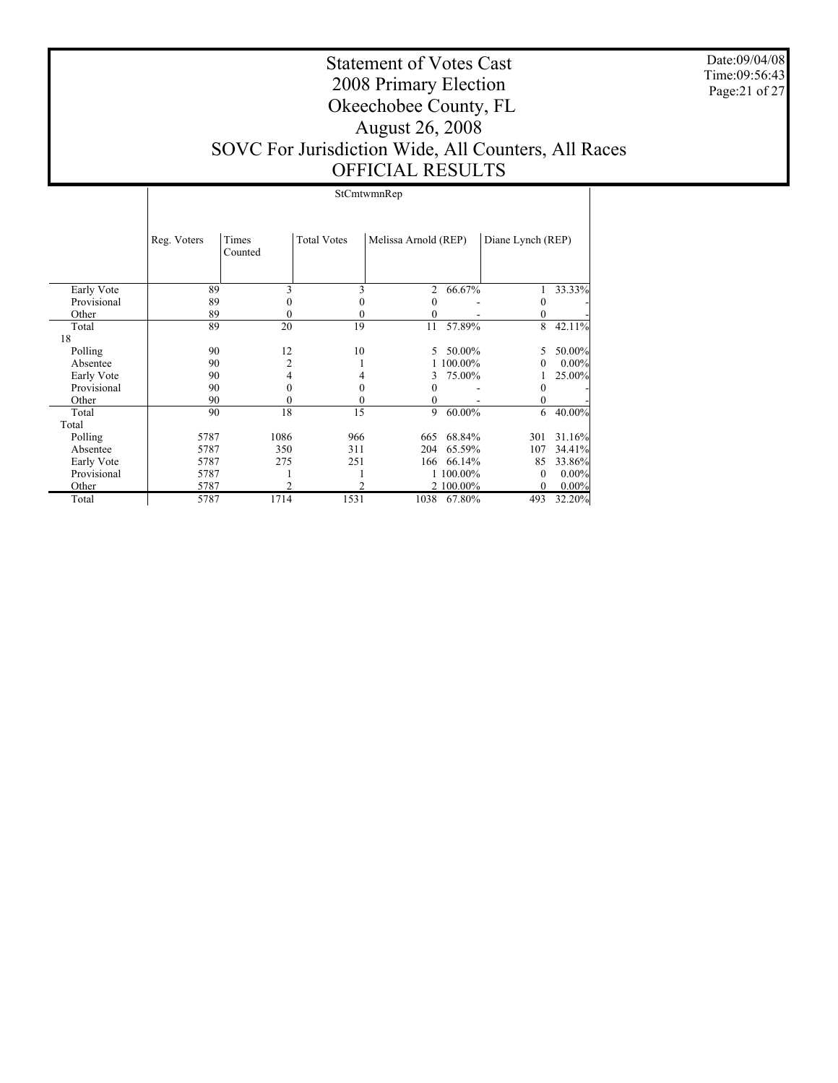Date:09/04/08 Time:09:56:43 Page:21 of 27

# Statement of Votes Cast 2008 Primary Election Okeechobee County, FL August 26, 2008 SOVC For Jurisdiction Wide, All Counters, All Races OFFICIAL RESULTS

StCmtwmnRep

|             | Reg. Voters | Times<br>Counted | <b>Total Votes</b> | Melissa Arnold (REP) |           | Diane Lynch (REP) |          |
|-------------|-------------|------------------|--------------------|----------------------|-----------|-------------------|----------|
| Early Vote  | 89          |                  | 3                  | $\overline{c}$       | 66.67%    |                   | 33.33%   |
| Provisional | 89          |                  |                    | 0                    |           | 0                 |          |
| Other       | 89          | 0                |                    | 0                    |           | 0                 |          |
| Total       | 89          | 20               | 19                 | 11                   | 57.89%    | 8                 | 42.11%   |
| 18          |             |                  |                    |                      |           |                   |          |
| Polling     | 90          | 12               | 10                 | 5.                   | 50.00%    | 5                 | 50.00%   |
| Absentee    | 90          | $\overline{2}$   |                    |                      | 100.00%   | 0                 | $0.00\%$ |
| Early Vote  | 90          | 4                |                    | 3                    | 75.00%    |                   | 25.00%   |
| Provisional | 90          | 0                |                    | 0                    |           | 0                 |          |
| Other       | 90          | 0                | 0                  | 0                    |           | $\mathbf{0}$      |          |
| Total       | 90          | 18               | 15                 | 9                    | 60.00%    | 6                 | 40.00%   |
| Total       |             |                  |                    |                      |           |                   |          |
| Polling     | 5787        | 1086             | 966                | 665                  | 68.84%    | 301               | 31.16%   |
| Absentee    | 5787        | 350              | 311                | 204                  | 65.59%    | 107               | 34.41%   |
| Early Vote  | 5787        | 275              | 251                | 166                  | 66.14%    | 85                | 33.86%   |
| Provisional | 5787        |                  |                    |                      | 1 100,00% | $\theta$          | $0.00\%$ |
| Other       | 5787        |                  |                    |                      | 2 100.00% | 0                 | 0.00%    |
| Total       | 5787        | 1714             | 1531               | 1038                 | 67.80%    | 493               | 32.20%   |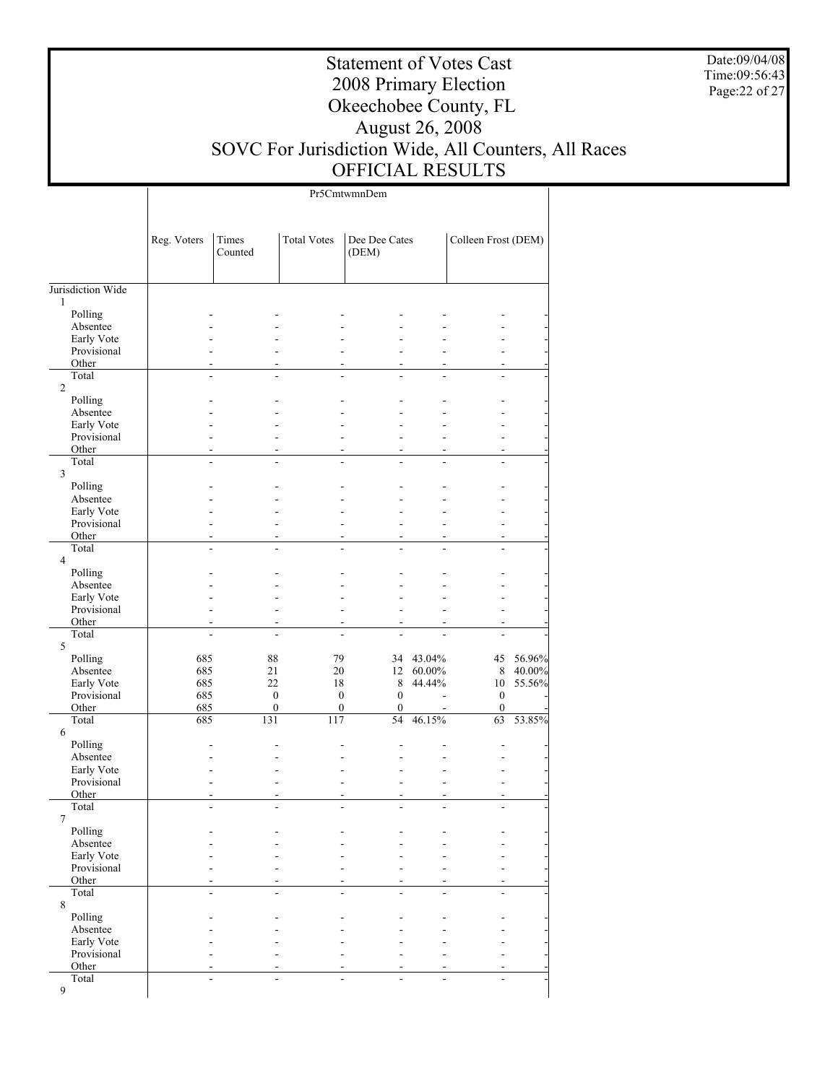Date:09/04/08 Time:09:56:43 Page:22 of 27

# Statement of Votes Cast 2008 Primary Election Okeechobee County, FL August 26, 2008 SOVC For Jurisdiction Wide, All Counters, All Races OFFICIAL RESULTS

Pr5CmtwmnDem

|                     | Reg. Voters | Times<br>Counted | <b>Total Votes</b> | Dee Dee Cates<br>(DEM)         |                  | Colleen Frost (DEM) |                  |
|---------------------|-------------|------------------|--------------------|--------------------------------|------------------|---------------------|------------------|
| Jurisdiction Wide   |             |                  |                    |                                |                  |                     |                  |
| 1                   |             |                  |                    |                                |                  |                     |                  |
| Polling<br>Absentee |             |                  |                    |                                |                  |                     |                  |
| Early Vote          |             |                  |                    |                                |                  |                     |                  |
| Provisional         |             |                  |                    |                                |                  |                     |                  |
| Other               |             |                  |                    |                                |                  |                     |                  |
| Total               |             | ÷,               |                    | ÷,<br>$\overline{\phantom{a}}$ | $\overline{a}$   | $\overline{a}$      |                  |
| $\overline{2}$      |             |                  |                    |                                |                  |                     |                  |
| Polling<br>Absentee |             |                  |                    |                                |                  |                     |                  |
| Early Vote          |             |                  |                    |                                |                  |                     |                  |
| Provisional         |             |                  |                    |                                |                  |                     |                  |
| Other               |             |                  |                    |                                |                  | $\blacksquare$      |                  |
| Total               |             | ÷                |                    | ÷.                             |                  | $\overline{a}$      |                  |
| $\mathfrak{Z}$      |             |                  |                    |                                |                  |                     |                  |
| Polling<br>Absentee |             |                  |                    |                                |                  |                     |                  |
| Early Vote          |             |                  |                    |                                |                  |                     |                  |
| Provisional         |             |                  |                    |                                |                  |                     |                  |
| Other               |             |                  |                    |                                |                  |                     |                  |
| Total               |             | ÷.               | ä,                 | ٠                              |                  | $\overline{a}$      |                  |
| $\overline{4}$      |             |                  |                    |                                |                  |                     |                  |
| Polling<br>Absentee |             |                  |                    |                                |                  |                     |                  |
| Early Vote          |             |                  |                    |                                |                  |                     |                  |
| Provisional         |             |                  |                    |                                |                  |                     |                  |
| Other               |             |                  |                    |                                |                  |                     |                  |
| Total               |             | $\overline{a}$   |                    | L.<br>L.                       |                  |                     |                  |
| 5                   |             |                  |                    |                                |                  |                     |                  |
| Polling<br>Absentee | 685<br>685  | 88<br>21         | 79<br>20           | 34<br>12                       | 43.04%<br>60.00% | 45<br>$\,$ 8 $\,$   | 56.96%<br>40.00% |
| Early Vote          | 685         | 22               | 18                 | 8                              | 44.44%           | 10                  | 55.56%           |
| Provisional         | 685         | $\boldsymbol{0}$ | $\boldsymbol{0}$   | $\boldsymbol{0}$               |                  | $\boldsymbol{0}$    |                  |
| Other               | 685         | $\boldsymbol{0}$ | $\boldsymbol{0}$   | $\boldsymbol{0}$               |                  | $\boldsymbol{0}$    |                  |
| Total               | 685         | 131              | 117                | $\overline{54}$                | 46.15%           | 63                  | 53.85%           |
| 6                   |             |                  |                    |                                |                  |                     |                  |
| Polling<br>Absentee |             |                  |                    |                                |                  |                     |                  |
| Early Vote          |             |                  |                    |                                |                  |                     |                  |
| Provisional         |             |                  |                    |                                |                  |                     |                  |
| Other               |             |                  |                    |                                |                  | $\overline{a}$      |                  |
| Total               |             |                  |                    |                                |                  |                     |                  |
| $\tau$<br>Polling   |             |                  |                    |                                |                  |                     |                  |
| Absentee            |             |                  |                    |                                |                  |                     |                  |
| Early Vote          |             |                  |                    |                                |                  |                     |                  |
| Provisional         |             |                  |                    |                                |                  |                     |                  |
| Other               |             |                  |                    |                                |                  |                     |                  |
| Total<br>$\,8\,$    |             |                  |                    | ÷.<br>۰                        |                  | $\overline{a}$      |                  |
| Polling             |             |                  |                    |                                |                  |                     |                  |
| Absentee            |             |                  |                    |                                |                  |                     |                  |
| Early Vote          |             |                  |                    |                                |                  |                     |                  |
| Provisional         |             |                  |                    |                                |                  |                     |                  |
| Other               |             |                  |                    |                                |                  |                     |                  |
| Total               |             |                  |                    |                                |                  |                     |                  |
| $\mathbf{9}$        |             |                  |                    |                                |                  |                     |                  |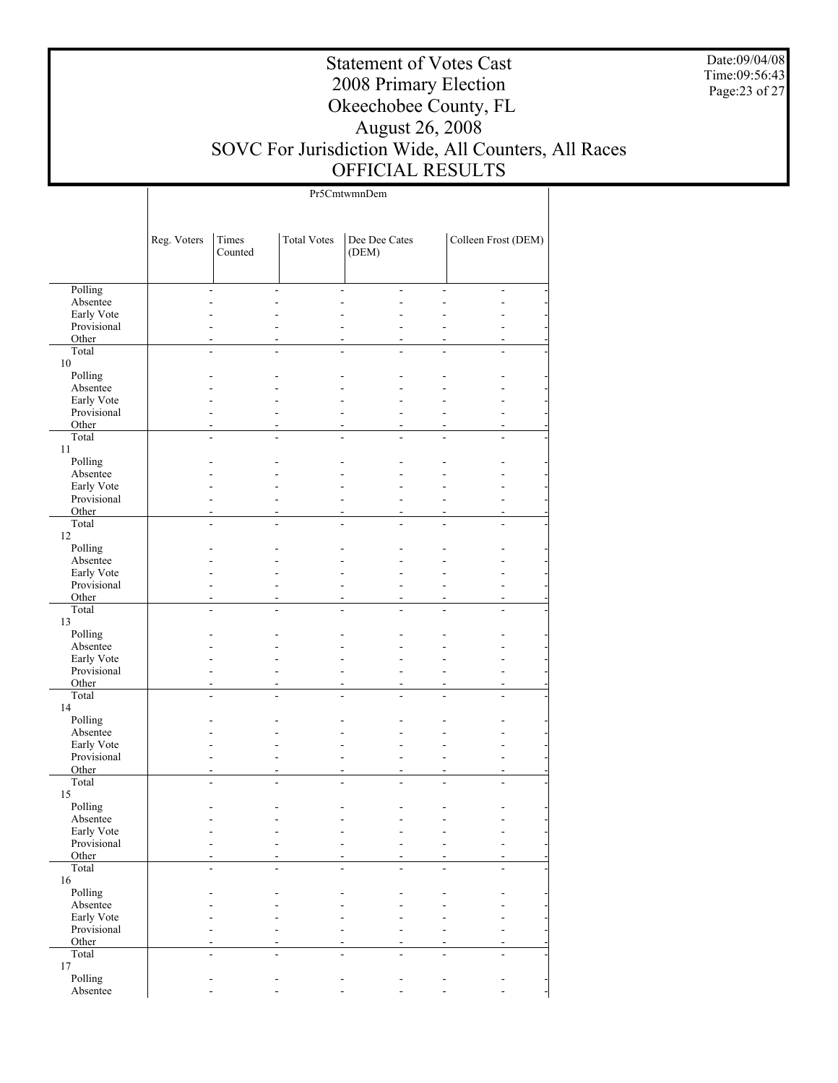Date:09/04/08 Time:09:56:43 Page:23 of 27

# Statement of Votes Cast 2008 Primary Election Okeechobee County, FL August 26, 2008 SOVC For Jurisdiction Wide, All Counters, All Races OFFICIAL RESULTS

Pr5CmtwmnDem

|                           | Reg. Voters    | Times<br>Counted | <b>Total Votes</b> | Dee Dee Cates<br>(DEM)           |                | Colleen Frost (DEM) |               |
|---------------------------|----------------|------------------|--------------------|----------------------------------|----------------|---------------------|---------------|
|                           |                |                  |                    |                                  |                |                     |               |
| Polling                   |                |                  |                    | ÷<br>$\overline{\phantom{a}}$    | $\overline{a}$ |                     | L,            |
| Absentee                  |                |                  |                    |                                  |                |                     |               |
| Early Vote                |                |                  |                    |                                  |                |                     |               |
| Provisional<br>Other      |                |                  |                    |                                  |                |                     |               |
| Total                     |                |                  |                    |                                  |                |                     |               |
| 10                        |                |                  |                    |                                  |                |                     |               |
| Polling                   |                |                  |                    |                                  |                |                     |               |
| Absentee                  |                |                  |                    |                                  |                |                     |               |
| Early Vote                |                |                  |                    |                                  |                |                     |               |
| Provisional               |                |                  |                    |                                  |                |                     |               |
| Other                     |                |                  |                    |                                  |                |                     |               |
| Total                     |                |                  |                    |                                  |                |                     |               |
| 11                        |                |                  |                    |                                  |                |                     |               |
| Polling                   |                |                  |                    |                                  |                |                     |               |
| Absentee                  |                |                  |                    |                                  |                |                     |               |
| Early Vote                |                |                  |                    |                                  |                |                     |               |
| Provisional               |                |                  |                    |                                  |                |                     |               |
| Other<br>Total            |                |                  |                    |                                  |                |                     |               |
| 12                        |                |                  |                    |                                  |                |                     |               |
| Polling                   |                |                  |                    |                                  |                |                     |               |
| Absentee                  |                |                  |                    |                                  |                |                     |               |
| Early Vote                |                |                  |                    |                                  |                |                     |               |
| Provisional               |                |                  |                    |                                  |                |                     |               |
| Other                     |                |                  |                    |                                  |                |                     |               |
| Total                     | $\overline{a}$ |                  |                    | $\overline{a}$<br>$\overline{a}$ | $\overline{a}$ |                     | $\frac{1}{2}$ |
| 13                        |                |                  |                    |                                  |                |                     |               |
| Polling                   |                |                  |                    |                                  |                |                     |               |
| Absentee                  |                |                  |                    |                                  |                |                     |               |
| Early Vote<br>Provisional |                |                  |                    |                                  |                |                     |               |
| Other                     |                |                  |                    |                                  |                |                     |               |
| Total                     |                |                  |                    |                                  |                |                     |               |
| 14                        |                |                  |                    |                                  |                |                     |               |
| Polling                   |                |                  |                    |                                  |                |                     |               |
| Absentee                  |                |                  |                    |                                  |                |                     |               |
| Early Vote                |                |                  |                    |                                  |                |                     |               |
| Provisional               |                |                  |                    |                                  |                |                     |               |
| Other                     |                |                  |                    |                                  |                |                     |               |
| Total                     |                |                  |                    |                                  |                |                     |               |
| 15                        |                |                  |                    |                                  |                |                     |               |
| Polling<br>Absentee       |                |                  |                    |                                  |                |                     |               |
| Early Vote                |                |                  |                    |                                  |                |                     |               |
| Provisional               |                |                  |                    |                                  |                |                     |               |
| Other                     |                |                  |                    |                                  |                |                     |               |
| Total                     |                |                  |                    |                                  |                |                     |               |
| 16                        |                |                  |                    |                                  |                |                     |               |
| Polling                   |                |                  |                    |                                  |                |                     |               |
| Absentee                  |                |                  |                    |                                  |                |                     |               |
| Early Vote                |                |                  |                    |                                  |                |                     |               |
| Provisional               |                |                  |                    |                                  |                |                     |               |
| Other                     |                |                  |                    |                                  |                |                     |               |
| Total<br>17               |                |                  |                    |                                  |                |                     |               |
| Polling                   |                |                  |                    |                                  |                |                     |               |
| Absentee                  |                |                  |                    |                                  |                |                     |               |
|                           |                |                  |                    |                                  |                |                     |               |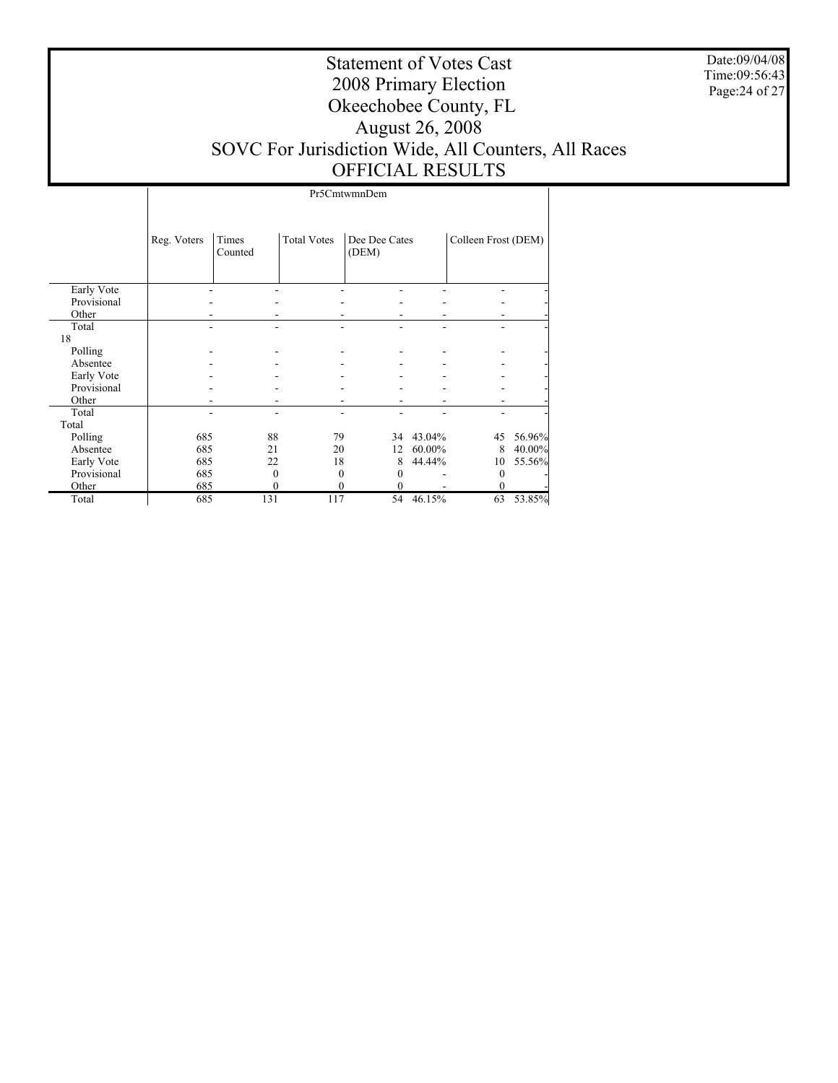Date:09/04/08 Time:09:56:43 Page:24 of 27

# Statement of Votes Cast 2008 Primary Election Okeechobee County, FL August 26, 2008 SOVC For Jurisdiction Wide, All Counters, All Races OFFICIAL RESULTS

Pr5CmtwmnDem

|             | Reg. Voters | Times<br>Counted | <b>Total Votes</b> | Dee Dee Cates<br>(DEM) |        | Colleen Frost (DEM) |        |
|-------------|-------------|------------------|--------------------|------------------------|--------|---------------------|--------|
| Early Vote  |             |                  |                    |                        |        |                     |        |
| Provisional |             |                  |                    |                        |        |                     |        |
| Other       |             |                  |                    |                        |        |                     |        |
| Total       |             |                  |                    |                        |        |                     |        |
| 18          |             |                  |                    |                        |        |                     |        |
| Polling     |             |                  |                    |                        |        |                     |        |
| Absentee    |             |                  |                    |                        |        |                     |        |
| Early Vote  |             |                  |                    |                        |        |                     |        |
| Provisional |             |                  |                    |                        |        |                     |        |
| Other       |             |                  |                    |                        |        |                     |        |
| Total       |             |                  |                    |                        |        |                     |        |
| Total       |             |                  |                    |                        |        |                     |        |
| Polling     | 685         | 88               | 79                 | 34                     | 43.04% | 45                  | 56.96% |
| Absentee    | 685         | 21               | 20                 | 12                     | 60.00% | 8                   | 40.00% |
| Early Vote  | 685         | 22               | 18                 | 8                      | 44.44% | 10                  | 55.56% |
| Provisional | 685         | $\theta$         | $\theta$           | $\theta$               |        | $\Omega$            |        |
| Other       | 685         | 0                | $\theta$           | $\mathbf{0}$           |        | 0                   |        |
| Total       | 685         | 131              | 117                | 54                     | 46.15% | 63                  | 53.85% |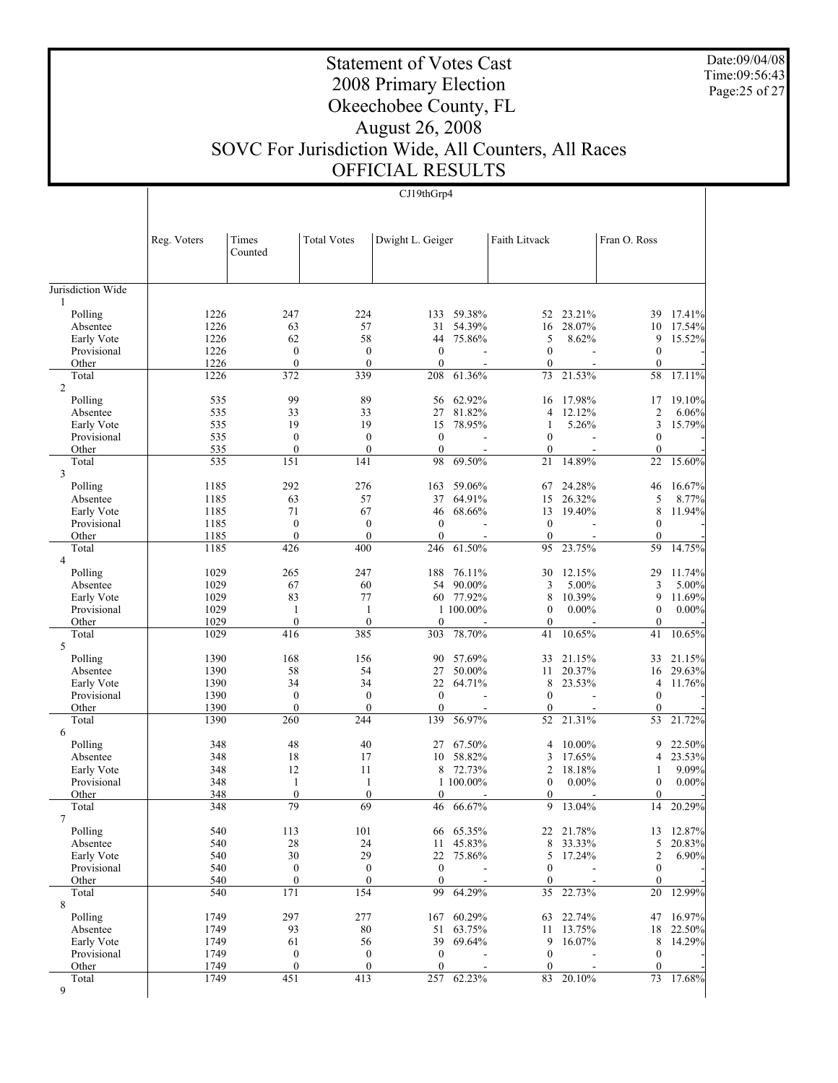Date:09/04/08 Time:09:56:43 Page:25 of 27

# Statement of Votes Cast 2008 Primary Election Okeechobee County, FL August 26, 2008 SOVC For Jurisdiction Wide, All Counters, All Races OFFICIAL RESULTS

### CJ19thGrp4

|                           | Reg. Voters  | Times<br>Counted | <b>Total Votes</b>     | Dwight L. Geiger |                  | Faith Litvack    |                  | Fran O. Ross          |                  |
|---------------------------|--------------|------------------|------------------------|------------------|------------------|------------------|------------------|-----------------------|------------------|
| Jurisdiction Wide         |              |                  |                        |                  |                  |                  |                  |                       |                  |
| 1                         |              |                  |                        |                  |                  |                  |                  |                       |                  |
| Polling                   | 1226         | 247              | 224                    | 133              | 59.38%           | 52               | 23.21%           | 39                    | 17.41%           |
| Absentee                  | 1226<br>1226 | 63<br>62         | 57<br>58               | 31<br>44         | 54.39%<br>75.86% | 16<br>5          | 28.07%<br>8.62%  | 10<br>9               | 17.54%<br>15.52% |
| Early Vote<br>Provisional | 1226         | $\boldsymbol{0}$ | $\boldsymbol{0}$       | $\mathbf{0}$     |                  | $\mathbf{0}$     | $\overline{a}$   | $\bf{0}$              |                  |
| Other                     | 1226         | $\mathbf{0}$     | $\mathbf{0}$           | $\mathbf{0}$     |                  | $\mathbf{0}$     |                  | 0                     |                  |
| Total                     | 1226         | 372              | 339                    | 208              | 61.36%           | 73               | 21.53%           | 58                    | 17.11%           |
| $\overline{2}$            |              |                  |                        |                  |                  |                  |                  |                       |                  |
| Polling                   | 535          | 99               | 89                     | 56               | 62.92%           | 16               | 17.98%           | 17                    | 19.10%           |
| Absentee                  | 535<br>535   | 33<br>19         | 33<br>19               | 27<br>15         | 81.82%<br>78.95% | 4<br>1           | 12.12%<br>5.26%  | 2<br>3                | 6.06%<br>15.79%  |
| Early Vote<br>Provisional | 535          | $\mathbf{0}$     | $\boldsymbol{0}$       | $\bf{0}$         |                  | $\boldsymbol{0}$ |                  | $\boldsymbol{0}$      |                  |
| Other                     | 535          | $\mathbf{0}$     | $\boldsymbol{0}$       | $\mathbf{0}$     |                  | $\mathbf{0}$     |                  | $\mathbf{0}$          |                  |
| Total                     | 535          | 151              | 141                    | 98               | 69.50%           | 21               | 14.89%           | 22                    | 15.60%           |
| 3                         |              |                  |                        |                  |                  |                  |                  |                       |                  |
| Polling                   | 1185         | 292              | 276                    | 163              | 59.06%           | 67               | 24.28%           | 46                    | 16.67%           |
| Absentee<br>Early Vote    | 1185<br>1185 | 63<br>71         | 57<br>67               | 37<br>46         | 64.91%<br>68.66% | 15<br>13         | 26.32%<br>19.40% | 5<br>8                | 8.77%<br>11.94%  |
| Provisional               | 1185         | $\boldsymbol{0}$ | $\boldsymbol{0}$       | $\mathbf{0}$     |                  | $\mathbf{0}$     |                  | $\bf{0}$              |                  |
| Other                     | 1185         | $\mathbf{0}$     | $\mathbf{0}$           | $\mathbf{0}$     |                  | $\boldsymbol{0}$ |                  | $\mathbf{0}$          |                  |
| Total                     | 1185         | 426              | 400                    | 246              | 61.50%           | 95               | 23.75%           | 59                    | 14.75%           |
| $\overline{4}$            |              |                  |                        |                  |                  |                  |                  |                       |                  |
| Polling                   | 1029         | 265              | 247                    | 188              | 76.11%           | 30               | 12.15%           | 29                    | 11.74%           |
| Absentee                  | 1029<br>1029 | 67<br>83         | 60<br>77               | 54<br>60         | 90.00%<br>77.92% | 3<br>8           | 5.00%<br>10.39%  | 3<br>9                | 5.00%<br>11.69%  |
| Early Vote<br>Provisional | 1029         | 1                | 1                      |                  | 1 100.00%        | $\boldsymbol{0}$ | $0.00\%$         | $\boldsymbol{0}$      | $0.00\%$         |
| Other                     | 1029         | $\mathbf{0}$     | $\boldsymbol{0}$       | $\theta$         |                  | $\mathbf{0}$     |                  | $\mathbf{0}$          |                  |
| Total                     | 1029         | 416              | 385                    | 303              | 78.70%           | 41               | 10.65%           | 41                    | 10.65%           |
| 5                         |              |                  |                        |                  |                  |                  |                  |                       |                  |
| Polling                   | 1390         | 168              | 156                    | 90               | 57.69%           | 33               | 21.15%           | 33                    | 21.15%           |
| Absentee<br>Early Vote    | 1390<br>1390 | 58<br>34         | 54<br>34               | 27<br>22         | 50.00%<br>64.71% | 11<br>8          | 20.37%<br>23.53% | 16<br>$\overline{4}$  | 29.63%<br>11.76% |
| Provisional               | 1390         | $\boldsymbol{0}$ | $\boldsymbol{0}$       | $\bf{0}$         |                  | $\mathbf{0}$     |                  | $\boldsymbol{0}$      |                  |
| Other                     | 1390         | $\mathbf{0}$     | $\mathbf{0}$           | $\mathbf{0}$     |                  | $\boldsymbol{0}$ |                  | 0                     |                  |
| Total                     | 1390         | 260              | 244                    | 139              | 56.97%           | 52               | 21.31%           | 53                    | 21.72%           |
| 6                         |              |                  |                        |                  |                  |                  |                  |                       |                  |
| Polling                   | 348          | 48               | 40                     | 27               | 67.50%           | 4                | 10.00%           | 9                     | 22.50%           |
| Absentee<br>Early Vote    | 348<br>348   | 18<br>12         | 17<br>11               | 10               | 58.82%<br>72.73% | 3<br>2           | 17.65%<br>18.18% | 4                     | 23.53%<br>9.09%  |
| Provisional               | 348          | -1               | 1                      | 8                | 1 100.00%        | $\boldsymbol{0}$ | $0.00\%$         | 1<br>$\boldsymbol{0}$ | $0.00\%$         |
| Other                     | 348          | $\boldsymbol{0}$ | $\boldsymbol{0}$       | $\mathbf{0}$     |                  | $\boldsymbol{0}$ |                  | 0                     |                  |
| Total                     | 348          | 79               | 69                     | 46               | 66.67%           | 9                | 13.04%           | 14                    | 20.29%           |
| $\overline{7}$            |              |                  |                        |                  |                  |                  |                  |                       |                  |
| Polling                   | 540          | 113              | 101                    |                  | 66 65.35%        | 22               | 21.78%           | 13                    | 12.87%           |
| Absentee<br>Early Vote    | 540<br>540   | 28<br>30         | 24<br>29               | 11<br>22         | 45.83%<br>75.86% | 8<br>5           | 33.33%<br>17.24% | 5<br>2                | 20.83%<br>6.90%  |
| Provisional               | 540          | $\boldsymbol{0}$ | $\boldsymbol{0}$       | $\bf{0}$         |                  | $\boldsymbol{0}$ |                  | $\boldsymbol{0}$      |                  |
| Other                     | 540          | $\boldsymbol{0}$ | $\boldsymbol{0}$       | $\bf{0}$         |                  | $\boldsymbol{0}$ |                  | $\mathbf{0}$          |                  |
| Total                     | 540          | 171              | 154                    | 99               | 64.29%           | 35               | 22.73%           | 20                    | 12.99%           |
| 8                         |              |                  |                        |                  |                  |                  |                  |                       |                  |
| Polling                   | 1749         | 297              | 277                    | 167              | 60.29%           | 63               | 22.74%           | 47                    | 16.97%           |
| Absentee                  | 1749         | 93<br>61         | 80                     | 51<br>39         | 63.75%           | 11<br>9          | 13.75%<br>16.07% | 18<br>8               | 22.50%           |
| Early Vote<br>Provisional | 1749<br>1749 | $\bf{0}$         | 56<br>$\boldsymbol{0}$ | $\bf{0}$         | 69.64%           | $\boldsymbol{0}$ |                  | $\bf{0}$              | 14.29%           |
| Other                     | 1749         | $\boldsymbol{0}$ | $\boldsymbol{0}$       | $\bf{0}$         |                  | $\boldsymbol{0}$ |                  | $\mathbf{0}$          |                  |
| Total                     | 1749         | 451              | 413                    | 257              | 62.23%           | 83               | 20.10%           |                       | 73 17.68%        |
| 9                         |              |                  |                        |                  |                  |                  |                  |                       |                  |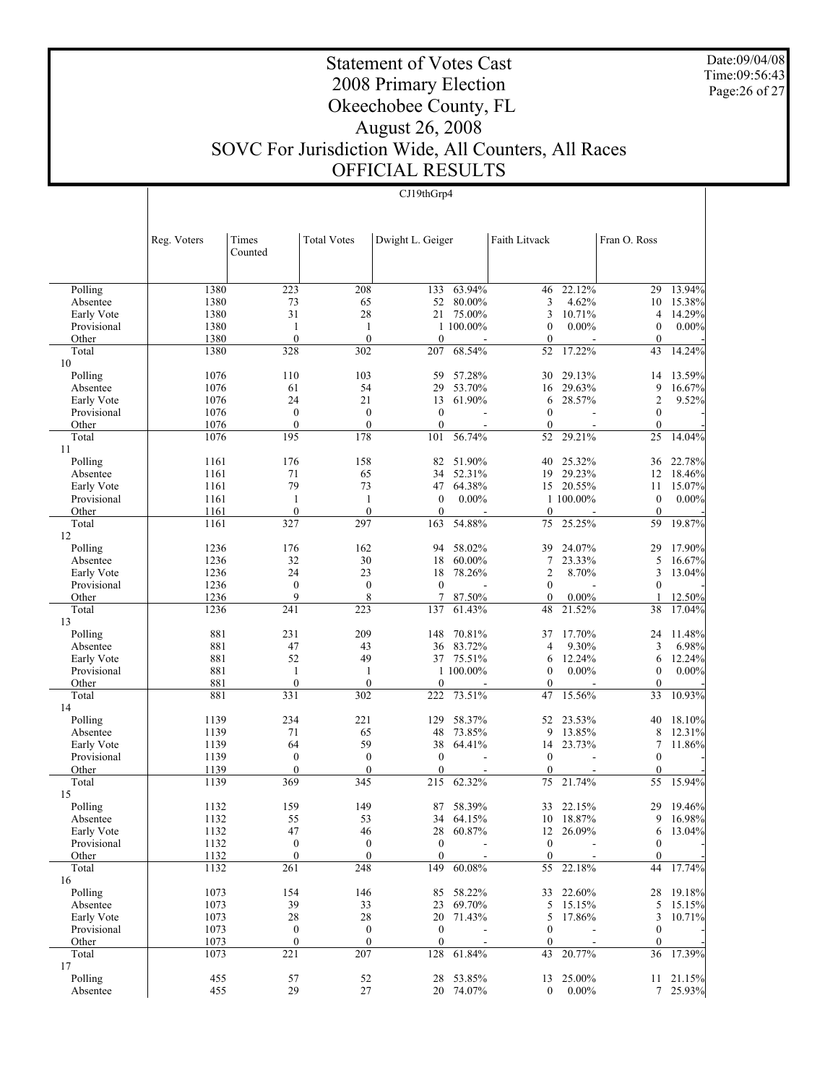Date:09/04/08 Time:09:56:43 Page:26 of 27

# Statement of Votes Cast 2008 Primary Election Okeechobee County, FL August 26, 2008 SOVC For Jurisdiction Wide, All Counters, All Races OFFICIAL RESULTS

### CJ19thGrp4

|               | Reg. Voters | Times<br>Counted | <b>Total Votes</b> | Dwight L. Geiger |           | Faith Litvack    |           | Fran O. Ross     |           |
|---------------|-------------|------------------|--------------------|------------------|-----------|------------------|-----------|------------------|-----------|
|               |             |                  |                    |                  |           |                  |           |                  |           |
| Polling       | 1380        | 223              | 208                | 133              | 63.94%    | 46               | 22.12%    | 29               | 13.94%    |
| Absentee      | 1380        | 73               | 65                 | 52               | 80.00%    | 3                | 4.62%     | 10               | 15.38%    |
| Early Vote    | 1380        | 31               | 28                 | 21               | 75.00%    | 3                | 10.71%    | 4                | 14.29%    |
| Provisional   | 1380        | 1                | 1                  |                  | 1 100.00% | $\mathbf{0}$     | $0.00\%$  | $\boldsymbol{0}$ | $0.00\%$  |
| Other         | 1380        | $\theta$         | $\boldsymbol{0}$   | $\mathbf{0}$     |           | $\mathbf{0}$     |           | $\mathbf{0}$     |           |
| Total         | 1380        | 328              | 302                | 207              | 68.54%    | 52               | 17.22%    | 43               | 14.24%    |
| 10            |             |                  |                    |                  |           |                  |           |                  |           |
| Polling       | 1076        | 110              | 103                | 59               | 57.28%    | 30               | 29.13%    | 14               | 13.59%    |
| Absentee      | 1076        | 61               | 54                 | 29               | 53.70%    | 16               | 29.63%    | 9                | 16.67%    |
| Early Vote    | 1076        | 24               | 21                 | 13               | 61.90%    | 6                | 28.57%    | 2                | 9.52%     |
| Provisional   | 1076        | $\boldsymbol{0}$ | $\boldsymbol{0}$   | $\boldsymbol{0}$ |           | $\boldsymbol{0}$ |           | $\bf{0}$         |           |
| Other         | 1076        | $\mathbf{0}$     | $\mathbf{0}$       | $\mathbf{0}$     |           | $\boldsymbol{0}$ |           | $\bf{0}$         |           |
| Total<br>11   | 1076        | 195              | 178                | 101              | 56.74%    | 52               | 29.21%    | 25               | 14.04%    |
| Polling       | 1161        | 176              | 158                | 82               | 51.90%    | 40               | 25.32%    | 36               | 22.78%    |
| Absentee      | 1161        | 71               | 65                 | 34               | 52.31%    | 19               | 29.23%    | 12               | 18.46%    |
| Early Vote    | 1161        | 79               | 73                 | 47               | 64.38%    |                  | 15 20.55% | 11               | 15.07%    |
| Provisional   | 1161        | 1                | 1                  | $\boldsymbol{0}$ | $0.00\%$  |                  | 1 100.00% | $\bf{0}$         | $0.00\%$  |
| Other         | 1161        | $\mathbf{0}$     | $\mathbf{0}$       | $\mathbf{0}$     |           | $\mathbf{0}$     |           | $\mathbf{0}$     |           |
| Total         | 1161        | 327              | 297                | 163              | 54.88%    | 75               | 25.25%    | 59               | 19.87%    |
| 12            |             |                  |                    |                  |           |                  |           |                  |           |
| Polling       | 1236        | 176              | 162                | 94               | 58.02%    | 39               | 24.07%    | 29               | 17.90%    |
| Absentee      | 1236        | 32               | 30                 | 18               | 60.00%    | 7                | 23.33%    | 5                | 16.67%    |
| Early Vote    | 1236        | 24               | 23                 | 18               | 78.26%    | 2                | 8.70%     | 3                | 13.04%    |
| Provisional   | 1236        | $\boldsymbol{0}$ | $\boldsymbol{0}$   | $\boldsymbol{0}$ |           | $\mathbf{0}$     |           | $\mathbf{0}$     |           |
| Other         | 1236        | 9                | 8                  | $\tau$           | 87.50%    | $\boldsymbol{0}$ | $0.00\%$  |                  | 12.50%    |
| Total         | 1236        | 241              | 223                | 137              | 61.43%    | 48               | 21.52%    | 38               | 17.04%    |
| 13<br>Polling | 881         | 231              | 209                | 148              | 70.81%    | 37               | 17.70%    | 24               | 11.48%    |
| Absentee      | 881         | 47               | 43                 | 36               | 83.72%    | 4                | 9.30%     | 3                | 6.98%     |
| Early Vote    | 881         | 52               | 49                 | 37               | 75.51%    | 6                | 12.24%    | 6                | 12.24%    |
| Provisional   | 881         | 1                | 1                  |                  | 1 100.00% | $\mathbf{0}$     | $0.00\%$  | $\boldsymbol{0}$ | $0.00\%$  |
| Other         | 881         | $\boldsymbol{0}$ | $\boldsymbol{0}$   | $\mathbf{0}$     |           | $\mathbf{0}$     |           | $\mathbf{0}$     |           |
| Total         | 881         | 331              | 302                | 222              | 73.51%    | 47               | 15.56%    | 33               | 10.93%    |
| 14            |             |                  |                    |                  |           |                  |           |                  |           |
| Polling       | 1139        | 234              | 221                | 129              | 58.37%    | 52               | 23.53%    | 40               | 18.10%    |
| Absentee      | 1139        | 71               | 65                 | 48               | 73.85%    | 9                | 13.85%    | 8                | 12.31%    |
| Early Vote    | 1139        | 64               | 59                 | 38               | 64.41%    | 14               | 23.73%    | 7                | 11.86%    |
| Provisional   | 1139        | $\boldsymbol{0}$ | $\boldsymbol{0}$   | $\boldsymbol{0}$ |           | $\mathbf{0}$     |           | $\mathbf{0}$     |           |
| Other         | 1139        | $\boldsymbol{0}$ | $\boldsymbol{0}$   | $\boldsymbol{0}$ |           | $\boldsymbol{0}$ |           | $\boldsymbol{0}$ |           |
| Total         | 1139        | 369              | 345                | 215              | 62.32%    | 75               | 21.74%    | 55               | 15.94%    |
| 15            |             |                  |                    |                  |           |                  |           |                  |           |
| Polling       | 1132        | 159              | 149                | 87               | 58.39%    | 33               | 22.15%    | 29               | 19.46%    |
| Absentee      | 1132        | 55               | 53                 |                  | 34 64.15% |                  | 10 18.87% |                  | 9 16.98%  |
| Early Vote    | 1132        | 47               | 46                 |                  | 28 60.87% |                  | 12 26.09% |                  | 6 13.04%  |
| Provisional   | 1132        | $\boldsymbol{0}$ | $\boldsymbol{0}$   | $\boldsymbol{0}$ |           | $\boldsymbol{0}$ |           | $\bf{0}$         |           |
| Other         | 1132        | $\mathbf{0}$     | $\boldsymbol{0}$   | $\boldsymbol{0}$ |           | $\mathbf{0}$     |           | $\theta$         |           |
| Total         | 1132        | 261              | 248                | 149              | 60.08%    | 55               | 22.18%    | 44               | 17.74%    |
| 16            |             |                  |                    |                  |           |                  |           |                  |           |
| Polling       | 1073        | 154              | 146                |                  | 85 58.22% |                  | 33 22.60% | 28               | 19.18%    |
| Absentee      | 1073        | 39               | 33                 |                  | 23 69.70% |                  | 5 15.15%  | 5                | 15.15%    |
| Early Vote    | 1073        | $28\,$           | 28                 | 20               | 71.43%    | 5                | 17.86%    | 3                | 10.71%    |
| Provisional   | 1073        | $\boldsymbol{0}$ | $\boldsymbol{0}$   | $\bf{0}$         |           | $\mathbf{0}$     |           | $\mathbf{0}$     |           |
| Other         | 1073        | $\boldsymbol{0}$ | $\boldsymbol{0}$   | $\boldsymbol{0}$ | 61.84%    | $\boldsymbol{0}$ |           | $\mathbf{0}$     |           |
| Total<br>17   | 1073        | 221              | 207                | 128              |           | 43               | 20.77%    | 36               | 17.39%    |
| Polling       | 455         | 57               | 52                 |                  | 28 53.85% |                  | 13 25.00% |                  | 11 21.15% |
| Absentee      | 455         | 29               | 27                 |                  | 20 74.07% | $\overline{0}$   | $0.00\%$  |                  | 7 25.93%  |